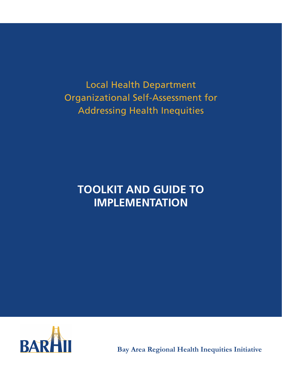**Local Health Department** Organizational Self-Assessment for **Addressing Health Inequities** 

# **TOOLKIT AND GUIDE TO IMPLEMENTATION**



**Bay Area Regional Health Inequities Initiative**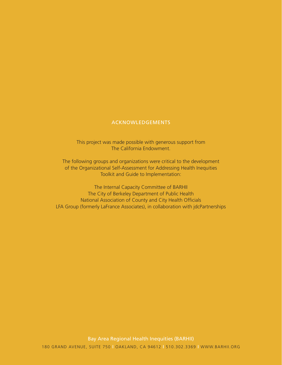### ACKNOWLEDGEMENTS

This project was made possible with generous support from The California Endowment.

The following groups and organizations were critical to the development of the Organizational Self-Assessment for Addressing Health Inequities Toolkit and Guide to Implementation:

The Internal Capacity Committee of BARHII The City of Berkeley Department of Public Health National Association of County and City Health Officials LFA Group (formerly LaFrance Associates), in collaboration with jdcPartnerships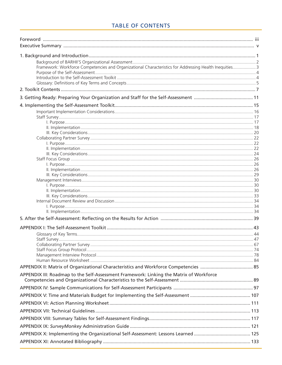## **TABLE OF CONTENTS**

| Framework: Workforce Competencies and Organizational Characteristics for Addressing Health Inequities 3 |  |
|---------------------------------------------------------------------------------------------------------|--|
|                                                                                                         |  |
|                                                                                                         |  |
|                                                                                                         |  |
|                                                                                                         |  |
|                                                                                                         |  |
|                                                                                                         |  |
|                                                                                                         |  |
|                                                                                                         |  |
|                                                                                                         |  |
|                                                                                                         |  |
|                                                                                                         |  |
|                                                                                                         |  |
|                                                                                                         |  |
|                                                                                                         |  |
|                                                                                                         |  |
|                                                                                                         |  |
|                                                                                                         |  |
|                                                                                                         |  |
|                                                                                                         |  |
|                                                                                                         |  |
|                                                                                                         |  |
|                                                                                                         |  |
|                                                                                                         |  |
|                                                                                                         |  |
|                                                                                                         |  |
|                                                                                                         |  |
|                                                                                                         |  |
|                                                                                                         |  |
|                                                                                                         |  |
|                                                                                                         |  |
|                                                                                                         |  |
|                                                                                                         |  |
| APPENDIX III: Roadmap to the Self-Assessment Framework: Linking the Matrix of Workforce                 |  |
|                                                                                                         |  |
|                                                                                                         |  |
|                                                                                                         |  |
|                                                                                                         |  |
|                                                                                                         |  |
|                                                                                                         |  |
|                                                                                                         |  |
|                                                                                                         |  |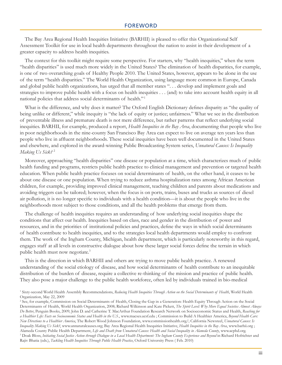The Bay Area Regional Health Inequities Initiative (BARHII) is pleased to offer this Organizational Self Assessment Toolkit for use in local health departments throughout the nation to assist in their development of a greater capacity to address health inequities.

The context for this toolkit might require some perspective. For starters, why "health inequities," when the term "health disparities" is used much more widely in the United States? The elimination of health disparities, for example, is one of two overarching goals of Healthy People 2010. The United States, however, appears to be alone in the use of the term "health disparities." The World Health Organization, using language more common in Europe, Canada and global public health organizations, has urged that all member states "... develop and implement goals and strategies to improve public health with a focus on health inequities . . . (and) to take into account health equity in all national policies that address social determinants of health."<sup>1</sup>

What is the difference, and why does it matter? The Oxford English Dictionary defines disparity as "the quality of being unlike or different," while inequity is "the lack of equity or justice; unfairness." What we see in the distribution of preventable illness and premature death is not mere difference, but rather patterns that reflect underlying social inequities. BARHII, for example, produced a report, Health Inequities in the Bay Area, documenting that people who live in poor neighborhoods in the nine-county San Francisco Bay Area can expect to live on average ten years less than people who live in affluent neighborhoods. These social inequities have been well documented in the United States and elsewhere, and explored in the award-winning Public Broadcasting System series, Unnatural Causes: Is Inequality Making Us Sick?<sup>2</sup>

Moreover, approaching "health disparities" one disease or population at a time, which characterizes much of public health funding and programs, restricts public health practice to clinical management and prevention or targeted health education. When public health practice focuses on social determinants of health, on the other hand, it ceases to be about one disease or one population. When trying to reduce asthma hospitalization rates among African American children, for example, providing improved clinical management, teaching children and parents about medications and avoiding triggers can be tailored; however, when the focus is on ports, trains, buses and trucks as sources of diesel air pollution, it is no longer specific to individuals with a health condition—it is about the people who live in the neighborhoods most subject to those conditions, and all the health problems that emerge from them.

The challenge of health inequities requires an understanding of how underlying social inequities shape the conditions that affect our health. Inequities based on class, race and gender in the distribution of power and resources, and in the priorities of institutional policies and practices, define the ways in which social determinants of health contribute to health inequities, and to the strategies local health departments would employ to confront them. The work of the Ingham County, Michigan, health department, which is particularly noteworthy in this regard, engages staff at all levels in constructive dialogue about how these larger social forces define the terrain in which public health must now negotiate.<sup>3</sup>

This is the direction in which BARHII and others are trying to move public health practice. A renewed understanding of the social etiology of disease, and how social determinants of health contribute to an inequitable distribution of the burden of disease, require a collective re-thinking of the mission and practice of public health. They also pose a major challenge to the public health workforce, often led by individuals trained in bio-medical

<sup>&</sup>lt;sup>1</sup> Sixty-second World Health Assembly Recommendations, Reducing Health Inequities Through Action on the Social Determinants of Health, World Health Organization, May 22, 2009

<sup>&</sup>lt;sup>2</sup> See, for example, Commission on Social Determinants of Health, Closing the Gap in a Generation: Health Equity Through Action on the Social Determinants of Health, World Health Organization, 2008; Richard Wilkinson and Kate Pickett, The Spirit Level: Why More Equal Societies Almost Always Do Better, Penguin Books, 2009; John D. and Catherine T. MacArthur Foundation Research Network on Socioeconomic Status and Health, Reaching for a Healthier Life: Facts on Socioeconomic Status and Health in the U.S., www.macses.ucsf.edu ; Commission to Build A Healthier America, Beyond Health Care: New Directions to a Healthier America, The Robert Wood Johnson Foundation, www.commissionhealth.org/; California Newsreel, Unnatural Causes: Is Inequality Making Us Sick?, www.unnaturalcauses.org; Bay Area Regional Health Inequities Initiative, Health Inequities in the Bay Area, www.barhii.org; Alameda County Public Health Department, Life and Death from Unnatural Causes: Health and Social Inequality in Alameda County, www.acphd.org. <sup>3</sup> Doak Bloss, Initiating Social Justice Action through Dialogue in a Local Health Department: The Ingham County Experience and Beyond in Richard Hofrichter and Rajiv Bhatia (eds.), Tackling Health Inequities Through Public Health Practice, Oxford University Press (Feb. 2010)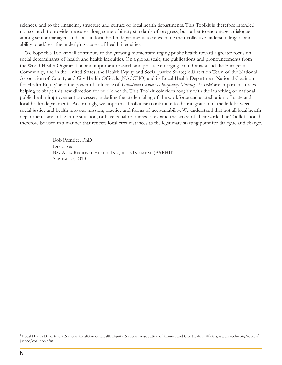sciences, and to the financing, structure and culture of local health departments. This Toolkit is therefore intended not so much to provide measures along some arbitrary standards of progress, but rather to encourage a dialogue among senior managers and staff in local health departments to re-examine their collective understanding of and ability to address the underlying causes of health inequities.

We hope this Toolkit will contribute to the growing momentum urging public health toward a greater focus on social determinants of health and health inequities. On a global scale, the publications and pronouncements from the World Health Organization and important research and practice emerging from Canada and the European Community, and in the United States, the Health Equity and Social Justice Strategic Direction Team of the National Association of County and City Health Officials (NACCHO) and its Local Health Department National Coalition for Health Equity<sup>4</sup> and the powerful influence of Unnatural Causes: Is Inequality Making Us Sick? are important forces helping to shape this new direction for public health. This Toolkit coincides roughly with the launching of national public health improvement processes, including the credentialing of the workforce and accreditation of state and local health departments. Accordingly, we hope this Toolkit can contribute to the integration of the link between social justice and health into our mission, practice and forms of accountability. We understand that not all local health departments are in the same situation, or have equal resources to expand the scope of their work. The Toolkit should therefore be used in a manner that reflects local circumstances as the legitimate starting point for dialogue and change.

> Bob Prentice, PhD **DIRECTOR** BAY AREA REGIONAL HEALTH INEQUITIES INITIATIVE (BARHII) SEPTEMBER, 2010

<sup>4</sup> Local Health Department National Coalition on Health Equity, National Association of County and City Health Officials, www.naccho.org/topics/ justice/coalition.cfm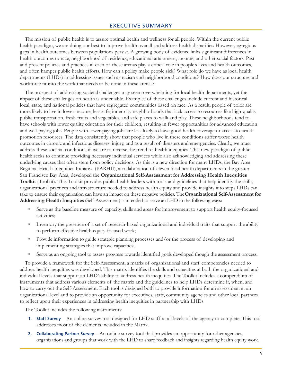### **EXECUTIVE SUMMARY**

The mission of public health is to assure optimal health and wellness for all people. Within the current public health paradigm, we are doing our best to improve health overall and address health disparities. However, egregious gaps in health outcomes between populations persist. A growing body of evidence links significant differences in health outcomes to race, neighborhood of residency, educational attainment, income, and other social factors. Past and present policies and practices in each of these arenas play a critical role in people's lives and health outcomes, and often hamper public health efforts. How can a policy make people sick? What role do we have as local health departments (LHDs) in addressing issues such as racism and neighborhood conditions? How does our structure and workforce fit into the work that needs to be done in these arenas?

The prospect of addressing societal challenges may seem overwhelming for local health departments, yet the impact of these challenges on health is undeniable. Examples of these challenges include current and historical local, state, and national policies that have segregated communities based on race. As a result, people of color are more likely to live in lower income, less safe, inner-city neighborhoods that lack access to resources like high-quality public transportation, fresh fruits and vegetables, and safe places to walk and play. These neighborhoods tend to have schools with lower quality education for their children, resulting in fewer opportunities for advanced education and well-paying jobs. People with lower-paying jobs are less likely to have good health coverage or access to health promotion resources. The data consistently show that people who live in these conditions suffer worse health outcomes in chronic and infectious diseases, injury, and as a result of disasters and emergencies. Clearly, we must address these societal conditions if we are to reverse the trend of health inequities. This new paradigm of public health seeks to continue providing necessary individual services while also acknowledging and addressing these underlying causes that often stem from policy decisions. As this is a new direction for many LHDs, the Bay Area Regional Health Inequities Initiative (BARHII), a collaboration of eleven local health departments in the greater San Francisco Bay Area, developed the Organizational Self-Assessment for Addressing Health Inequities **Toolkit** (Toolkit). This Toolkit provides public health leaders with tools and guidelines that help identify the skills, organizational practices and infrastructure needed to address health equity and provide insights into steps LHDs can take to ensure their organization can have an impact on these negative policies. The Organizational Self-Assessment for Addressing Health Inequities (Self-Assessment) is intended to serve an LHD in the following ways:

- Serve as the baseline measure of capacity, skills and areas for improvement to support health equity-focused activities:
- Inventory the presence of a set of research-based organizational and individual traits that support the ability to perform effective health equity-focused work;
- Provide information to guide strategic planning processes and/or the process of developing and  $\bullet$ implementing strategies that improve capacities;
- Serve as an ongoing tool to assess progress towards identified goals developed though the assessment process.

To provide a framework for the Self-Assessment, a matrix of organizational and staff competencies needed to address health inequities was developed. This matrix identifies the skills and capacities at both the organizational and individual levels that support an LHD's ability to address health inequities. The Toolkit includes a compendium of instruments that address various elements of the matrix and the guidelines to help LHDs determine if, when, and how to carry out the Self-Assessment. Each tool is designed both to provide information for an assessment at an organizational level and to provide an opportunity for executives, staff, community agencies and other local partners to reflect upon their experiences in addressing health inequities in partnership with LHDs.

The Toolkit includes the following instruments:

- 1. Staff Survey—An online survey tool designed for LHD staff at all levels of the agency to complete. This tool addresses most of the elements included in the Matrix.
- 2. Collaborating Partner Survey—An online survey tool that provides an opportunity for other agencies, organizations and groups that work with the LHD to share feedback and insights regarding health equity work.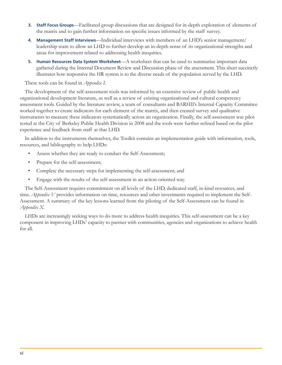- 3. Staff Focus Groups—Facilitated group discussions that are designed for in-depth exploration of elements of the matrix and to gain further information on specific issues informed by the staff survey.
- Management Staff Interviews—Individual interviews with members of an LHD's senior management/ 4. leadership team to allow an LHD to further develop an in-depth sense of its organizational strengths and areas for improvement related to addressing health inequities.
- 5. Human Resources Data System Worksheet—A worksheet that can be used to summarize important data gathered during the Internal Document Review and Discussion phase of the assessment. This sheet succinctly illustrates how responsive the HR system is to the diverse needs of the population served by the LHD.

### These tools can be found in *Appendix I*.

The development of the self-assessment tools was informed by an extensive review of public health and organizational development literature, as well as a review of existing organizational and cultural competency assessment tools. Guided by the literature review, a team of consultants and BARHII's Internal Capacity Committee worked together to create indicators for each element of the matrix, and then created survey and qualitative instruments to measure these indicators systematically across an organization. Finally, the self-assessment was pilot tested at the City of Berkeley Public Health Division in 2008 and the tools were further refined based on the pilot experience and feedback from staff at that LHD.

In addition to the instruments themselves, the Toolkit contains an implementation guide with information, tools, resources, and bibliography to help LHDs:

- $\bullet$ Assess whether they are ready to conduct the Self-Assessment;
- $\bullet$ Prepare for the self-assessment;
- $\bullet$ Complete the necessary steps for implementing the self-assessment; and
- $\bullet$ Engage with the results of the self-assessment in an action-oriented way.

The Self-Assessment requires commitment on all levels of the LHD, dedicated staff, in-kind resources, and time. Appendix V provides information on time, resources and other investments required to implement the Self-Assessment. A summary of the key lessons learned from the piloting of the Self-Assessment can be found in Appendix X.

LHDs are increasingly seeking ways to do more to address health inequities. This self-assessment can be a key component in improving LHDs' capacity to partner with communities, agencies and organizations to achieve health for all.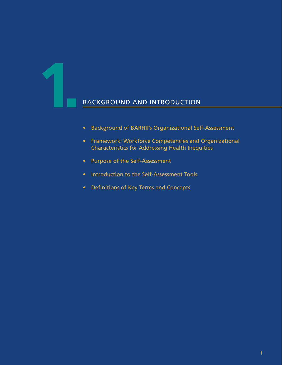# BACKGROUND AND INTRODUCTION

- **Background of BARHII's Organizational Self-Assessment**
- Framework: Workforce Competencies and Organizational Characteristics for Addressing Health Inequities
- Purpose of the Self-Assessment
- Introduction to the Self-Assessment Tools
- Definitions of Key Terms and Concepts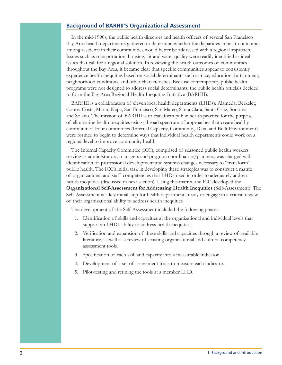### **Background of BARHII'S Organizational Assessment**

In the mid-1990s, the public health directors and health officers of several San Francisco Bay Area health departments gathered to determine whether the disparities in health outcomes among residents in their communities would better be addressed with a regional approach. Issues such as transportation, housing, air and water quality were readily identified as ideal issues that call for a regional solution. In reviewing the health outcomes of communities throughout the Bay Area, it became clear that specific communities appear to consistently experience health inequities based on social determinants such as race, educational attainment, neighborhood conditions, and other characteristics. Because contemporary public health programs were not designed to address social determinants, the public health officials decided to form the Bay Area Regional Health Inequities Initiative (BARHII).

BARHII is a collaboration of eleven local health departments (LHDs): Alameda, Berkeley, Contra Costa, Marin, Napa, San Francisco, San Mateo, Santa Clara, Santa Cruz, Sonoma and Solano. The mission of BARHII is to transform public health practice for the purpose of eliminating health inequities using a broad spectrum of approaches that create healthy communities. Four committees (Internal Capacity, Community, Data, and Built Environment) were formed to begin to determine ways that individual health departments could work on a regional level to improve community health.

The Internal Capacity Committee (ICC), comprised of seasoned public health workers serving as administrators, managers and program coordinators/planners, was charged with identification of professional development and systems changes necessary to "transform" public health. The ICC's initial task in developing these strategies was to construct a matrix of organizational and staff competencies that LHDs need in order to adequately address health inequities (discussed in next section). Using this matrix, the ICC developed the **Organizational Self-Assessment for Addressing Health Inequities (Self-Assessment). The** Self-Assessment is a key initial step for health departments ready to engage in a critical review of their organizational ability to address health inequities.

The development of the Self-Assessment included the following phases:

- 1. Identification of skills and capacities at the organizational and individual levels that support an LHD's ability to address health inequities.
- 2. Verification and expansion of these skills and capacities through a review of available literature, as well as a review of existing organizational and cultural competency assessment tools.
- 3. Specification of each skill and capacity into a measurable indicator.
- 4. Development of a set of assessment tools to measure each indicator.
- 5. Pilot-testing and refining the tools at a member LHD.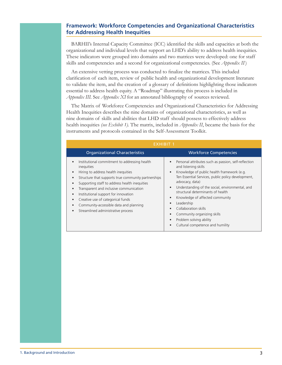### **Framework: Workforce Competencies and Organizational Characteristics** for Addressing Health Inequities

BARHII's Internal Capacity Committee (ICC) identified the skills and capacities at both the organizational and individual levels that support an LHD's ability to address health inequities. These indicators were grouped into domains and two matrices were developed: one for staff skills and competencies and a second for organizational competencies. (See Appendix  $II$ )

An extensive vetting process was conducted to finalize the matrices. This included clarification of each item, review of public health and organizational development literature to validate the item, and the creation of a glossary of definitions highlighting those indicators essential to address health equity. A "Roadmap" illustrating this process is included in Appendix III. See Appendix XI for an annotated bibliography of sources reviewed.

The Matrix of Workforce Competencies and Organizational Characteristics for Addressing Health Inequities describes the nine domains of organizational characteristics, as well as nine domains of skills and abilities that LHD staff should possess to effectively address health inequities (see Exhibit 1). The matrix, included in *Appendix II*, became the basis for the instruments and protocols contained in the Self-Assessment Toolkit.

| EXHIBIT 1                                                                                                                                                                                                                                                                                                                                                                                                                                                                   |                                                                                                                                                                                                                                                                                                                                                                                                                                                                                                           |  |
|-----------------------------------------------------------------------------------------------------------------------------------------------------------------------------------------------------------------------------------------------------------------------------------------------------------------------------------------------------------------------------------------------------------------------------------------------------------------------------|-----------------------------------------------------------------------------------------------------------------------------------------------------------------------------------------------------------------------------------------------------------------------------------------------------------------------------------------------------------------------------------------------------------------------------------------------------------------------------------------------------------|--|
| <b>Organizational Characteristics</b>                                                                                                                                                                                                                                                                                                                                                                                                                                       | <b>Workforce Competencies</b>                                                                                                                                                                                                                                                                                                                                                                                                                                                                             |  |
| Institutional commitment to addressing health<br>$\bullet$<br>inequities<br>Hiring to address health inequities<br>$\bullet$<br>Structure that supports true community partnerships<br>$\bullet$<br>Supporting staff to address health inequities<br>Transparent and inclusive communication<br>Institutional support for innovation<br>٠<br>Creative use of categorical funds<br>$\bullet$<br>Community-accessible data and planning<br>Streamlined administrative process | Personal attributes such as passion, self-reflection<br>and listening skills<br>Knowledge of public health framework (e.g.<br>$\bullet$<br>Ten Essential Services, public policy development,<br>advocacy, data)<br>Understanding of the social, environmental, and<br>$\bullet$<br>structural determinants of health<br>Knowledge of affected community<br>$\bullet$<br>Leadership<br>Collaboration skills<br>Community organizing skills<br>Problem solving ability<br>Cultural competence and humility |  |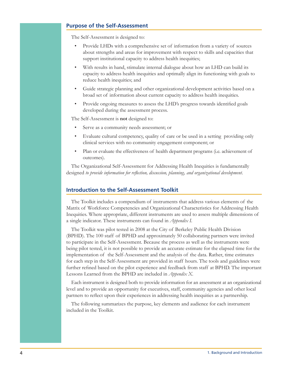### **Purpose of the Self-Assessment**

The Self-Assessment is designed to:

- Provide LHDs with a comprehensive set of information from a variety of sources about strengths and areas for improvement with respect to skills and capacities that support institutional capacity to address health inequities;
- With results in hand, stimulate internal dialogue about how an LHD can build its capacity to address health inequities and optimally align its functioning with goals to reduce health inequities; and
- Guide strategic planning and other organizational development activities based on a broad set of information about current capacity to address health inequities.
- Provide ongoing measures to assess the LHD's progress towards identified goals developed during the assessment process.

The Self-Assessment is **not** designed to:

- Serve as a community needs assessment; or
- Evaluate cultural competency, quality of care or be used in a setting providing only clinical services with no community engagement component; or
- Plan or evaluate the effectiveness of health department programs (i.e. achievement of outcomes).

The Organizational Self-Assessment for Addressing Health Inequities is fundamentally designed to provide information for reflection, discussion, planning, and organizational development.

### **Introduction to the Self-Assessment Toolkit**

The Toolkit includes a compendium of instruments that address various elements of the Matrix of Workforce Competencies and Organizational Characteristics for Addressing Health Inequities. Where appropriate, different instruments are used to assess multiple dimensions of a single indicator. These instruments can found in Appendix I.

The Toolkit was pilot tested in 2008 at the City of Berkeley Public Health Division (BPHD). The 100 staff of BPHD and approximately 50 collaborating partners were invited to participate in the Self-Assessment. Because the process as well as the instruments were being pilot tested, it is not possible to provide an accurate estimate for the elapsed time for the implementation of the Self-Assessment and the analysis of the data. Rather, time estimates for each step in the Self-Assessment are provided in staff hours. The tools and guidelines were further refined based on the pilot experience and feedback from staff at BPHD. The important Lessons Learned from the BPHD are included in Appendix X.

Each instrument is designed both to provide information for an assessment at an organizational level and to provide an opportunity for executives, staff, community agencies and other local partners to reflect upon their experiences in addressing health inequities as a partnership.

The following summarizes the purpose, key elements and audience for each instrument included in the Toolkit.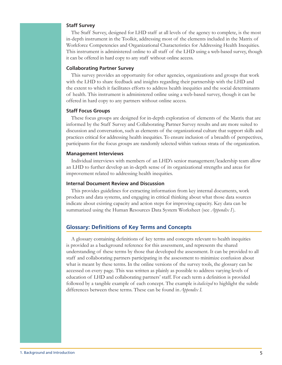### **Staff Survey**

The Staff Survey, designed for LHD staff at all levels of the agency to complete, is the most in-depth instrument in the Toolkit, addressing most of the elements included in the Matrix of Workforce Competencies and Organizational Characteristics for Addressing Health Inequities. This instrument is administered online to all staff of the LHD using a web-based survey, though it can be offered in hard copy to any staff without online access.

### **Collaborating Partner Survey**

This survey provides an opportunity for other agencies, organizations and groups that work with the LHD to share feedback and insights regarding their partnership with the LHD and the extent to which it facilitates efforts to address health inequities and the social determinants of health. This instrument is administered online using a web-based survey, though it can be offered in hard copy to any partners without online access.

### **Staff Focus Groups**

These focus groups are designed for in-depth exploration of elements of the Matrix that are informed by the Staff Survey and Collaborating Partner Survey results and are more suited to discussion and conversation, such as elements of the organizational culture that support skills and practices critical for addressing health inequities. To ensure inclusion of a breadth of perspectives, participants for the focus groups are randomly selected within various strata of the organization.

### **Management Interviews**

Individual interviews with members of an LHD's senior management/leadership team allow an LHD to further develop an in-depth sense of its organizational strengths and areas for improvement related to addressing health inequities.

### **Internal Document Review and Discussion**

This provides guidelines for extracting information from key internal documents, work products and data systems, and engaging in critical thinking about what those data sources indicate about existing capacity and action steps for improving capacity. Key data can be summarized using the Human Resources Data System Worksheet (see Appendix I).

### **Glossary: Definitions of Key Terms and Concepts**

A glossary containing definitions of key terms and concepts relevant to health inequities is provided as a background reference for this assessment, and represents the shared understanding of these terms by those that developed the assessment. It can be provided to all staff and collaborating partners participating in the assessment to minimize confusion about what is meant by these terms. In the online versions of the survey tools, the glossary can be accessed on every page. This was written as plainly as possible to address varying levels of education of LHD and collaborating partners' staff. For each term a definition is provided followed by a tangible example of each concept. The example is *italicized* to highlight the subtle differences between these terms. These can be found in *Appendix I*.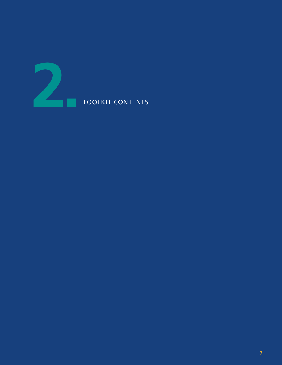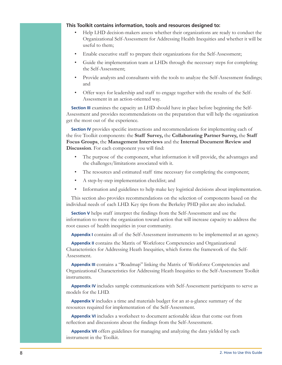### This Toolkit contains information, tools and resources designed to:

- Help LHD decision-makers assess whether their organizations are ready to conduct the Organizational Self-Assessment for Addressing Health Inequities and whether it will be useful to them;
- Enable executive staff to prepare their organizations for the Self-Assessment;
- Guide the implementation team at LHDs through the necessary steps for completing the Self-Assessment;
- Provide analysts and consultants with the tools to analyze the Self-Assessment findings; and
- Offer ways for leadership and staff to engage together with the results of the Self-Assessment in an action-oriented way.

**Section III** examines the capacity an LHD should have in place before beginning the Self-Assessment and provides recommendations on the preparation that will help the organization get the most out of the experience.

Section IV provides specific instructions and recommendations for implementing each of the five Toolkit components: the Staff Survey, the Collaborating Partner Survey, the Staff Focus Groups, the Management Interviews and the Internal Document Review and Discussion. For each component you will find:

- The purpose of the component, what information it will provide, the advantages and the challenges/limitations associated with it.
- The resources and estimated staff time necessary for completing the component;
- A step-by-step implementation checklist; and
- $\bullet$ Information and guidelines to help make key logistical decisions about implementation.

This section also provides recommendations on the selection of components based on the individual needs of each LHD. Key tips from the Berkeley PHD pilot are also included.

Section V helps staff interpret the findings from the Self-Assessment and use the information to move the organization toward action that will increase capacity to address the root causes of health inequities in your community.

**Appendix I** contains all of the Self-Assessment instruments to be implemented at an agency.

Appendix II contains the Matrix of Workforce Competencies and Organizational Characteristics for Addressing Heath Inequities, which forms the framework of the Self-Assessment.

Appendix III contains a "Roadmap" linking the Matrix of Workforce Competencies and Organizational Characteristics for Addressing Heath Inequities to the Self-Assessment Toolkit instruments.

Appendix IV includes sample communications with Self-Assessment participants to serve as models for the LHD.

Appendix V includes a time and materials budget for an at-a-glance summary of the resources required for implementation of the Self-Assessment.

Appendix VI includes a worksheet to document actionable ideas that come out from reflection and discussions about the findings from the Self-Assessment.

Appendix VII offers guidelines for managing and analyzing the data yielded by each instrument in the Toolkit.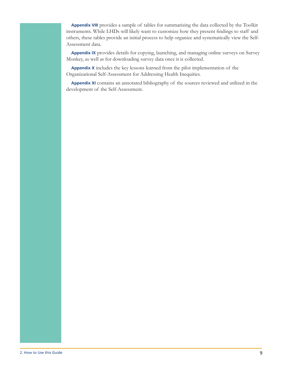Appendix VIII provides a sample of tables for summarizing the data collected by the Toolkit instruments. While LHDs will likely want to customize how they present findings to staff and others, these tables provide an initial process to help organize and systematically view the Self-Assessment data.

Appendix IX provides details for copying, launching, and managing online surveys on Survey Monkey, as well as for downloading survey data once it is collected.

Appendix X includes the key lessons learned from the pilot implementation of the Organizational Self-Assessment for Addressing Health Inequities.

Appendix XI contains an annotated bibliography of the sources reviewed and utilized in the development of the Self-Assessment.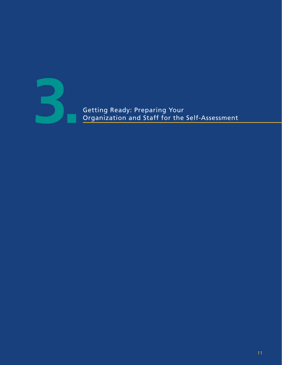

Organization and Staff for the Self-Assessment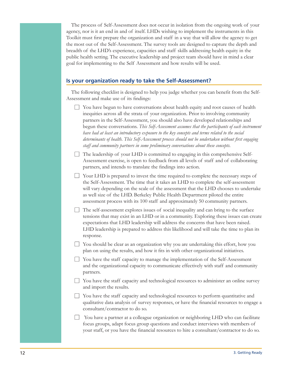The process of Self-Assessment does not occur in isolation from the ongoing work of your agency, nor is it an end in and of itself. LHDs wishing to implement the instruments in this Toolkit must first prepare the organization and staff in a way that will allow the agency to get the most out of the Self-Assessment. The survey tools are designed to capture the depth and breadth of the LHD's experience, capacities and staff skills addressing health equity in the public health setting. The executive leadership and project team should have in mind a clear goal for implementing to the Self Assessment and how results will be used.

### Is your organization ready to take the Self-Assessment?

The following checklist is designed to help you judge whether you can benefit from the Self-Assessment and make use of its findings:

- $\Box$  You have begun to have conversations about health equity and root causes of health inequities across all the strata of your organization. Prior to involving community partners in the Self-Assessment, you should also have developed relationships and begun these conversations. This Self-Assessment assumes that the participants of each instrument have had at least an introductory exposure to the key concepts and terms related to the social determinants of health. This Self-Assessment process should not be undertaken without first engaging staff and community partners in some preliminary conversations about these concepts.
- $\Box$  The leadership of your LHD is committed to engaging in this comprehensive Self-Assessment exercise, is open to feedback from all levels of staff and of collaborating partners, and intends to translate the findings into action.
- $\Box$  Your LHD is prepared to invest the time required to complete the necessary steps of the Self-Assessment. The time that it takes an LHD to complete the self-assessment will vary depending on the scale of the assessment that the LHD chooses to undertake as well size of the LHD. Berkeley Public Health Department piloted the entire assessment process with its 100 staff and approximately 50 community partners.
- $\Box$  The self-assessment explores issues of social inequality and can bring to the surface tensions that may exist in an LHD or in a community. Exploring these issues can create expectations that LHD leadership will address the concerns that have been raised. LHD leadership is prepared to address this likelihood and will take the time to plan its response.
- $\Box$  You should be clear as an organization why you are undertaking this effort, how you plan on using the results, and how it fits in with other organizational initiatives.
- $\Box$  You have the staff capacity to manage the implementation of the Self-Assessment and the organizational capacity to communicate effectively with staff and community partners.
- $\Box$  You have the staff capacity and technological resources to administer an online survey and import the results.
- $\Box$  You have the staff capacity and technological resources to perform quantitative and qualitative data analysis of survey responses, or have the financial resources to engage a consultant/contractor to do so.
- You have a partner at a colleague organization or neighboring LHD who can facilitate focus groups, adapt focus group questions and conduct interviews with members of your staff, or you have the financial resources to hire a consultant/contractor to do so.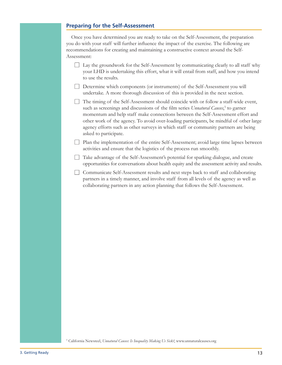### **Preparing for the Self-Assessment**

Once you have determined you are ready to take on the Self-Assessment, the preparation you do with your staff will further influence the impact of the exercise. The following are recommendations for creating and maintaining a constructive context around the Self-Assessment:

- $\Box$  Lay the groundwork for the Self-Assessment by communicating clearly to all staff why your LHD is undertaking this effort, what it will entail from staff, and how you intend to use the results.
- Determine which components (or instruments) of the Self-Assessment you will undertake. A more thorough discussion of this is provided in the next section.
- The timing of the Self-Assessment should coincide with or follow a staff-wide event, such as screenings and discussions of the film series Unnatural Causes,<sup>5</sup> to garner momentum and help staff make connections between the Self-Assessment effort and other work of the agency. To avoid over-loading participants, be mindful of other large agency efforts such as other surveys in which staff or community partners are being asked to participate.

| Plan the implementation of the entire Self-Assessment; avoid large time lapses between activities and ensure that the logistics of the process run smoothly.

Take advantage of the Self-Assessment's potential for sparking dialogue, and create opportunities for conversations about health equity and the assessment activity and results.

□ Communicate Self-Assessment results and next steps back to staff and collaborating partners in a timely manner, and involve staff from all levels of the agency as well as collaborating partners in any action planning that follows the Self-Assessment.

<sup>5</sup> California Newsreel, Unnatural Causes: Is Inequality Making Us Sick?, www.unnaturalcauses.org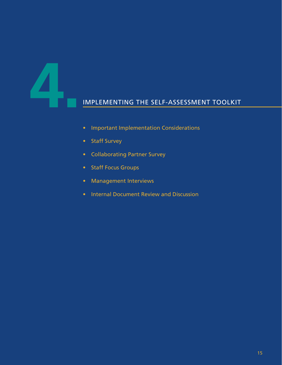# **4. IMPLEMENTING THE SELF-ASSESSMENT TOOLKIT**

- Important Implementation Considerations
- Staff Survey
- Collaborating Partner Survey
- Staff Focus Groups
- Management Interviews
- Internal Document Review and Discussion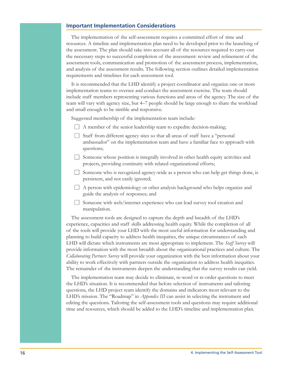### **Important Implementation Considerations**

The implementation of the self-assessment requires a committed effort of time and resources. A timeline and implementation plan need to be developed prior to the launching of the assessment. The plan should take into account all of the resources required to carry-out the necessary steps to successful completion of the assessment: review and refinement of the assessment tools, communication and promotion of the assessment process, implementation, and analysis of the assessment results. The following section outlines detailed implementation requirements and timelines for each assessment tool.

It is recommended that the LHD identify a project coordinator and organize one or more implementation teams to oversee and conduct the assessment exercise. The team should include staff members representing various functions and areas of the agency. The size of the team will vary with agency size, but 4–7 people should be large enough to share the workload and small enough to be nimble and responsive.

Suggested membership of the implementation team include:

- $\Box$  A member of the senior leadership team to expedite decision-making;
- Staff from different agency sites so that all areas of staff have a "personal" ambassador" on the implementation team and have a familiar face to approach with questions:
- Someone whose position is integrally involved in other health equity activities and projects, providing continuity with related organizational efforts;
- Someone who is recognized agency-wide as a person who can help get things done, is persistent, and not easily ignored;
- $\Box$  A person with epidemiology or other analysis background who helps organize and guide the analysis of responses; and
- $\Box$  Someone with web/internet experience who can lead survey tool creation and manipulation.

The assessment tools are designed to capture the depth and breadth of the LHD's experience, capacities and staff skills addressing health equity. While the completion of all of the tools will provide your LHD with the most useful information for understanding and planning to build capacity to address health inequities, the unique circumstances of each LHD will dictate which instruments are most appropriate to implement. The Staff Survey will provide information with the most breadth about the organizational practices and culture. The Collaborating Partners Survey will provide your organization with the best information about your ability to work effectively with partners outside the organization to address health inequities. The remainder of the instruments deepen the understanding that the survey results can yield.

The implementation team may decide to eliminate, re-word or re-order questions to meet the LHD's situation. It is recommended that before selection of instruments and tailoring questions, the LHD project team identify the domains and indicators most relevant to the LHD's mission. The "Roadmap" in *Appendix III* can assist in selecting the instrument and editing the questions. Tailoring the self-assessment tools and questions may require additional time and resources, which should be added to the LHD's timeline and implementation plan.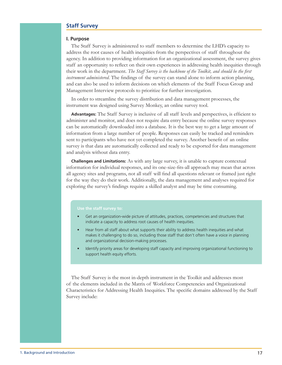### **Staff Survey**

### I. Purpose

The Staff Survey is administered to staff members to determine the LHD's capacity to address the root causes of health inequities from the perspectives of staff throughout the agency. In addition to providing information for an organizational assessment, the survey gives staff an opportunity to reflect on their own experiences in addressing health inequities through their work in the department. The Staff Survey is the backbone of the Toolkit, and should be the first *instrument administered*. The findings of the survey can stand alone to inform action planning, and can also be used to inform decisions on which elements of the Staff Focus Group and Management Interview protocols to prioritize for further investigation.

In order to streamline the survey distribution and data management processes, the instrument was designed using Survey Monkey, an online survey tool.

Advantages: The Staff Survey is inclusive of all staff levels and perspectives, is efficient to administer and monitor, and does not require data entry because the online survey responses can be automatically downloaded into a database. It is the best way to get a large amount of information from a large number of people. Responses can easily be tracked and reminders sent to participants who have not yet completed the survey. Another benefit of an online survey is that data are automatically collected and ready to be exported for data management and analysis without data entry.

**Challenges and Limitations:** As with any large survey, it is unable to capture contextual information for individual responses, and its one-size-fits-all approach may mean that across all agency sites and programs, not all staff will find all questions relevant or framed just right for the way they do their work. Additionally, the data management and analyses required for exploring the survey's findings require a skilled analyst and may be time consuming.

### Use the staff survey to:

- Get an organization-wide picture of attitudes, practices, competencies and structures that indicate a capacity to address root causes of health inequities.
- Hear from all staff about what supports their ability to address health inequities and what makes it challenging to do so, including those staff that don't often have a voice in planning and organizational decision-making processes.
- Identify priority areas for developing staff capacity and improving organizational functioning to support health equity efforts.

The Staff Survey is the most in-depth instrument in the Toolkit and addresses most of the elements included in the Matrix of Workforce Competencies and Organizational Characteristics for Addressing Health Inequities. The specific domains addressed by the Staff Survey include: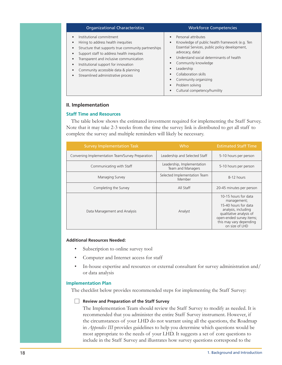| <b>Organizational Characteristics</b>                                                                                                                                                                                                                                                                                                                                        | <b>Workforce Competencies</b>                                                                                                                                                                                                                                                                                                                                                                                                               |
|------------------------------------------------------------------------------------------------------------------------------------------------------------------------------------------------------------------------------------------------------------------------------------------------------------------------------------------------------------------------------|---------------------------------------------------------------------------------------------------------------------------------------------------------------------------------------------------------------------------------------------------------------------------------------------------------------------------------------------------------------------------------------------------------------------------------------------|
| Institutional commitment<br>Hiring to address health inequities<br>Structure that supports true community partnerships<br>Support staff to address health inequities<br>Transparent and inclusive communication<br>$\bullet$<br>Institutional support for innovation<br>$\bullet$<br>Community accessible data & planning<br>Streamlined administrative process<br>$\bullet$ | Personal attributes<br>$\bullet$<br>Knowledge of public health framework (e.g. Ten<br>$\bullet$<br>Essential Services, public policy development,<br>advocacy, data)<br>Understand social determinants of health<br>$\bullet$<br>Community knowledge<br>٠<br>Leadership<br>$\bullet$<br>Collaboration skills<br>$\bullet$<br>Community organizing<br>$\bullet$<br>Problem solving<br>$\bullet$<br>Cultural competency/humility<br>$\bullet$ |

### II. Implementation

### **Staff Time and Resources**

The table below shows the estimated investment required for implementing the Staff Survey. Note that it may take 2-3 weeks from the time the survey link is distributed to get all staff to complete the survey and multiple reminders will likely be necessary.

| <b>Survey Implementation Task</b>                | Who.                                            | <b>Estimated Staff Time</b>                                                                                                                                                            |
|--------------------------------------------------|-------------------------------------------------|----------------------------------------------------------------------------------------------------------------------------------------------------------------------------------------|
| Convening Implementation Team/Survey Preparation | Leadership and Selected Staff                   | 5-10 hours per person                                                                                                                                                                  |
| Communicating with Staff                         | Leadership, Implementation<br>Team and Managers | 5-10 hours per person                                                                                                                                                                  |
| Managing Survey                                  | Selected Implementation Team<br>Member          | 8-12 hours                                                                                                                                                                             |
| Completing the Survey                            | All Staff                                       | 20-45 minutes per person                                                                                                                                                               |
| Data Management and Analysis                     | Analyst                                         | 10-15 hours for data<br>management;<br>15-40 hours for data<br>analysis, including<br>qualitative analysis of<br>open-ended survey items;<br>this may vary depending<br>on size of LHD |

### **Additional Resources Needed:**

- Subscription to online survey tool
- Computer and Internet access for staff
- In-house expertise and resources or external consultant for survey administration and/ or data analysis

### **Implementation Plan**

The checklist below provides recommended steps for implementing the Staff Survey:

### $\Box$  Review and Preparation of the Staff Survey

The Implementation Team should review the Staff Survey to modify as needed. It is recommended that you administer the entire Staff Survey instrument. However, if the circumstances of your LHD do not warrant using all the questions, the Roadmap in *Appendix III* provides guidelines to help you determine which questions would be most appropriate to the needs of your LHD. It suggests a set of core questions to include in the Staff Survey and illustrates how survey questions correspond to the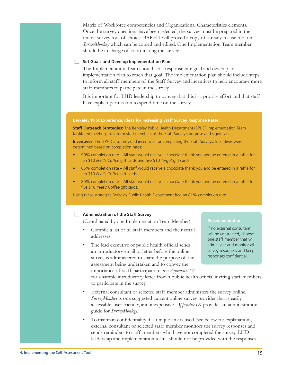Matrix of Workforce competencies and Organizational Characteristics elements. Once the survey questions have been selected, the survey must be prepared in the online survey tool of choice. BARHII will proved a copy of a ready-to-use tool on *SurveyMonkey* which can be copied and edited. One Implementation Team member should be in charge of coordinating the survey.

### Set Goals and Develop Implementation Plan

The Implementation Team should set a response rate goal and develop an implementation plan to reach that goal. The implementation plan should include steps to inform all staff members of the Staff Survey and incentives to help encourage more staff members to participate in the survey.

It is important for LHD leadership to convey that this is a priority effort and that staff have explicit permission to spend time on the survey.

### Berkeley Pilot Experience: Ideas for Increasing Staff Survey Response Rates:

Staff Outreach Strategies: The Berkeley Public Health Department (BPHD) Implementation Team facilitated meetings to inform staff members of the Staff Survey's purpose and significance.

Incentives: The BPHD also provided incentives for completing the Staff Surveys. Incentives were determined based on completion rates:

- 90% completion rate All staff would receive a chocolate thank you and be entered in a raffle for  $\bullet$ ten \$10 Peet's Coffee gift cards and five \$10 Target gift cards.
- 85% completion rate All staff would receive a chocolate thank you and be entered in a raffle for  $\bullet$ ten \$10 Peet's Coffee gift cards.
- $\bullet$ 80% completion rate - All staff would receive a chocolate thank you and be entered in a raffle for five \$10 Peet's Coffee gift cards.

Using these strategies Berkeley Public Health Department had an 81% completion rate

### Administration of the Staff Survey

(Coordinated by one Implementation Team Member)

- Compile a list of all staff members and their email addresses.
- The lead executive or public health official sends an introductory email or letter before the online survey is administered to share the purpose of the assessment being undertaken and to convey the importance of staff participation. See *Appendix IV*

### **Recommendation**

If no external consultant will be contracted, choose one staff member that will administer and monitor all survey responses and keep responses confidential.

for a sample introductory letter from a public health official inviting staff members to participate in the survey.

- External consultant or selected staff member administers the survey online. *SurveyMonkey* is one suggested current online survey provider that is easily accessible, user friendly, and inexpensive. Appendix IX provides an administration guide for SurveyMonkey.
- To maintain confidentiality if a unique link is used (see below for explanation), external consultant or selected staff member monitors the survey responses and sends reminders to staff members who have not completed the survey. LHD leadership and implementation teams should not be provided with the responses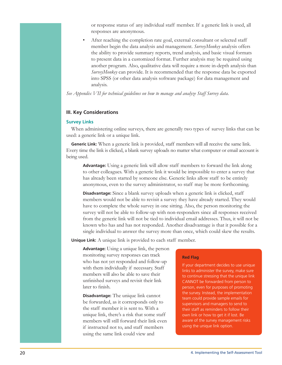or response status of any individual staff member. If a generic link is used, all responses are anonymous.

After reaching the completion rate goal, external consultant or selected staff member begin the data analysis and management. SurveyMonkey analysis offers the ability to provide summary reports, trend analysis, and basic visual formats to present data in a customized format. Further analysis may be required using another program. Also, qualitative data will require a more in-depth analysis than SurveyMonkey can provide. It is recommended that the response data be exported into SPSS (or other data analysis software package) for data management and analysis.

See Appendix VII for technical guidelines on how to manage and analyze Staff Survey data.

### **III. Key Considerations**

### **Survey Links**

When administering online surveys, there are generally two types of survey links that can be used: a generic link or a unique link.

Generic Link: When a generic link is provided, staff members will all receive the same link. Every time the link is clicked, a blank survey uploads no matter what computer or email account is being used.

Advantage: Using a generic link will allow staff members to forward the link along to other colleagues. With a generic link it would be impossible to enter a survey that has already been started by someone else. Generic links allow staff to be entirely anonymous, even to the survey administrator, so staff may be more forthcoming.

**Disadvantage:** Since a blank survey uploads when a generic link is clicked, staff members would not be able to revisit a survey they have already started. They would have to complete the whole survey in one sitting. Also, the person monitoring the survey will not be able to follow-up with non-responders since all responses received from the generic link will not be tied to individual email addresses. Thus, it will not be known who has and has not responded. Another disadvantage is that it possible for a single individual to answer the survey more than once, which could skew the results.

**Unique Link:** A unique link is provided to each staff member.

Advantage: Using a unique link, the person monitoring survey responses can track who has not yet responded and follow-up with them individually if necessary. Staff members will also be able to save their unfinished surveys and revisit their link later to finish.

**Disadvantage:** The unique link cannot be forwarded, as it corresponds only to the staff member it is sent to. With a unique link, there's a risk that some staff members will still forward their link even if instructed not to, and staff members using the same link could view and

### **Red Flag**

If your department decides to use unique links to administer the survey, make sure to continue stressing that the unique link CANNOT be forwarded from person to person, even for purposes of promoting the survey. Instead, the implementation team could provide sample emails for supervisors and managers to send to their staff as reminders to follow their own link or how to get it if lost. Be aware of the survey management risks using the unique link option.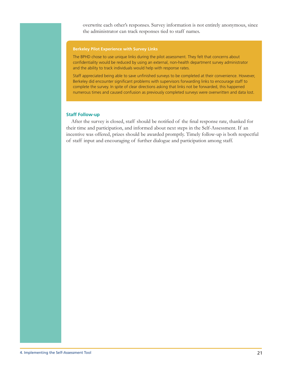overwrite each other's responses. Survey information is not entirely anonymous, since the administrator can track responses tied to staff names.

### **Berkeley Pilot Experience with Survey Links**

The BPHD chose to use unique links during the pilot assessment. They felt that concerns about confidentiality would be reduced by using an external, non-health department survey administrator and the ability to track individuals would help with response rates.

Staff appreciated being able to save unfinished surveys to be completed at their convenience. However, Berkeley did encounter significant problems with supervisors forwarding links to encourage staff to complete the survey. In spite of clear directions asking that links not be forwarded, this happened numerous times and caused confusion as previously completed surveys were overwritten and data lost.

### **Staff Follow-up**

After the survey is closed, staff should be notified of the final response rate, thanked for their time and participation, and informed about next steps in the Self-Assessment. If an incentive was offered, prizes should be awarded promptly. Timely follow-up is both respectful of staff input and encouraging of further dialogue and participation among staff.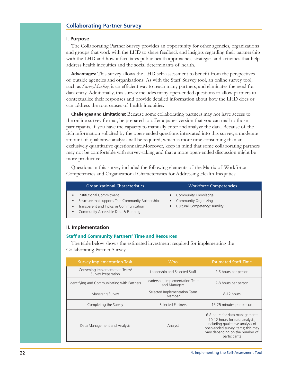### **Collaborating Partner Survey**

### I. Purpose

The Collaborating Partner Survey provides an opportunity for other agencies, organizations and groups that work with the LHD to share feedback and insights regarding their partnership with the LHD and how it facilitates public health approaches, strategies and activities that help address health inequities and the social determinants of health.

**Advantages:** This survey allows the LHD self-assessment to benefit from the perspectives of outside agencies and organizations. As with the Staff Survey tool, an online survey tool, such as SurveyMonkey, is an efficient way to reach many partners, and eliminates the need for data entry. Additionally, this survey includes many open-ended questions to allow partners to contextualize their responses and provide detailed information about how the LHD does or can address the root causes of health inequities.

Challenges and Limitations: Because some collaborating partners may not have access to the online survey format, be prepared to offer a paper version that you can mail to those participants, if you have the capacity to manually enter and analyze the data. Because of the rich information solicited by the open-ended questions integrated into this survey, a moderate amount of qualitative analysis will be required, which is more time consuming than an exclusively quantitative questionnaire. Moreover, keep in mind that some collaborating partners may not be comfortable with survey-taking and that a more open-ended discussion might be more productive.

Questions in this survey included the following elements of the Matrix of Workforce Competencies and Organizational Characteristics for Addressing Health Inequities:

| <b>Organizational Characteristics</b>                                                                                                                              | <b>Workforce Competencies</b>                                                     |
|--------------------------------------------------------------------------------------------------------------------------------------------------------------------|-----------------------------------------------------------------------------------|
| Institutional Commitment<br>Structure that supports True Community Partnerships<br>Transparent and Inclusive Communication<br>Community Accessible Data & Planning | • Community Knowledge<br>• Community Organizing<br>• Cultural Competency/Humility |

### II. Implementation

### **Staff and Community Partners' Time and Resources**

The table below shows the estimated investment required for implementing the Collaborating Partner Survey.

| <b>Survey Implementation Task</b>                    | Who                                             | <b>Estimated Staff Time</b>                                                                                                                                                                   |
|------------------------------------------------------|-------------------------------------------------|-----------------------------------------------------------------------------------------------------------------------------------------------------------------------------------------------|
| Convening Implementation Team/<br>Survey Preparation | Leadership and Selected Staff                   | 2-5 hours per person                                                                                                                                                                          |
| Identifying and Communicating with Partners          | Leadership, Implementation Team<br>and Managers | 2-8 hours per person                                                                                                                                                                          |
| Managing Survey                                      | Selected Implementation Team<br>Member          | 8-12 hours                                                                                                                                                                                    |
| Completing the Survey                                | <b>Selected Partners</b>                        | 15-25 minutes per person                                                                                                                                                                      |
| Data Management and Analysis                         | Analyst                                         | 6-8 hours for data management;<br>10-12 hours for data analysis.<br>including qualitative analysis of<br>open-ended survey items; this may<br>vary depending on the number of<br>participants |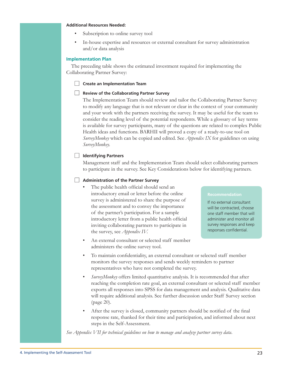### **Additional Resources Needed:**

- Subscription to online survey tool
- In-house expertise and resources or external consultant for survey administration and/or data analysis

### **Implementation Plan**

The preceding table shows the estimated investment required for implementing the Collaborating Partner Survey:

Create an Implementation Team

### Review of the Collaborating Partner Survey

The Implementation Team should review and tailor the Collaborating Partner Survey to modify any language that is not relevant or clear in the context of your community and your work with the partners receiving the survey. It may be useful for the team to consider the reading level of the potential respondents. While a glossary of key terms is available for survey participants, many of the questions are related to complex Public Health ideas and functions. BARHII will proved a copy of a ready-to-use tool on SurveyMonkey which can be copied and edited. See *Appendix IX* for guidelines on using SurveyMonkey.

### | Identifying Partners

Management staff and the Implementation Team should select collaborating partners to participate in the survey. See Key Considerations below for identifying partners.

### Administration of the Partner Survey

- The public health official should send an introductory email or letter before the online survey is administered to share the purpose of the assessment and to convey the importance of the partner's participation. For a sample introductory letter from a public health official inviting collaborating partners to participate in the survey, see *Appendix IV*.
- An external consultant or selected staff member administers the online survey tool.

### **Recommendation**

If no external consultant will be contracted, choose one staff member that will administer and monitor all survey responses and keep responses confidential.

- To maintain confidentiality, an external consultant or selected staff member monitors the survey responses and sends weekly reminders to partner representatives who have not completed the survey.
- *SurveyMonkey* offers limited quantitative analysis. It is recommended that after reaching the completion rate goal, an external consultant or selected staff member exports all responses into SPSS for data management and analysis. Qualitative data will require additional analysis. See further discussion under Staff Survey section (page 20).
- After the survey is closed, community partners should be notified of the final response rate, thanked for their time and participation, and informed about next steps in the Self-Assessment.

See Appendix VII for technical guidelines on how to manage and analyze partner survey data.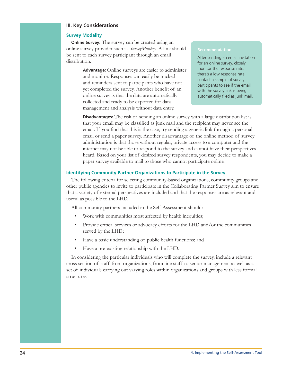### **III. Key Considerations**

### **Survey Modality**

**Online Survey:** The survey can be created using an online survey provider such as SurveyMonkey. A link should be sent to each survey participant through an email distribution.

> Advantage: Online surveys are easier to administer and monitor. Responses can easily be tracked and reminders sent to participants who have not yet completed the survey. Another benefit of an online survey is that the data are automatically collected and ready to be exported for data management and analysis without data entry.

### **Recommendation**

After sending an email invitation for an online survey, closely monitor the response rate. If there's a low response rate, contact a sample of survey participants to see if the email with the survey link is being automatically filed as junk mail.

**Disadvantages:** The risk of sending an online survey with a large distribution list is that your email may be classified as junk mail and the recipient may never see the email. If you find that this is the case, try sending a generic link through a personal email or send a paper survey. Another disadvantage of the online method of survey administration is that those without regular, private access to a computer and the internet may not be able to respond to the survey and cannot have their perspectives heard. Based on your list of desired survey respondents, you may decide to make a paper survey available to mail to those who cannot participate online.

### **Identifying Community Partner Organizations to Participate in the Survey**

The following criteria for selecting community-based organizations, community groups and other public agencies to invite to participate in the Collaborating Partner Survey aim to ensure that a variety of external perspectives are included and that the responses are as relevant and useful as possible to the LHD.

All community partners included in the Self-Assessment should:

- Work with communities most affected by health inequities;
- Provide critical services or advocacy efforts for the LHD and/or the communities served by the LHD;
- Have a basic understanding of public health functions; and
- Have a pre-existing relationship with the LHD.

In considering the particular individuals who will complete the survey, include a relevant cross section of staff from organizations, from line staff to senior management as well as a set of individuals carrying out varying roles within organizations and groups with less formal structures.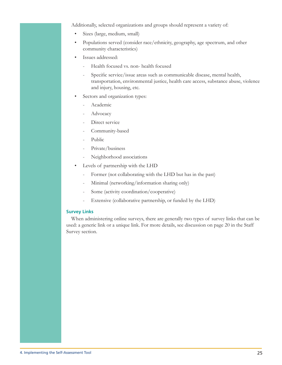Additionally, selected organizations and groups should represent a variety of:

- Sizes (large, medium, small)
- Populations served (consider race/ethnicity, geography, age spectrum, and other  $\bullet$ community characteristics)
- Issues addressed:
	- Health focused vs. non- health focused  $\overline{a}$
	- Specific service/issue areas such as communicable disease, mental health,  $\frac{1}{2}$ transportation, environmental justice, health care access, substance abuse, violence and injury, housing, etc.
- Sectors and organization types:
	- Academic
	- Advocacy
	- Direct service
	- Community-based
	- Public
	- Private/business
	- Neighborhood associations
- Levels of partnership with the LHD
	- $\overline{\phantom{a}}$ Former (not collaborating with the LHD but has in the past)
	- Minimal (networking/information sharing only)  $\overline{a}$
	- Some (activity coordination/cooperative)  $\overline{a}$
	- Extensive (collaborative partnership, or funded by the LHD)

### **Survey Links**

When administering online surveys, there are generally two types of survey links that can be used: a generic link or a unique link. For more details, see discussion on page 20 in the Staff Survey section.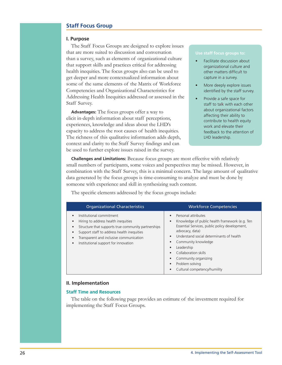### **Staff Focus Group**

### I. Purpose

The Staff Focus Groups are designed to explore issues that are more suited to discussion and conversation than a survey, such as elements of organizational culture that support skills and practices critical for addressing health inequities. The focus groups also can be used to get deeper and more contextualized information about some of the same elements of the Matrix of Workforce Competencies and Organizational Characteristics for Addressing Health Inequities addressed or assessed in the Staff Survey.

**Advantages:** The focus groups offer a way to elicit in-depth information about staff perceptions, experiences, knowledge and ideas about the LHD's capacity to address the root causes of health inequities. The richness of this qualitative information adds depth, context and clarity to the Staff Survey findings and can be used to further explore issues raised in the survey.

### Use staff focus groups to:

- Facilitate discussion about organizational culture and other matters difficult to capture in a survey.
- More deeply explore issues identified by the staff survey.
- Provide a safe space for staff to talk with each other about organizational factors affecting their ability to contribute to health equity work and elevate their feedback to the attention of LHD leadership.

**Challenges and Limitations:** Because focus groups are most effective with relatively small numbers of participants, some voices and perspectives may be missed. However, in combination with the Staff Survey, this is a minimal concern. The large amount of qualitative data generated by the focus groups is time-consuming to analyze and must be done by someone with experience and skill in synthesizing such content.

The specific elements addressed by the focus groups include:

| <b>Organizational Characteristics</b>                                                                                                                                                                                                                                                                         | <b>Workforce Competencies</b>                                                                                                                                                                                                                                                                                                  |
|---------------------------------------------------------------------------------------------------------------------------------------------------------------------------------------------------------------------------------------------------------------------------------------------------------------|--------------------------------------------------------------------------------------------------------------------------------------------------------------------------------------------------------------------------------------------------------------------------------------------------------------------------------|
| Institutional commitment<br>$\bullet$<br>Hiring to address health inequities<br>٠<br>Structure that supports true community partnerships<br>٠<br>Support staff to address health inequities<br>٠<br>Transparent and inclusive communication<br>$\bullet$<br>Institutional support for innovation<br>$\bullet$ | Personal attributes<br>Knowledge of public health framework (e.g. Ten<br>Essential Services, public policy development,<br>advocacy, data)<br>Understand social determinants of health<br>Community knowledge<br>Leadership<br>Collaboration skills<br>Community organizing<br>Problem solving<br>Cultural competency/humility |

### II. Implementation

### **Staff Time and Resources**

The table on the following page provides an estimate of the investment required for implementing the Staff Focus Groups.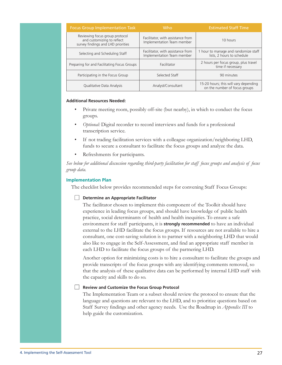| <b>Focus Group Implementation Task</b>                                                             | Who.                                                            | <b>Estimated Staff Time</b>                                            |
|----------------------------------------------------------------------------------------------------|-----------------------------------------------------------------|------------------------------------------------------------------------|
| Reviewing focus group protocol<br>and customizing to reflect<br>survey findings and LHD priorities | Facilitator, with assistance from<br>Implementation Team member | 10 hours                                                               |
| Selecting and Scheduling Staff                                                                     | Facilitator, with assistance from<br>Implementation Team member | 1 hour to manage and randomize staff<br>lists, 2 hours to schedule     |
| Preparing for and Facilitating Focus Groups                                                        | Facilitator                                                     | 2 hours per focus group, plus travel<br>time if necessary              |
| Participating in the Focus Group                                                                   | Selected Staff                                                  | 90 minutes                                                             |
| Qualitative Data Analysis                                                                          | Analyst/Consultant                                              | 15-20 hours; this will vary depending<br>on the number of focus groups |

### **Additional Resources Needed:**

- Private meeting room, possibly off-site (but nearby), in which to conduct the focus groups.
- Optional: Digital recorder to record interviews and funds for a professional transcription service.
- If not trading facilitation services with a colleague organization/neighboring LHD, funds to secure a consultant to facilitate the focus groups and analyze the data.
- Refreshments for participants.

See below for additional discussion regarding third-party facilitation for staff focus groups and analysis of focus group data.

### **Implementation Plan**

The checklist below provides recommended steps for convening Staff Focus Groups:

### Determine an Appropriate Facilitator

The facilitator chosen to implement this component of the Toolkit should have experience in leading focus groups, and should have knowledge of public health practice, social determinants of health and health inequities. To ensure a safe environment for staff participants, it is **strongly recommended** to have an individual external to the LHD facilitate the focus groups. If resources are not available to hire a consultant, one cost-saving solution is to partner with a neighboring LHD that would also like to engage in the Self-Assessment, and find an appropriate staff member in each LHD to facilitate the focus groups of the partnering LHD.

Another option for minimizing costs is to hire a consultant to facilitate the groups and provide transcripts of the focus groups with any identifying comments removed, so that the analysis of these qualitative data can be performed by internal LHD staff with the capacity and skills to do so.

### Review and Customize the Focus Group Protocol

The Implementation Team or a subset should review the protocol to ensure that the language and questions are relevant to the LHD, and to prioritize questions based on Staff Survey findings and other agency needs. Use the Roadmap in *Appendix III* to help guide the customization.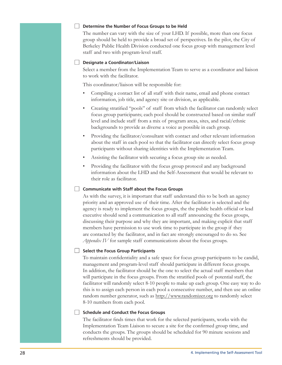#### Determine the Number of Focus Groups to be Held

The number can vary with the size of your LHD. If possible, more than one focus group should be held to provide a broad set of perspectives. In the pilot, the City of Berkeley Public Health Division conducted one focus group with management level staff and two with program-level staff.

#### Designate a Coordinator/Liaison

Select a member from the Implementation Team to serve as a coordinator and liaison to work with the facilitator.

This coordinator/liaison will be responsible for:

- Compiling a contact list of all staff with their name, email and phone contact information, job title, and agency site or division, as applicable.
- Creating stratified "pools" of staff from which the facilitator can randomly select focus group participants; each pool should be constructed based on similar staff level and include staff from a mix of program areas, sites, and racial/ethnic backgrounds to provide as diverse a voice as possible in each group.
- Providing the facilitator/consultant with contact and other relevant information about the staff in each pool so that the facilitator can directly select focus group participants without sharing identities with the Implementation Team.
- Assisting the facilitator with securing a focus group site as needed.
- Providing the facilitator with the focus group protocol and any background information about the LHD and the Self-Assessment that would be relevant to their role as facilitator.

## Communicate with Staff about the Focus Groups

As with the survey, it is important that staff understand this to be both an agency priority and an approved use of their time. After the facilitator is selected and the agency is ready to implement the focus groups, the the public health official or lead executive should send a communication to all staff announcing the focus groups, discussing their purpose and why they are important, and making explicit that staff members have permission to use work time to participate in the group if they are contacted by the facilitator, and in fact are strongly encouraged to do so. See Appendix IV for sample staff communications about the focus groups.

## Select the Focus Group Participants

To maintain confidentiality and a safe space for focus group participants to be candid, management and program-level staff should participate in different focus groups. In addition, the facilitator should be the one to select the actual staff members that will participate in the focus groups. From the stratified pools of potential staff, the facilitator will randomly select 8-10 people to make up each group. One easy way to do this is to assign each person in each pool a consecutive number, and then use an online random number generator, such as http://www.randomizer.org to randomly select 8-10 numbers from each pool.

#### Schedule and Conduct the Focus Groups

The facilitator finds times that work for the selected participants, works with the Implementation Team Liaison to secure a site for the confirmed group time, and conducts the groups. The groups should be scheduled for 90 minute sessions and refreshments should be provided.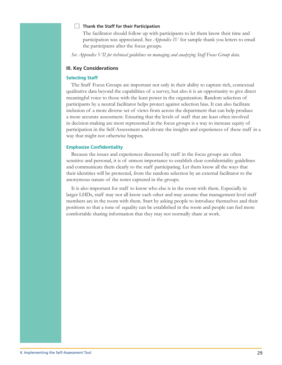#### $\Box$  Thank the Staff for their Participation

The facilitator should follow up with participants to let them know their time and participation was appreciated. See *Appendix IV* for sample thank you letters to email the participants after the focus groups.

See Appendix VII for technical guidelines on managing and analyzing Staff Focus Group data.

## **III. Key Considerations**

#### **Selecting Staff**

The Staff Focus Groups are important not only in their ability to capture rich, contextual qualitative data beyond the capabilities of a survey, but also it is an opportunity to give direct meaningful voice to those with the least power in the organization. Random selection of participants by a neutral facilitator helps protect against selection bias. It can also facilitate inclusion of a more diverse set of views from across the department that can help produce a more accurate assessment. Ensuring that the levels of staff that are least often involved in decision-making are most represented in the focus groups is a way to increase equity of participation in the Self-Assessment and elevate the insights and experiences of these staff in a way that might not otherwise happen.

#### **Emphasize Confidentiality**

Because the issues and experiences discussed by staff in the focus groups are often sensitive and personal, it is of utmost importance to establish clear confidentiality guidelines and communicate them clearly to the staff participating. Let them know all the ways that their identities will be protected, from the random selection by an external facilitator to the anonymous nature of the notes captured in the groups.

It is also important for staff to know who else is in the room with them. Especially in larger LHDs, staff may not all know each other and may assume that management level staff members are in the room with them. Start by asking people to introduce themselves and their positions so that a tone of equality can be established in the room and people can feel more comfortable sharing information that they may not normally share at work.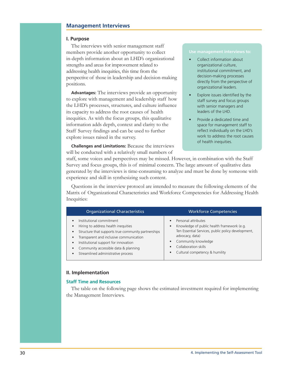## **Management Interviews**

#### I. Purpose

The interviews with senior management staff members provide another opportunity to collect in-depth information about an LHD's organizational strengths and areas for improvement related to addressing health inequities, this time from the perspective of those in leadership and decision-making positions.

**Advantages:** The interviews provide an opportunity to explore with management and leadership staff how the LHD's processes, structures, and culture influence its capacity to address the root causes of health inequities. As with the focus groups, this qualitative information adds depth, context and clarity to the Staff Survey findings and can be used to further explore issues raised in the survey.

**Challenges and Limitations:** Because the interviews will be conducted with a relatively small numbers of

#### Use management interviews to:

- Collect information about organizational culture, institutional commitment, and decision-making processes directly from the perspective of organizational leaders.
- Explore issues identified by the staff survey and focus groups with senior managers and leaders of the LHD.
- Provide a dedicated time and space for management staff to reflect individually on the LHD's work to address the root causes of health inequities.

staff, some voices and perspectives may be missed. However, in combination with the Staff Survey and focus groups, this is of minimal concern. The large amount of qualitative data generated by the interviews is time-consuming to analyze and must be done by someone with experience and skill in synthesizing such content.

Questions in the interview protocol are intended to measure the following elements of the Matrix of Organizational Characteristics and Workforce Competencies for Addressing Health Inequities:

| <b>Organizational Characteristics</b>                                                                                                                                                                                                                                                                                                                                              | <b>Workforce Competencies</b>                                                                                                                                                                                                            |
|------------------------------------------------------------------------------------------------------------------------------------------------------------------------------------------------------------------------------------------------------------------------------------------------------------------------------------------------------------------------------------|------------------------------------------------------------------------------------------------------------------------------------------------------------------------------------------------------------------------------------------|
| Institutional commitment<br>$\bullet$<br>Hiring to address health inequities<br>$\bullet$<br>Structure that supports true community partnerships<br>$\bullet$<br>Transparent and inclusive communication<br>$\bullet$<br>Institutional support for innovation<br>$\bullet$<br>Community accessible data & planning<br>$\bullet$<br>Streamlined administrative process<br>$\bullet$ | Personal attributes<br>Knowledge of public health framework (e.g.<br>$\bullet$<br>Ten Essential Services, public policy development,<br>advocacy, data)<br>Community knowledge<br>Collaboration skills<br>Cultural competency & humility |

#### II. Implementation

## **Staff Time and Resources**

The table on the following page shows the estimated investment required for implementing the Management Interviews.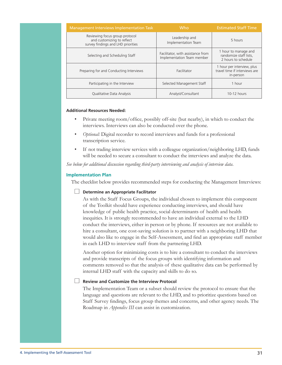| Management Interviews Implementation Task                                                          | <b>Who</b>                                                      | <b>Estimated Staff Time</b>                                              |  |  |
|----------------------------------------------------------------------------------------------------|-----------------------------------------------------------------|--------------------------------------------------------------------------|--|--|
| Reviewing focus group protocol<br>and customizing to reflect<br>survey findings and LHD priorities | Leadership and<br>Implementation Team                           | 5 hours                                                                  |  |  |
| Selecting and Scheduling Staff                                                                     | Facilitator, with assistance from<br>Implementation Team member | 1 hour to manage and<br>randomize staff lists.<br>2 hours to schedule    |  |  |
| Preparing for and Conducting Interviews                                                            | Facilitator                                                     | 1 hour per interview, plus<br>travel time if interviews are<br>in-person |  |  |
| Participating in the Interview                                                                     | Selected Management Staff                                       | 1 hour                                                                   |  |  |
| Qualitative Data Analysis                                                                          | Analyst/Consultant                                              | 10-12 hours                                                              |  |  |

#### **Additional Resources Needed:**

- Private meeting room/office, possibly off-site (but nearby), in which to conduct the interviews. Interviews can also be conducted over the phone.
- Optional: Digital recorder to record interviews and funds for a professional transcription service.
- If not trading interview services with a colleague organization/neighboring LHD, funds will be needed to secure a consultant to conduct the interviews and analyze the data.

See below for additional discussion regarding third-party interviewing and analysis of interview data.

#### **Implementation Plan**

The checklist below provides recommended steps for conducting the Management Interviews:

#### $\Box$  Determine an Appropriate Facilitator

As with the Staff Focus Groups, the individual chosen to implement this component of the Toolkit should have experience conducting interviews, and should have knowledge of public health practice, social determinants of health and health inequities. It is strongly recommended to have an individual external to the LHD conduct the interviews, either in person or by phone. If resources are not available to hire a consultant, one cost-saving solution is to partner with a neighboring LHD that would also like to engage in the Self-Assessment, and find an appropriate staff member in each LHD to interview staff from the partnering LHD.

Another option for minimizing costs is to hire a consultant to conduct the interviews and provide transcripts of the focus groups with identifying information and comments removed so that the analysis of these qualitative data can be performed by internal LHD staff with the capacity and skills to do so.

## $\Box$  Review and Customize the Interview Protocol

The Implementation Team or a subset should review the protocol to ensure that the language and questions are relevant to the LHD, and to prioritize questions based on Staff Survey findings, focus group themes and concerns, and other agency needs. The Roadmap in *Appendix III* can assist in customization.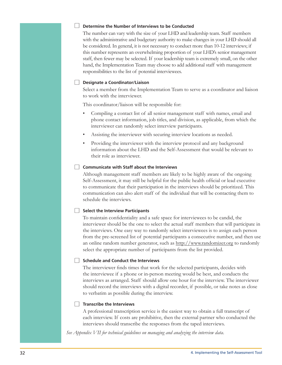#### $\Box$  Determine the Number of Interviews to be Conducted

The number can vary with the size of your LHD and leadership team. Staff members with the administrative and budgetary authority to make changes in your LHD should all be considered. In general, it is not necessary to conduct more than 10-12 interviews; if this number represents an overwhelming proportion of your LHD's senior management staff, then fewer may be selected. If your leadership team is extremely small, on the other hand, the Implementation Team may choose to add additional staff with management responsibilities to the list of potential interviewees.

#### Designate a Coordinator/Liaison

Select a member from the Implementation Team to serve as a coordinator and liaison to work with the interviewer.

This coordinator/liaison will be responsible for:

- Compiling a contact list of all senior management staff with names, email and phone contact information, job titles, and division, as applicable, from which the interviewer can randomly select interview participants.
- Assisting the interviewer with securing interview locations as needed.
- Providing the interviewer with the interview protocol and any background information about the LHD and the Self-Assessment that would be relevant to their role as interviewer.

## □ Communicate with Staff about the Interviews

Although management staff members are likely to be highly aware of the ongoing Self-Assessment, it may still be helpful for the public health official or lead executive to communicate that their participation in the interviews should be prioritized. This communication can also alert staff of the individual that will be contacting them to schedule the interviews.

#### $\Box$  Select the Interview Participants

To maintain confidentiality and a safe space for interviewees to be candid, the interviewer should be the one to select the actual staff members that will participate in the interviews. One easy way to randomly select interviewees is to assign each person from the pre-screened list of potential participants a consecutive number, and then use an online random number generator, such as http://www.randomizer.org to randomly select the appropriate number of participants from the list provided.

#### Schedule and Conduct the Interviews

The interviewer finds times that work for the selected participants, decides with the interviewee if a phone or in-person meeting would be best, and conducts the interviews as arranged. Staff should allow one hour for the interview. The interviewer should record the interviews with a digital recorder, if possible, or take notes as close to verbatim as possible during the interview.

## $\Box$  Transcribe the Interviews

A professional transcription service is the easiest way to obtain a full transcript of each interview. If costs are prohibitive, then the external partner who conducted the interviews should transcribe the responses from the taped interviews.

See Appendix VII for technical guidelines on managing and analyzing the interview data.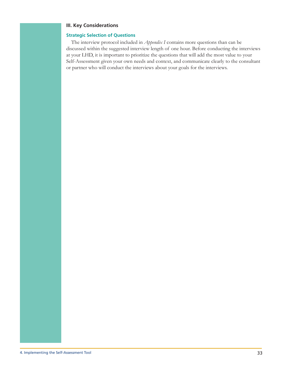## **III. Key Considerations**

## **Strategic Selection of Questions**

The interview protocol included in *Appendix I* contains more questions than can be discussed within the suggested interview length of one hour. Before conducting the interviews at your LHD, it is important to prioritize the questions that will add the most value to your Self-Assessment given your own needs and context, and communicate clearly to the consultant or partner who will conduct the interviews about your goals for the interviews.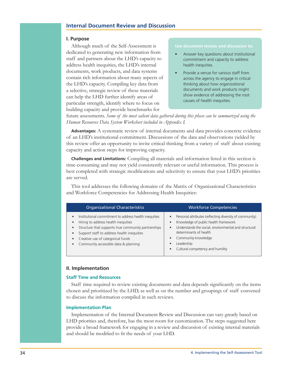# **Internal Document Review and Discussion**

#### I. Purpose

Although much of the Self-Assessment is dedicated to generating new information from staff and partners about the LHD's capacity to address health inequities, the LHD's internal documents, work products, and data systems contain rich information about many aspects of the LHD's capacity. Compiling key data from a selective, strategic review of these materials can help the LHD further identify areas of particular strength, identify where to focus on building capacity and provide benchmarks for

#### Use document review and discussion to:

- Answer key questions about institutional commitment and capacity to address health inequities.
- Provide a venue for various staff from across the agency to engage in critical thinking about how organizational documents and work products might show evidence of addressing the root causes of health inequities.

future assessments. Some of the most salient data gathered during this phase can be summarized using the Human Resources Data System Worksheet included in Appendix I.

**Advantages:** A systematic review of internal documents and data provides concrete evidence of an LHD's institutional commitment. Discussions of the data and observations yielded by this review offer an opportunity to invite critical thinking from a variety of staff about existing capacity and action steps for improving capacity.

**Challenges and Limitations:** Compiling all materials and information listed in this section is time-consuming and may not yield consistently relevant or useful information. This process is best completed with strategic modifications and selectivity to ensure that your LHD's priorities are served.

This tool addresses the following domains of the Matrix of Organizational Characteristics and Workforce Competencies for Addressing Health Inequities:

| <b>Organizational Characteristics</b>                                                                                                                                                                                                                                                                                                                        | <b>Workforce Competencies</b>                                                                                                                                                                                                                                                        |  |  |  |
|--------------------------------------------------------------------------------------------------------------------------------------------------------------------------------------------------------------------------------------------------------------------------------------------------------------------------------------------------------------|--------------------------------------------------------------------------------------------------------------------------------------------------------------------------------------------------------------------------------------------------------------------------------------|--|--|--|
| Institutional commitment to address health inequities<br>$\bullet$<br>Hiring to address health inequities<br>$\bullet$<br>Structure that supports true community partnerships<br>$\bullet$<br>Support staff to address health inequities<br>$\bullet$<br>Creative use of categorical funds<br>$\bullet$<br>Community accessible data & planning<br>$\bullet$ | Personal attributes (reflecting diversity of community)<br>$\bullet$<br>Knowledge of public health framework<br>Understands the social, environmental and structural<br>$\bullet$<br>determinants of health<br>Community knowledge<br>Leadership<br>Cultural competency and humility |  |  |  |

## II. Implementation

## **Staff Time and Resources**

Staff time required to review existing documents and data depends significantly on the items chosen and prioritized by the LHD, as well as on the number and groupings of staff convened to discuss the information compiled in such reviews.

#### **Implementation Plan**

Implementation of the Internal Document Review and Discussion can vary greatly based on LHD priorities and, therefore, has the most room for customization. The steps suggested here provide a broad framework for engaging in a review and discussion of existing internal materials and should be modified to fit the needs of your LHD.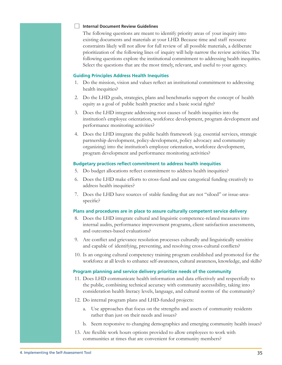#### Internal Document Review Guidelines

The following questions are meant to identify priority areas of your inquiry into existing documents and materials at your LHD. Because time and staff resource constraints likely will not allow for full review of all possible materials, a deliberate prioritization of the following lines of inquiry will help narrow the review activities. The following questions explore the institutional commitment to addressing health inequities. Select the questions that are the most timely, relevant, and useful to your agency.

## **Guiding Principles Address Health Inequities**

- 1. Do the mission, vision and values reflect an institutional commitment to addressing health inequities?
- 2. Do the LHD goals, strategies, plans and benchmarks support the concept of health equity as a goal of public health practice and a basic social right?
- 3. Does the LHD integrate addressing root causes of health inequities into the institution's employee orientation, workforce development, program development and performance monitoring activities?
- 4. Does the LHD integrate the public health framework (e.g. essential services, strategic partnership development, policy-development, policy advocacy and community organizing) into the institution's employee orientation, workforce development, program development and performance monitoring activities?

## **Budgetary practices reflect commitment to address health inequities**

- 5. Do budget allocations reflect commitment to address health inequities?
- 6. Does the LHD make efforts to cross-fund and use categorical funding creatively to address health inequities?
- 7. Does the LHD have sources of stable funding that are not "siloed" or issue-areaspecific?

## Plans and procedures are in place to assure culturally competent service delivery

- Does the LHD integrate cultural and linguistic competence-related measures into 8. internal audits, performance improvement programs, client satisfaction assessments, and outcomes-based evaluations?
- 9. Are conflict and grievance resolution processes culturally and linguistically sensitive and capable of identifying, preventing, and resolving cross-cultural conflicts?
- 10. Is an ongoing cultural competency training program established and promoted for the workforce at all levels to enhance self-awareness, cultural awareness, knowledge, and skills?

## Program planning and service delivery prioritize needs of the community

- 11. Does LHD communicate health information and data effectively and respectfully to the public, combining technical accuracy with community accessibility, taking into consideration health literacy levels, language, and cultural norms of the community?
- 12. Do internal program plans and LHD-funded projects:
	- a. Use approaches that focus on the strengths and assets of community residents rather than just on their needs and issues?
	- b. Seem responsive to changing demographics and emerging community health issues?
- 13. Are flexible work hours options provided to allow employees to work with communities at times that are convenient for community members?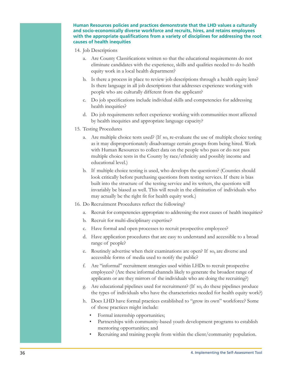Human Resources policies and practices demonstrate that the LHD values a culturally and socio-economically diverse workforce and recruits, hires, and retains employees with the appropriate qualifications from a variety of disciplines for addressing the root causes of health inequities

- 14. Job Descriptions
	- a. Are County Classifications written so that the educational requirements do not eliminate candidates with the experience, skills and qualities needed to do health equity work in a local health department?
	- b. Is there a process in place to review job descriptions through a health equity lens? Is there language in all job descriptions that addresses experience working with people who are culturally different from the applicant?
	- c. Do job specifications include individual skills and competencies for addressing health inequities?
	- d. Do job requirements reflect experience working with communities most affected by health inequities and appropriate language capacity?
- 15. Testing Procedures
	- a. Are multiple choice tests used? (If so, re-evaluate the use of multiple choice testing as it may disproportionately disadvantage certain groups from being hired. Work with Human Resources to collect data on the people who pass or do not pass multiple choice tests in the County by race/ethnicity and possibly income and educational level.)
	- b. If multiple choice testing is used, who develops the questions? (Counties should look critically before purchasing questions from testing services. If there is bias built into the structure of the testing service and its writers, the questions will invariably be biased as well. This will result in the elimination of individuals who may actually be the right fit for health equity work.)
- 16. Do Recruitment Procedures reflect the following?
	- a. Recruit for competencies appropriate to addressing the root causes of health inequities?
	- b. Recruit for multi-disciplinary expertise?
	- c. Have formal and open processes to recruit prospective employees?
	- d. Have application procedures that are easy to understand and accessible to a broad range of people?
	- e. Routinely advertise when their examinations are open? If so, are diverse and accessible forms of media used to notify the public?
	- f. Are "informal" recruitment strategies used within LHDs to recruit prospective employees? (Are these informal channels likely to generate the broadest range of applicants or are they mirrors of the individuals who are doing the recruiting?)
	- g. Are educational pipelines used for recruitment? (If so, do these pipelines produce the types of individuals who have the characteristics needed for health equity work?)
	- h. Does LHD have formal practices established to "grow its own" workforce? Some of those practices might include:
		- Formal internship opportunities;
		- Partnerships with community-based youth development programs to establish mentoring opportunities; and
		- Recruiting and training people from within the client/community population.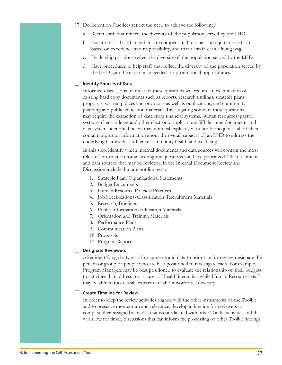- 17. Do Retention Practices reflect the need to achieve the following?
	- Retain staff that reflects the diversity of the population served by the LHD.  $\overline{a}$ .
	- b. Ensure that all staff members are compensated in a fair and equitable fashion based on experience and responsibility, and that all staff earn a living wage.
	- Leadership positions reflect the diversity of the population served by the LHD. c.
	- d. Have procedures to help staff that reflect the diversity of the population served by the LHD gain the experience needed for promotional opportunities.

## Identify Sources of Data

Informed discussions of most of these questions will require an examination of existing hard copy documents such as reports, research findings, strategic plans, proposals, written polices and protocols as well as publications, and community planning and public education materials. Investigating some of these questions may require the extraction of data from financial systems, human resources/payroll systems, client indexes and other electronic applications. While some documents and data systems identified below may not deal explicitly with health inequities, all of them contain important information about the overall capacity of an LHD to address the underlying factors that influence community health and wellbeing.

In this step, identify which internal documents and data sources will contain the most relevant information for answering the questions you have prioritized. The documents and data sources that may be reviewed in the Internal Document Review and Discussion include, but are not limited to:

- 1. Strategic Plan/Organizational Statements
- 2. Budget Documents
- 3. Human Resource Policies/Practices
- 4. Job Specifications/Classification/Recruitment Materials
- 5. Research/Briefings
- 6. Public Information/Education Materials
- 7. Orientation and Training Materials
- 8. Performance Plans
- 9. Communication Plans
- 10. Proposals
- 11. Program Reports

## Designate Reviewers

After identifying the types of documents and data to prioritize for review, designate the person or group of people who are best positioned to investigate each. For example, Program Managers may be best positioned to evaluate the relationship of their budgets to activities that address root causes of health inequities, while Human Resources staff may be able to most easily extract data about workforce diversity.

## $\Box$  Create Timeline for Review

In order to keep the review activities aligned with the other instruments of the Toolkit and to preserve momentum and relevance, develop a timeline for reviewers to complete their assigned activities that is coordinated with other Toolkit activities and that will allow for timely discussions that can inform the processing of other Toolkit findings.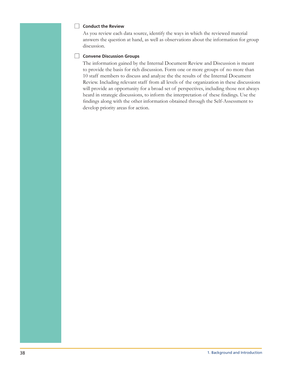## Conduct the Review

As you review each data source, identify the ways in which the reviewed material answers the question at hand, as well as observations about the information for group discussion.

## Convene Discussion Groups

The information gained by the Internal Document Review and Discussion is meant to provide the basis for rich discussion. Form one or more groups of no more than 10 staff members to discuss and analyze the the results of the Internal Document Review. Including relevant staff from all levels of the organization in these discussions will provide an opportunity for a broad set of perspectives, including those not always heard in strategic discussions, to inform the interpretation of these findings. Use the findings along with the other information obtained through the Self-Assessment to develop priority areas for action.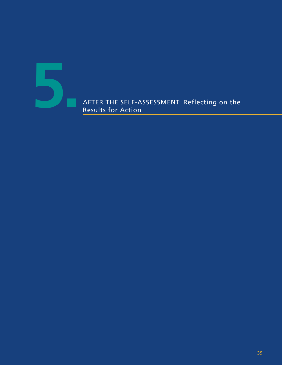

AFTER THE SELF-ASSESSMENT: Reflecting on the **5.** Results for Action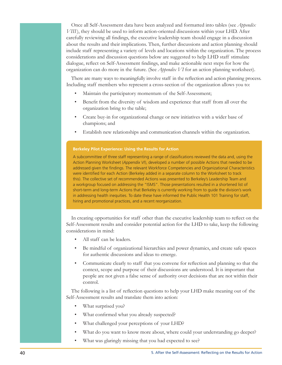Once all Self-Assessment data have been analyzed and formatted into tables (see *Appendix* VIII), they should be used to inform action-oriented discussions within your LHD. After carefully reviewing all findings, the executive leadership team should engage in a discussion about the results and their implications. Then, further discussions and action planning should include staff representing a variety of levels and locations within the organization. The process considerations and discussion questions below are suggested to help LHD staff stimulate dialogue, reflect on Self-Assessment findings, and make actionable next steps for how the organization can do more in the future. (See *Appendix VI* for an action planning worksheet).

There are many ways to meaningfully involve staff in the reflection and action planning process. Including staff members who represent a cross-section of the organization allows you to:

- Maintain the participatory momentum of the Self-Assessment;
- Benefit from the diversity of wisdom and experience that staff from all over the organization bring to the table;
- Create buy-in for organizational change or new initiatives with a wider base of champions; and
- Establish new relationships and communication channels within the organization.

#### **Berkeley Pilot Experience: Using the Results for Action**

A subcommittee of three staff representing a range of classifications reviewed the data and, using the Action Planning Worksheet (Appendix VI), developed a number of possible Actions that needed to be addressed given the findings. The relevant Workforce Competencies and Organizational Characteristics were identified for each Action (Berkeley added in a separate column to the Worksheet to track this). The collective set of recommended Actions was presented to Berkeley's Leadership Team and a workgroup focused on addressing the "ISMS". Those presentations resulted in a shortened list of short-term and long-term Actions that Berkeley is currently working from to guide the division's work in addressing health inequities. To date these have informed the Public Health 101 Training for staff, hiring and promotional practices, and a recent reorganization.

In creating opportunities for staff other than the executive leadership team to reflect on the Self-Assessment results and consider potential action for the LHD to take, keep the following considerations in mind:

- All staff can be leaders.
- Be mindful of organizational hierarchies and power dynamics, and create safe spaces for authentic discussions and ideas to emerge.
- Communicate clearly to staff that you convene for reflection and planning so that the context, scope and purpose of their discussions are understood. It is important that people are not given a false sense of authority over decisions that are not within their control.

The following is a list of reflection questions to help your LHD make meaning out of the Self-Assessment results and translate them into action:

- What surprised you?
- What confirmed what you already suspected?
- What challenged your perceptions of your LHD?
- What do you want to know more about, where could your understanding go deeper?
- What was glaringly missing that you had expected to see?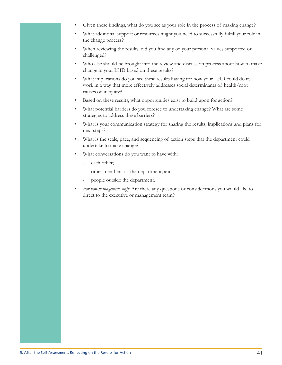- Given these findings, what do you see as your role in the process of making change?
- What additional support or resources might you need to successfully fulfill your role in the change process?
- When reviewing the results, did you find any of your personal values supported or challenged?
- Who else should be brought into the review and discussion process about how to make change in your LHD based on these results?
- What implications do you see these results having for how your LHD could do its work in a way that more effectively addresses social determinants of health/root causes of inequity?
- Based on these results, what opportunities exist to build upon for action?  $\bullet$
- What potential barriers do you foresee to undertaking change? What are some strategies to address these barriers?
- What is your communication strategy for sharing the results, implications and plans for next steps?
- What is the scale, pace, and sequencing of action steps that the department could undertake to make change?
- What conversations do you want to have with:
	- each other;
	- other members of the department; and
	- people outside the department.
- For non-management staff: Are there any questions or considerations you would like to direct to the executive or management team?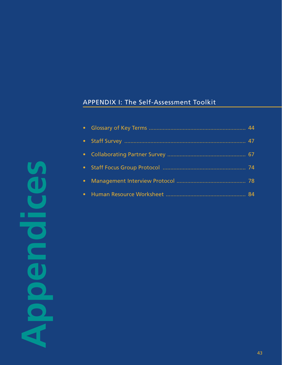# APPENDIX I: The Self-Assessment Toolkit

п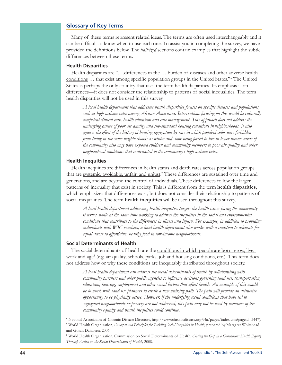## **Glossary of Key Terms**

Many of these terms represent related ideas. The terms are often used interchangeably and it can be difficult to know when to use each one. To assist you in completing the survey, we have provided the definitions below. The *italicized* sections contain examples that highlight the subtle differences between these terms.

## **Health Disparities**

Health disparities are "... differences in the ... burden of diseases and other adverse health conditions ... that exist among specific population groups in the United States." The United States is perhaps the only country that uses the term health disparities. Its emphasis is on differences—it does not consider the relationship to patterns of social inequalities. The term health disparities will not be used in this survey.

A local health department that addresses health disparities focuses on specific diseases and populations, such as high asthma rates among African Americans. Interventions focusing on this would be culturally competent clinical care, health education and case management. This approach does not address the underlying causes of poor air quality and sub-standard housing conditions in neighborhoods. It also ignores the effect of the history of housing segregation by race in which people of color were forbidden from living in the same neighborhoods as whites and how being forced to live in lower income areas of the community also may have exposed children and community members to poor air quality and other neighborhood conditions that contributed to the community's high asthma rates.

## **Health Inequities**

Health inequities are differences in health status and death rates across population groups that are systemic, avoidable, unfair, and unjust.<sup>7</sup> These differences are sustained over time and generations, and are beyond the control of individuals. These differences follow the larger patterns of inequality that exist in society. This is different from the term health disparities, which emphasizes that differences exist, but does not consider their relationship to patterns of social inequalities. The term health inequities will be used throughout this survey.

A local health department addressing health inequities targets the health issues facing the community it serves, while at the same time working to address the inequities in the social and environmental conditions that contribute to the differences in illness and injury. For example, in addition to providing individuals with WIC vouchers, a local health department also works with a coalition to advocate for equal access to affordable, healthy food in low-income neighborhoods.

## **Social Determinants of Health**

The social determinants of health are the conditions in which people are born, grow, live, work and  $age<sup>8</sup>$  (e.g. air quality, schools, parks, job and housing conditions, etc.). This term does not address how or why these conditions are inequitably distributed throughout society.

A local health department can address the social determinants of health by collaborating with community partners and other public agencies to influence decisions governing land use, transportation, education, housing, employment and other social factors that affect health. An example of this would be to work with land use planners to create a new walking path. The path will provide an attractive opportunity to be physically active. However, if the underlying social conditions that have led to segregated neighborhoods or poverty are not addressed, this path may not be used by members of the community equally and health inequities could continue.

<sup>6</sup> National Association of Chronic Disease Directors, http://www.chronicdisease.org/i4a/pages/index.cfm?pageid=3447). <sup>7</sup> World Health Organization, Concepts and Principles for Tackling Social Inequities in Health, prepared by Margaret Whitehead and Goran Dahlgren, 2006.

<sup>8</sup> World Health Organization, Commission on Social Determinants of Health, Closing the Gap in a Generation: Health Equity Through Action on the Social Determinants of Health, 2008.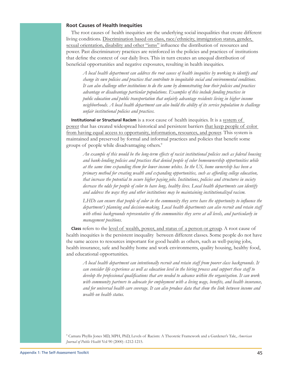## **Root Causes of Health Inequities**

The root causes of health inequities are the underlying social inequalities that create different living conditions. Discrimination based on class, race/ethnicity, immigration status, gender, sexual orientation, disability and other "isms" influence the distribution of resources and power. Past discriminatory practices are reinforced in the policies and practices of institutions that define the context of our daily lives. This in turn creates an unequal distribution of beneficial opportunities and negative exposures, resulting in health inequities.

A local health department can address the root causes of health inequities by working to identify and change its own policies and practices that contribute to inequitable social and environmental conditions. It can also challenge other institutions to do the same by demonstrating how their policies and practices advantage or disadvantage particular populations. Examples of this include funding practices in public education and public transportation that unfairly advantage residents living in higher income neighborhoods. A local health department can also build the ability of its service population to challenge unfair institutional policies and practices.

Institutional or Structural Racism is a root cause of health inequities. It is a system of power that has created widespread historical and persistent barriers that keep people of color from having equal access to opportunity, information, resources, and power. This system is maintained and preserved by formal and informal practices and policies that benefit some groups of people while disadvantaging others.<sup>9</sup>

An example of this would be the long-term effects of racist institutional policies such as federal housing and bank-lending policies and practices that denied people of color homeownership opportunities while at the same time expanding them for lower income whites. In the US, home ownership has been a primary method for creating wealth and expanding opportunities, such as affording college education, that increase the potential to secure higher paying jobs. Institutions, policies and structures in society decrease the odds for people of color to have long, healthy lives. Local health departments can identify and address the ways they and other institutions may be maintaining institutionalized racism.

LHDs can ensure that people of color in the community they serve have the opportunity to influence the department's planning and decision-making. Local health departments can also recruit and retain staff with ethnic backgrounds representative of the communities they serve at all levels, and particularly in management positions.

**Class** refers to the level of wealth, power, and status of a person or group. A root cause of health inequities is the persistent inequality between different classes. Some people do not have the same access to resources important for good health as others, such as well-paying jobs, health insurance, safe and healthy home and work environments, quality housing, healthy food, and educational opportunities.

 $\emph{A}$  local health department can intentionally recruit and retain staff from poorer class backgrounds. It can consider life experience as well as education level in the hiring process and support these staff to develop the professional qualifications that are needed to advance within the organization. It can work with community partners to advocate for employment with a living wage, benefits, and health insurance, and for universal health care coverage. It can also produce data that show the link between income and wealth on health status.

<sup>9</sup> Camara Phyllis Jones MD, MPH, PhD, Levels of Racism: A Theoretic Framework and a Gardener's Tale, American Journal of Public Health Vol 90 (2000) :1212-1215.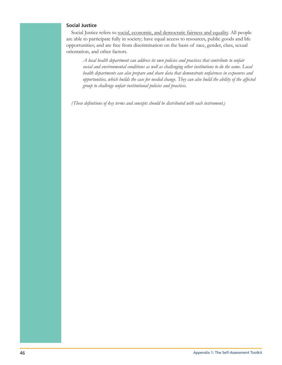## **Social Justice**

Social Justice refers to social, economic, and democratic fairness and equality. All people are able to participate fully in society; have equal access to resources, public goods and life opportunities; and are free from discrimination on the basis of race, gender, class, sexual orientation, and other factors.

A local health department can address its own policies and practices that contribute to unfair social and environmental conditions as well as challenging other institutions to do the same. Local health departments can also prepare and share data that demonstrate unfairness in exposures and opportunities, which builds the case for needed change. They can also build the ability of the affected group to challenge unfair institutional policies and practices.

(These definitions of key terms and concepts should be distributed with each instrument.)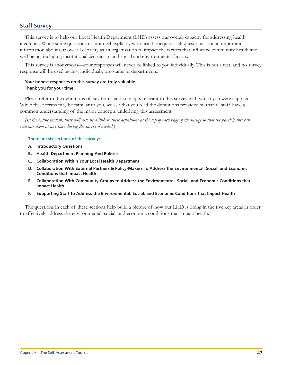# **Staff Survey**

This survey is to help our Local Health Department (LHD) assess our overall capacity for addressing health inequities. While some questions do not deal explicitly with health inequities, all questions contain important information about our overall capacity as an organization to impact the factors that influence community health and well being, including institutionalized racism and social and environmental factors.

This survey is anonymous—your responses will never be linked to you individually. This is not a test, and no survey response will be used against individuals, programs or departments.

## Your honest responses on this survey are truly valuable. Thank you for your time!

Please refer to the definitions of key terms and concepts relevant to this survey with which you were supplied. While these terms may be familiar to you, we ask that you read the definitions provided so that all staff have a common understanding of the major concepts underlying this assessment.

(In the online version, there will also be a link to these definitions at the top of each page of the survey so that the participants can reference them at any time during the survey if needed.)

#### There are six sections of this survey:

- A. Introductory Questions
- **B.** Health Department Planning And Policies
- C. Collaboration Within Your Local Health Department
- D. Collaboration With External Partners & Policy-Makers To Address the Environmental, Social, and Economic **Conditions that Impact Health**
- E. Collaboration With Community Groups to Address the Environmental, Social, and Economic Conditions that **Impact Health**
- Supporting Staff to Address the Environmental, Social, and Economic Conditions that Impact Health Е.

The questions in each of these sections help build a picture of how our LHD is doing in the five key areas in order to effectively address the environmental, social, and economic conditions that impact health.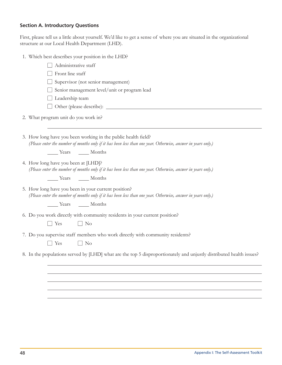# **Section A. Introductory Questions**

First, please tell us a little about yourself. We'd like to get a sense of where you are situated in the organizational structure at our Local Health Department (LHD).

1. Which best describes your position in the LHD?

| Administrative staff                                                                                                                                                          |
|-------------------------------------------------------------------------------------------------------------------------------------------------------------------------------|
| Front line staff                                                                                                                                                              |
| Supervisor (not senior management)                                                                                                                                            |
| Senior management level/unit or program lead                                                                                                                                  |
| Leadership team                                                                                                                                                               |
|                                                                                                                                                                               |
| 2. What program unit do you work in?                                                                                                                                          |
| 3. How long have you been working in the public health field?<br>(Please enter the number of months only if it has been less than one year. Otherwise, answer in years only.) |
| Vears Months                                                                                                                                                                  |
| 4. How long have you been at [LHD]?<br>(Please enter the number of months only if it has been less than one year. Otherwise, answer in years only.)                           |
| Vears Months                                                                                                                                                                  |
| 5. How long have you been in your current position?<br>(Please enter the number of months only if it has been less than one year. Otherwise, answer in years only.)           |
| Years Months                                                                                                                                                                  |
| 6. Do you work directly with community residents in your current position?<br>$\Box$ Yes<br>$\Box$ No                                                                         |
| 7. Do you supervise staff members who work directly with community residents?<br>Yes<br>$\Box$ No                                                                             |
| 8. In the populations served by [LHD] what are the top 5 disproportionately and unjustly distributed health issues?                                                           |
|                                                                                                                                                                               |
|                                                                                                                                                                               |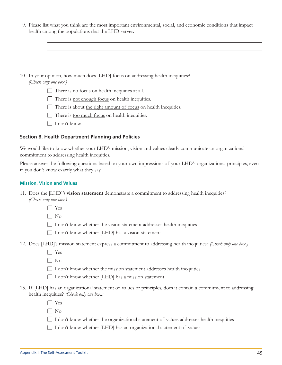| 9. Please list what you think are the most important environmental, social, and economic conditions that impact |  |
|-----------------------------------------------------------------------------------------------------------------|--|
| health among the populations that the LHD serves.                                                               |  |

| 10. In your opinion, how much does [LHD] focus on addressing health inequities?<br>(Check only one box.) |
|----------------------------------------------------------------------------------------------------------|
| There is no focus on health inequities at all.                                                           |
| There is not enough focus on health inequities.                                                          |
| There is about the right amount of focus on health inequities.                                           |
| There is <u>too much focus</u> on health inequities.                                                     |
| I don't know.                                                                                            |

## **Section B. Health Department Planning and Policies**

We would like to know whether your LHD's mission, vision and values clearly communicate an organizational commitment to addressing health inequities.

Please answer the following questions based on your own impressions of your LHD's organizational principles, even if you don't know exactly what they say.

## **Mission, Vision and Values**

11. Does the [LHD]'s **vision statement** demonstrate a commitment to addressing health inequities? (Check only one box.)

 $\Box$  Yes

 $\Box$  No

□ I don't know whether the vision statement addresses health inequities

 $\Box$  I don't know whether [LHD] has a vision statement

12. Does [LHD]'s mission statement express a commitment to addressing health inequities? (Check only one box.)

 $\Box$  Yes

 $\Box$  No

□ I don't know whether the mission statement addresses health inequities

 $\Box$  I don't know whether [LHD] has a mission statement

13. If [LHD] has an organizational statement of values or principles, does it contain a commitment to addressing health inequities? (Check only one box.)

 $\Box$  Yes

 $\Box$  No

 $\Box$  I don't know whether the organizational statement of values addresses health inequities

 $\Box$  I don't know whether [LHD] has an organizational statement of values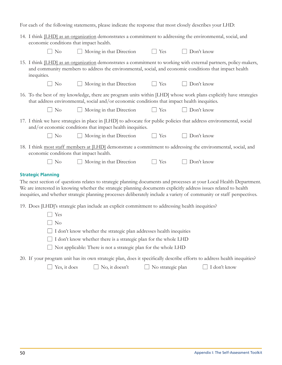For each of the following statements, please indicate the response that most closely describes your LHD:

| 14. I think [LHD] as an organization demonstrates a commitment to addressing the environmental, social, and<br>economic conditions that impact health. |                                                                                                 |                   |                                                                                                                                                                                                                                                                                                                                                                     |  |  |  |
|--------------------------------------------------------------------------------------------------------------------------------------------------------|-------------------------------------------------------------------------------------------------|-------------------|---------------------------------------------------------------------------------------------------------------------------------------------------------------------------------------------------------------------------------------------------------------------------------------------------------------------------------------------------------------------|--|--|--|
| N <sub>o</sub>                                                                                                                                         | $\Box$ Moving in that Direction                                                                 | $\Box$ Yes        | Don't know                                                                                                                                                                                                                                                                                                                                                          |  |  |  |
| inequities.                                                                                                                                            |                                                                                                 |                   | 15. I think [LHD] as an organization demonstrates a commitment to working with external partners, policy-makers,<br>and community members to address the environmental, social, and economic conditions that impact health                                                                                                                                          |  |  |  |
| N <sub>o</sub>                                                                                                                                         | $\Box$ Moving in that Direction                                                                 | $\Box$ Yes        | Don't know                                                                                                                                                                                                                                                                                                                                                          |  |  |  |
|                                                                                                                                                        | that address environmental, social and/or economic conditions that impact health inequities.    |                   | 16. To the best of my knowledge, there are program units within [LHD] whose work plans explicitly have strategies                                                                                                                                                                                                                                                   |  |  |  |
| N <sub>o</sub>                                                                                                                                         | $\Box$ Moving in that Direction                                                                 | $\Box$ Yes        | Don't know                                                                                                                                                                                                                                                                                                                                                          |  |  |  |
|                                                                                                                                                        | and/or economic conditions that impact health inequities.                                       |                   | 17. I think we have strategies in place in [LHD] to advocate for public policies that address environmental, social                                                                                                                                                                                                                                                 |  |  |  |
| N <sub>o</sub>                                                                                                                                         | Moving in that Direction                                                                        | $\Box$ Yes        | Don't know                                                                                                                                                                                                                                                                                                                                                          |  |  |  |
| economic conditions that impact health.                                                                                                                |                                                                                                 |                   | 18. I think most staff members at [LHD] demonstrate a commitment to addressing the environmental, social, and                                                                                                                                                                                                                                                       |  |  |  |
| N <sub>o</sub>                                                                                                                                         | Moving in that Direction                                                                        | $\Box$ Yes        | Don't know                                                                                                                                                                                                                                                                                                                                                          |  |  |  |
| <b>Strategic Planning</b>                                                                                                                              |                                                                                                 |                   | The next section of questions relates to strategic planning documents and processes at your Local Health Department<br>We are interested in knowing whether the strategic planning documents explicitly address issues related to health<br>inequities, and whether strategic planning processes deliberately include a variety of community or staff perspectives. |  |  |  |
|                                                                                                                                                        | 19. Does [LHD]'s strategic plan include an explicit commitment to addressing health inequities? |                   |                                                                                                                                                                                                                                                                                                                                                                     |  |  |  |
| Yes<br>N <sub>o</sub>                                                                                                                                  |                                                                                                 |                   |                                                                                                                                                                                                                                                                                                                                                                     |  |  |  |
|                                                                                                                                                        | I don't know whether the strategic plan addresses health inequities                             |                   |                                                                                                                                                                                                                                                                                                                                                                     |  |  |  |
|                                                                                                                                                        | I don't know whether there is a strategic plan for the whole LHD                                |                   |                                                                                                                                                                                                                                                                                                                                                                     |  |  |  |
|                                                                                                                                                        | Not applicable: There is not a strategic plan for the whole LHD                                 |                   |                                                                                                                                                                                                                                                                                                                                                                     |  |  |  |
|                                                                                                                                                        |                                                                                                 |                   | 20. If your program unit has its own strategic plan, does it specifically describe efforts to address health inequities?                                                                                                                                                                                                                                            |  |  |  |
| Yes, it does                                                                                                                                           | No, it doesn't                                                                                  | No strategic plan | $\Box$ I don't know                                                                                                                                                                                                                                                                                                                                                 |  |  |  |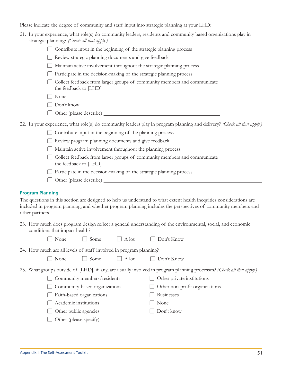Please indicate the degree of community and staff input into strategic planning at your LHD:

| 21. In your experience, what role(s) do community leaders, residents and community based organizations play in |
|----------------------------------------------------------------------------------------------------------------|
| strategic planning? (Check all that apply.)                                                                    |

 $\Box$  Contribute input in the beginning of the strategic planning process

Review strategic planning documents and give feedback

Maintain active involvement throughout the strategic planning process

 $\Box$  Participate in the decision-making of the strategic planning process

□ Collect feedback from larger groups of community members and communicate the feedback to [LHD]

 $\Box$  None

 $\Box$  Don't know

Other (please describe)

22. In your experience, what role(s) do community leaders play in program planning and delivery? (Check all that apply.)

 $\Box$  Contribute input in the beginning of the planning process

Review program planning documents and give feedback

 $\Box$  Maintain active involvement throughout the planning process

□ Collect feedback from larger groups of community members and communicate the feedback to [LHD]

 $\Box$  Participate in the decision-making of the strategic planning process

 $\Box$  Other (please describe)  $\Box$ 

## **Program Planning**

The questions in this section are designed to help us understand to what extent health inequities considerations are included in program planning, and whether program planning includes the perspectives of community members and other partners.

23. How much does program design reflect a general understanding of the environmental, social, and economic conditions that impact health?

| None                                                               | Some                      | $\Box$ A lot  | Don't Know                                                                                           |
|--------------------------------------------------------------------|---------------------------|---------------|------------------------------------------------------------------------------------------------------|
| 24. How much are all levels of staff involved in program planning? |                           |               |                                                                                                      |
| None                                                               | Some                      | $\vert$ A lot | Don't Know                                                                                           |
|                                                                    |                           |               | 25. What groups outside of [LHD], if any, are usually involved in program planning processes? (Check |
| Community members/residents                                        |                           |               | Other private institutions                                                                           |
| Community-based organizations                                      |                           |               | Other non-profit organizations                                                                       |
|                                                                    | Faith-based organizations |               | <b>Businesses</b>                                                                                    |
| Academic institutions                                              |                           |               | None                                                                                                 |

 $\Box$  Don't know

 $\Box$  Other public agencies

 $\Box$  Other (please specify)  $\Box$ 

 $all$  that  $at$ b $by$ .)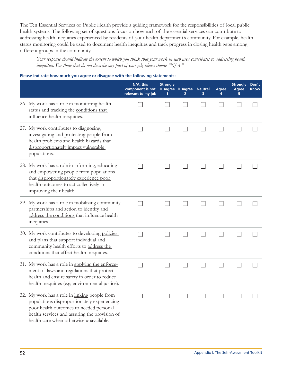The Ten Essential Services of Public Health provide a guiding framework for the responsibilities of local public health systems. The following set of questions focus on how each of the essential services can contribute to addressing health inequities experienced by residents of your health department's community. For example, health status monitoring could be used to document health inequities and track progress in closing health gaps among different groups in the community.

Your response should indicate the extent to which you think that your work in each area contributes to addressing health inequities. For those that do not describe any part of your job, please choose " $N/A$ ."

## Please indicate how much you agree or disagree with the following statements:

|                                                                                                                                                                                                                                     | N/A: this<br>component is not<br>relevant to my job | <b>Strongly</b> | <b>Disagree Disagree</b> | <b>Neutral</b><br>з | Agree | <b>Strongly</b><br>Agree | Don't<br><b>Know</b> |
|-------------------------------------------------------------------------------------------------------------------------------------------------------------------------------------------------------------------------------------|-----------------------------------------------------|-----------------|--------------------------|---------------------|-------|--------------------------|----------------------|
| 26. My work has a role in monitoring health<br>status and tracking the conditions that<br>influence health inequities.                                                                                                              |                                                     |                 |                          |                     |       |                          |                      |
| 27. My work contributes to diagnosing,<br>investigating and protecting people from<br>health problems and health hazards that<br>disproportionately impact vulnerable<br>populations.                                               |                                                     |                 |                          |                     |       |                          |                      |
| 28. My work has a role in informing, educating<br>and empowering people from populations<br>that disproportionately experience poor<br>health outcomes to act collectively in<br>improving their health.                            |                                                     |                 |                          |                     |       |                          |                      |
| 29. My work has a role in mobilizing community<br>partnerships and action to identify and<br>address the conditions that influence health<br>inequities.                                                                            |                                                     |                 |                          |                     |       |                          |                      |
| 30. My work contributes to developing policies<br>and plans that support individual and<br>community health efforts to address the<br>conditions that affect health inequities.                                                     |                                                     |                 |                          |                     |       |                          |                      |
| 31. My work has a role in applying the enforce-<br>ment of laws and regulations that protect<br>health and ensure safety in order to reduce<br>health inequities (e.g. environmental justice).                                      |                                                     |                 |                          |                     |       |                          |                      |
| 32. My work has a role in linking people from<br>populations disproportionately experiencing<br>poor health outcomes to needed personal<br>health services and assuring the provision of<br>health care when otherwise unavailable. |                                                     |                 |                          |                     |       |                          |                      |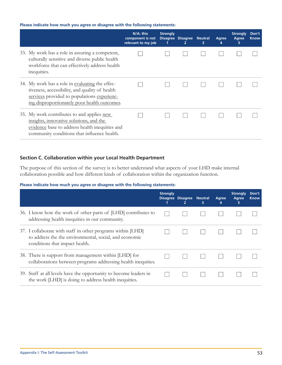## Please indicate how much you agree or disagree with the following statements:

|                                                                                                                                                                                                  | N/A: this<br>component is not<br>relevant to my job | <b>Strongly</b><br><b>Disagree</b> | Disagree Neutral | з | Agree<br>4 | <b>Strongly</b><br>Agree<br>5 | Don't<br><b>Know</b> |
|--------------------------------------------------------------------------------------------------------------------------------------------------------------------------------------------------|-----------------------------------------------------|------------------------------------|------------------|---|------------|-------------------------------|----------------------|
| 33. My work has a role in assuring a competent,<br>culturally sensitive and diverse public health<br>workforce that can effectively address health<br>inequities.                                |                                                     |                                    |                  |   |            |                               |                      |
| 34. My work has a role in evaluating the effec-<br>tiveness, accessibility, and quality of health<br>services provided to populations experienc-<br>ing disproportionately poor health outcomes. |                                                     |                                    |                  |   |            |                               |                      |
| 35. My work contributes to and applies new<br>insights, innovative solutions, and the<br>evidence base to address health inequities and<br>community conditions that influence health.           |                                                     |                                    |                  |   |            |                               |                      |

# Section C. Collaboration within your Local Health Department

The purpose of this section of the survey is to better understand what aspects of your LHD make internal collaboration possible and how different kinds of collaboration within the organization function.

## Please indicate how much you agree or disagree with the following statements:

|                                                                                                                                                         | <b>Strongly</b> | Disagree Disagree Neutral<br>$\overline{2}$ | 3 | Agree<br>4 | <b>Strongly</b><br>Agree<br>5 | Don't<br><b>Know</b> |
|---------------------------------------------------------------------------------------------------------------------------------------------------------|-----------------|---------------------------------------------|---|------------|-------------------------------|----------------------|
| 36. I know how the work of other parts of [LHD] contributes to<br>addressing health inequities in our community.                                        |                 |                                             |   |            |                               |                      |
| 37. I collaborate with staff in other programs within [LHD]<br>to address the the environmental, social, and economic<br>conditions that impact health. |                 |                                             |   |            |                               |                      |
| 38. There is support from management within [LHD] for<br>collaborations between programs addressing health inequities.                                  |                 |                                             |   |            |                               |                      |
| 39. Staff at all levels have the opportunity to become leaders in<br>the work [LHD] is doing to address health inequities.                              |                 |                                             |   |            |                               |                      |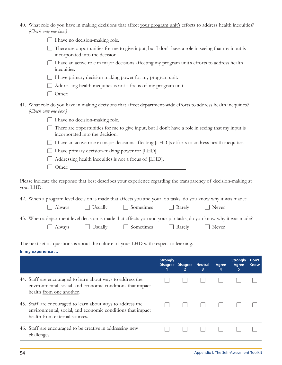| 40. What role do you have in making decisions that affect your program unit's efforts to address health inequities?<br>(Check only one box.)                               |                   |             |
|----------------------------------------------------------------------------------------------------------------------------------------------------------------------------|-------------------|-------------|
| I have no decision-making role.                                                                                                                                            |                   |             |
| There are opportunities for me to give input, but I don't have a role in seeing that my input is<br>incorporated into the decision.                                        |                   |             |
| I have an active role in major decisions affecting my program unit's efforts to address health<br>inequities.                                                              |                   |             |
| I have primary decision-making power for my program unit.                                                                                                                  |                   |             |
| Addressing health inequities is not a focus of my program unit.                                                                                                            |                   |             |
| Other:                                                                                                                                                                     |                   |             |
| 41. What role do you have in making decisions that affect department-wide efforts to address health inequities?<br>(Check only one box.)                                   |                   |             |
| I have no decision-making role.                                                                                                                                            |                   |             |
| There are opportunities for me to give input, but I don't have a role in seeing that my input is<br>incorporated into the decision.                                        |                   |             |
| I have an active role in major decisions affecting [LHD']s efforts to address health inequities.                                                                           |                   |             |
| I have primary decision-making power for [LHD].                                                                                                                            |                   |             |
| Addressing health inequities is not a focus of [LHD].                                                                                                                      |                   |             |
| Other:                                                                                                                                                                     |                   |             |
| Please indicate the response that best describes your experience regarding the transparency of decision-making at<br>your LHD:                                             |                   |             |
| 42. When a program level decision is made that affects you and your job tasks, do you know why it was made?                                                                |                   |             |
| $\Box$ Sometimes<br>$\Box$ Usually<br>Never<br>Rarely<br>Always                                                                                                            |                   |             |
|                                                                                                                                                                            |                   |             |
| 43. When a department level decision is made that affects you and your job tasks, do you know why it was made?<br>Sometimes<br>$\Box$ Never<br>Usually<br>Rarely<br>Always |                   |             |
|                                                                                                                                                                            |                   |             |
| The next set of questions is about the culture of your LHD with respect to learning.                                                                                       |                   |             |
| In my experience                                                                                                                                                           |                   |             |
| <b>Strongly</b>                                                                                                                                                            | <b>Strongly</b>   | Don't       |
| Disagree Disagree Neutral<br><b>Agree</b><br>2.<br>з<br>4<br>1                                                                                                             | <b>Agree</b><br>5 | <b>Know</b> |
| 44. Staff are encouraged to learn about ways to address the<br>environmental, social, and economic conditions that impact<br>health from one another.                      |                   |             |
| 45. Staff are encouraged to learn about ways to address the<br>$\mathbf{1}$<br>environmental, social, and economic conditions that impact<br>health from external sources. |                   |             |
| 46. Staff are encouraged to be creative in addressing new<br>challenges.                                                                                                   |                   |             |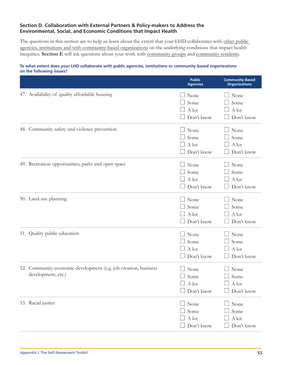# Section D. Collaboration with External Partners & Policy-makers to Address the Environmental, Social, and Economic Conditions that Impact Health

The questions in this section are to help us learn about the extent that your LHD collaborates with other public agencies, institutions and with community-based organizations on the underlying conditions that impact health inequities. Section E will ask questions about your work with community groups and community residents.

## To what extent does your LHD collaborate with public agencies, institutions or community-based organizations on the following issues?

|                                                                                       | <b>Public</b><br><b>Agencies</b>           | <b>Community-Based</b><br><b>Organizations</b> |
|---------------------------------------------------------------------------------------|--------------------------------------------|------------------------------------------------|
| 47. Availability of quality affordable housing                                        | None<br>Some<br>A lot<br>Don't know        | None<br>Some<br>A lot<br>Don't know            |
| 48. Community safety and violence prevention                                          | None<br>Some<br>A lot<br>Don't know        | None<br>Some<br>A lot<br>Don't know            |
| 49. Recreation opportunities, parks and open space                                    | None<br>Some<br>A lot<br>Don't know        | None<br>Some<br>A lot<br>Don't know            |
| 50. Land-use planning                                                                 | None<br>Some<br>A lot<br>Don't know        | None<br>Some<br>A lot<br>Don't know            |
| 51. Quality public education                                                          | None<br>Some<br>A lot<br>Don't know        | None<br>Some<br>A lot<br>Don't know            |
| 52. Community economic development (e.g. job creation, business<br>development, etc.) | None<br>Some<br>$\Box$ A lot<br>Don't know | None<br>Some<br>A lot<br>Don't know            |
| 53. Racial justice                                                                    | None<br>Some<br>A lot<br>Don't know        | None<br>Some<br>$\mathbf A$ lot<br>Don't know  |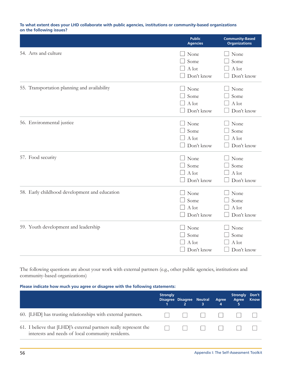#### To what extent does your LHD collaborate with public agencies, institutions or community-based organizations on the following issues?

|                                               | <b>Public</b><br><b>Agencies</b>    | <b>Community-Based</b><br><b>Organizations</b> |
|-----------------------------------------------|-------------------------------------|------------------------------------------------|
| 54. Arts and culture                          | None<br>Some<br>A lot<br>Don't know | None<br>Some<br>A lot<br>Don't know            |
| 55. Transportation planning and availability  | None<br>Some<br>A lot<br>Don't know | None<br>Some<br>A lot<br>Don't know            |
| 56. Environmental justice                     | None<br>Some<br>A lot<br>Don't know | None<br>Some<br>A lot<br>Don't know            |
| 57. Food security                             | None<br>Some<br>A lot<br>Don't know | None<br>Some<br>A lot<br>Don't know            |
| 58. Early childhood development and education | None<br>Some<br>A lot<br>Don't know | None<br>Some<br>A lot<br>Don't know            |
| 59. Youth development and leadership          | None<br>Some<br>A lot<br>Don't know | None<br>Some<br>A lot<br>Don't know            |

The following questions are about your work with external partners (e.g., other public agencies, institutions and community-based organizations)

## Please indicate how much you agree or disagree with the following statements:

|                                                                                                                        | <b>Strongly</b> | Disagree Disagree Neutral | 3 | Agree<br>4 | <b>Strongly</b><br>Agree | Don't<br><b>Know</b> |
|------------------------------------------------------------------------------------------------------------------------|-----------------|---------------------------|---|------------|--------------------------|----------------------|
| 60. [LHD] has trusting relationships with external partners.                                                           |                 |                           |   |            |                          |                      |
| 61. I believe that [LHD]'s external partners really represent the<br>interests and needs of local community residents. |                 |                           |   |            |                          |                      |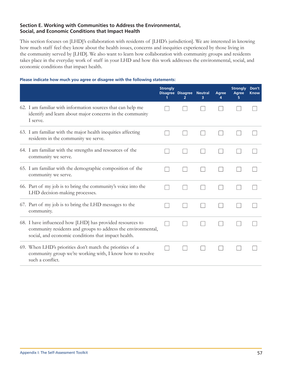## Section E. Working with Communities to Address the Environmental, Social, and Economic Conditions that Impact Health

This section focuses on [LHD]'s collaboration with residents of [LHD's jurisdiction]. We are interested in knowing how much staff feel they know about the health issues, concerns and inequities experienced by those living in the community served by [LHD]. We also want to learn how collaboration with community groups and residents takes place in the everyday work of staff in your LHD and how this work addresses the environmental, social, and economic conditions that impact health.

## Please indicate how much you agree or disagree with the following statements:

|                                                                                                                                                                                  | <b>Strongly</b> | <b>Disagree Disagree Neutral</b> | 3 | Agree | <b>Strongly</b><br><b>Agree</b> | Don't<br><b>Know</b> |
|----------------------------------------------------------------------------------------------------------------------------------------------------------------------------------|-----------------|----------------------------------|---|-------|---------------------------------|----------------------|
| 62. I am familiar with information sources that can help me<br>identify and learn about major concerns in the community<br>I serve.                                              |                 |                                  |   |       |                                 |                      |
| 63. I am familiar with the major health inequities affecting<br>residents in the community we serve.                                                                             |                 |                                  |   |       |                                 |                      |
| 64. I am familiar with the strengths and resources of the<br>community we serve.                                                                                                 |                 |                                  |   |       |                                 |                      |
| 65. I am familiar with the demographic composition of the<br>community we serve.                                                                                                 |                 |                                  |   |       |                                 |                      |
| 66. Part of my job is to bring the community's voice into the<br>LHD decision-making processes.                                                                                  |                 |                                  |   |       |                                 |                      |
| 67. Part of my job is to bring the LHD messages to the<br>community.                                                                                                             |                 |                                  |   |       |                                 |                      |
| 68. I have influenced how [LHD] has provided resources to<br>community residents and groups to address the environmental,<br>social, and economic conditions that impact health. |                 |                                  |   |       |                                 |                      |
| 69. When LHD's priorities don't match the priorities of a<br>community group we're working with, I know how to resolve<br>such a conflict.                                       |                 |                                  |   |       |                                 |                      |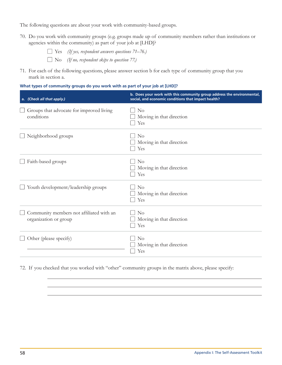The following questions are about your work with community-based groups.

70. Do you work with community groups (e.g. groups made up of community members rather than institutions or agencies within the community) as part of your job at [LHD]?

es (If yes, respondent answers questions 71–76.)  $\Box$  No (If no, respondent skips to question 77.)

71. For each of the following questions, please answer section b for each type of community group that you mark in section a.

## What types of community groups do you work with as part of your job at [LHD]?

| a. (Check all that apply.)                                        | b. Does your work with this community group address the environmental,<br>social, and economic conditions that impact health? |
|-------------------------------------------------------------------|-------------------------------------------------------------------------------------------------------------------------------|
| Groups that advocate for improved living<br>conditions            | $\rm No$<br>Moving in that direction<br>Yes                                                                                   |
| Neighborhood groups                                               | N <sub>o</sub><br>Moving in that direction<br>Yes                                                                             |
| Faith-based groups                                                | N <sub>o</sub><br>Moving in that direction<br>Yes                                                                             |
| Youth development/leadership groups                               | $\rm No$<br>Moving in that direction<br>Yes                                                                                   |
| Community members not affiliated with an<br>organization or group | N <sub>o</sub><br>Moving in that direction<br>Yes                                                                             |
| Other (please specify)                                            | $\rm No$<br>Moving in that direction<br>Yes                                                                                   |

72. If you checked that you worked with "other" community groups in the matrix above, please specify: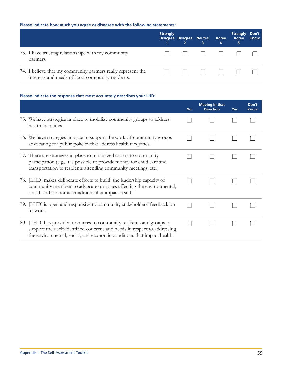# Please indicate how much you agree or disagree with the following statements:

|                                                                                                                    | <b>Strongly</b> | Disagree Disagree Neutral | 3 | Agree<br>4 | <b>Strongly</b><br>Agree<br>5 | Don't<br><b>Know</b> |
|--------------------------------------------------------------------------------------------------------------------|-----------------|---------------------------|---|------------|-------------------------------|----------------------|
| 73. I have trusting relationships with my community<br>partners.                                                   |                 |                           |   |            |                               |                      |
| 74. I believe that my community partners really represent the<br>interests and needs of local community residents. |                 |                           |   |            |                               |                      |

#### Please indicate the response that most accurately describes your LHD:

|                                                                                                                                                                                                                              | <b>No</b> | <b>Moving in that</b><br><b>Direction</b> | <b>Yes</b> | Don't<br><b>Know</b> |
|------------------------------------------------------------------------------------------------------------------------------------------------------------------------------------------------------------------------------|-----------|-------------------------------------------|------------|----------------------|
| 75. We have strategies in place to mobilize community groups to address<br>health inequities.                                                                                                                                |           |                                           |            |                      |
| 76. We have strategies in place to support the work of community groups<br>advocating for public policies that address health inequities.                                                                                    |           |                                           |            |                      |
| 77. There are strategies in place to minimize barriers to community<br>participation (e.g., it is possible to provide money for child care and<br>transportation to residents attending community meetings, etc.)            |           |                                           |            |                      |
| 78. [LHD] makes deliberate efforts to build the leadership capacity of<br>community members to advocate on issues affecting the environmental,<br>social, and economic conditions that impact health.                        |           |                                           |            |                      |
| 79. [LHD] is open and responsive to community stakeholders' feedback on<br>its work.                                                                                                                                         |           |                                           |            |                      |
| 80. [LHD] has provided resources to community residents and groups to<br>support their self-identified concerns and needs in respect to addressing<br>the environmental, social, and economic conditions that impact health. |           |                                           |            |                      |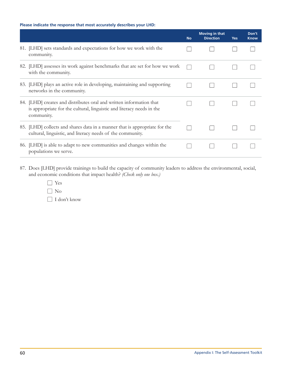## Please indicate the response that most accurately describes your LHD:

|     |                                                                                                                                                            | <b>No</b> | <b>Moving in that</b><br><b>Direction</b> | <b>Yes</b> | Don't<br><b>Know</b> |
|-----|------------------------------------------------------------------------------------------------------------------------------------------------------------|-----------|-------------------------------------------|------------|----------------------|
|     | 81. [LHD] sets standards and expectations for how we work with the<br>community.                                                                           |           |                                           |            |                      |
| 82. | [LHD] assesses its work against benchmarks that are set for how we work<br>with the community.                                                             |           |                                           |            |                      |
|     | 83. [LHD] plays an active role in developing, maintaining and supporting<br>networks in the community.                                                     |           |                                           |            |                      |
|     | 84. [LHD] creates and distributes oral and written information that<br>is appropriate for the cultural, linguistic and literacy needs in the<br>community. |           |                                           |            |                      |
|     | 85. [LHD] collects and shares data in a manner that is appropriate for the<br>cultural, linguistic, and literacy needs of the community.                   |           |                                           |            |                      |
|     | 86. [LHD] is able to adapt to new communities and changes within the<br>populations we serve.                                                              |           |                                           |            |                      |

- 87. Does [LHD] provide trainings to build the capacity of community leaders to address the environmental, social, and economic conditions that impact health? (Check only one box.)
	- $\Box$  Yes
	- $\Box$  No
	- $\Box$  I don't know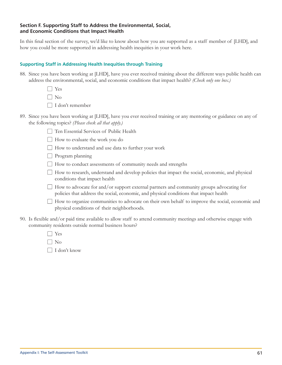## Section F. Supporting Staff to Address the Environmental, Social, and Economic Conditions that Impact Health

In this final section of the survey, we'd like to know about how you are supported as a staff member of [LHD], and how you could be more supported in addressing health inequities in your work here.

#### **Supporting Staff in Addressing Health Inequities through Training**

88. Since you have been working at [LHD], have you ever received training about the different ways public health can address the environmental, social, and economic conditions that impact health? (Check only one box.)

> $\Box$  Yes  $\Box$  No

 $\Box$  I don't remember

89. Since you have been working at [LHD], have you ever received training or any mentoring or guidance on any of the following topics? (Please check all that apply.)

Ten Essential Services of Public Health

 $\Box$  How to evaluate the work you do

How to understand and use data to further your work

 $\Box$  Program planning

 $\Box$  How to conduct assessments of community needs and strengths

- □ How to research, understand and develop policies that impact the social, economic, and physical conditions that impact health
- $\Box$  How to advocate for and/or support external partners and community groups advocating for policies that address the social, economic, and physical conditions that impact health

 $\Box$  How to organize communities to advocate on their own behalf to improve the social, economic and physical conditions of their neighborhoods.

90. Is flexible and/or paid time available to allow staff to attend community meetings and otherwise engage with community residents outside normal business hours?

| l I Yes         |
|-----------------|
| $\Box$ No       |
| ∣ ∣I don't know |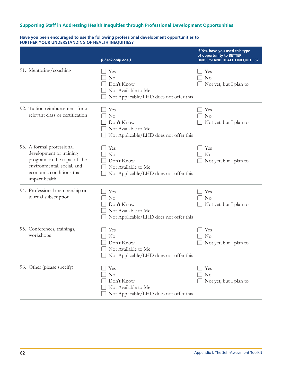## Supporting Staff in Addressing Health Inequities through Professional Development Opportunities

# Have you been encouraged to use the following professional development opportunities to<br>FURTHER YOUR UNDERSTANDING OF HEALTH INEQUITIES?

|                                                                                                                                                                | (Check only one.)                                                                                    | If Yes, have you used this type<br>of opportunity to BETTER<br><b>UNDERSTAND HEALTH INEQUITIES?</b> |
|----------------------------------------------------------------------------------------------------------------------------------------------------------------|------------------------------------------------------------------------------------------------------|-----------------------------------------------------------------------------------------------------|
| 91. Mentoring/coaching                                                                                                                                         | Yes<br>No<br>Don't Know<br>Not Available to Me<br>Not Applicable/LHD does not offer this             | Yes<br>No<br>Not yet, but I plan to                                                                 |
| 92. Tuition reimbursement for a<br>relevant class or certification                                                                                             | Yes<br>No<br>Don't Know<br>Not Available to Me<br>Not Applicable/LHD does not offer this             | Yes<br>No<br>Not yet, but I plan to                                                                 |
| 93. A formal professional<br>development or training<br>program on the topic of the<br>environmental, social, and<br>economic conditions that<br>impact health | Yes<br>No<br>Don't Know<br>Not Available to Me<br>Not Applicable/LHD does not offer this             | Yes<br>N <sub>o</sub><br>Not yet, but I plan to                                                     |
| 94. Professional membership or<br>journal subscription                                                                                                         | Yes<br>No<br>Don't Know<br>Not Available to Me<br>Not Applicable/LHD does not offer this             | Yes<br>N <sub>o</sub><br>Not yet, but I plan to                                                     |
| 95. Conferences, trainings,<br>workshops                                                                                                                       | Yes<br>N <sub>o</sub><br>Don't Know<br>Not Available to Me<br>Not Applicable/LHD does not offer this | Yes<br>N <sub>o</sub><br>Not yet, but I plan to                                                     |
| 96. Other (please specify)                                                                                                                                     | Yes<br>No<br>Don't Know<br>Not Available to Me<br>Not Applicable/LHD does not offer this             | Yes<br>No<br>Not yet, but I plan to                                                                 |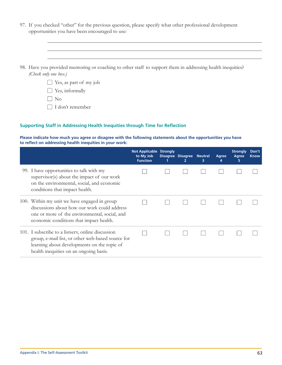97. If you checked "other" for the previous question, please specify what other professional development opportunities you have been encouraged to use:

| 98. Have you provided mentoring or coaching to other staff to support them in addressing health inequities? |
|-------------------------------------------------------------------------------------------------------------|
| (Check only one box.)                                                                                       |

|  | $\Box$ Yes, as part of my job |  |  |
|--|-------------------------------|--|--|
|  | $\Box$ Yes, informally        |  |  |

 $\Box$  No

 $\hfill\Box$  I don't remember

#### **Supporting Staff in Addressing Health Inequities through Time for Reflection**

Please indicate how much you agree or disagree with the following statements about the opportunities you have to reflect on addressing health inequities in your work:

|                                                                                                                                                                                                 | <b>Not Applicable Strongly</b><br>to My Job<br><b>Function</b> | Disagree Disagree Neutral | 3 | Agree<br>4 | <b>Strongly</b><br>Agree<br>5 | Don't<br><b>Know</b> |
|-------------------------------------------------------------------------------------------------------------------------------------------------------------------------------------------------|----------------------------------------------------------------|---------------------------|---|------------|-------------------------------|----------------------|
| 99. I have opportunities to talk with my<br>supervisor(s) about the impact of our work<br>on the environmental, social, and economic<br>conditions that impact health.                          |                                                                |                           |   |            |                               |                      |
| 100. Within my unit we have engaged in group<br>discussions about how our work could address<br>one or more of the environmental, social, and<br>economic conditions that impact health.        |                                                                |                           |   |            |                               |                      |
| 101. I subscribe to a listserv, online discussion<br>group, e-mail list, or other web-based source for<br>learning about developments on the topic of<br>health inequities on an ongoing basis. |                                                                |                           |   |            |                               |                      |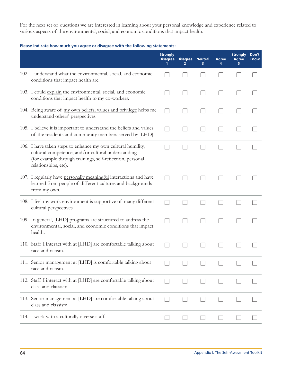For the next set of questions we are interested in learning about your personal knowledge and experience related to various aspects of the environmental, social, and economic conditions that impact health.

Please indicate how much you agree or disagree with the following statements:

|                                                                                                                                                                                                         | <b>Strongly</b> | Disagree Disagree Neutral<br>2 | з | Agree<br>4 | <b>Strongly</b><br>Agree | Don't<br><b>Know</b> |
|---------------------------------------------------------------------------------------------------------------------------------------------------------------------------------------------------------|-----------------|--------------------------------|---|------------|--------------------------|----------------------|
| 102. I understand what the environmental, social, and economic<br>conditions that impact health are.                                                                                                    |                 |                                |   |            |                          |                      |
| 103. I could explain the environmental, social, and economic<br>conditions that impact health to my co-workers.                                                                                         |                 |                                |   |            |                          |                      |
| 104. Being aware of my own beliefs, values and privilege helps me<br>understand others' perspectives.                                                                                                   |                 |                                |   |            |                          |                      |
| 105. I believe it is important to understand the beliefs and values<br>of the residents and community members served by [LHD].                                                                          |                 |                                |   |            |                          |                      |
| 106. I have taken steps to enhance my own cultural humility,<br>cultural competence, and/or cultural understanding<br>(for example through trainings, self-reflection, personal<br>relationships, etc). |                 |                                |   |            |                          |                      |
| 107. I regularly have personally meaningful interactions and have<br>learned from people of different cultures and backgrounds<br>from my own.                                                          |                 |                                |   |            |                          |                      |
| 108. I feel my work environment is supportive of many different<br>cultural perspectives.                                                                                                               |                 |                                |   |            |                          |                      |
| 109. In general, [LHD] programs are structured to address the<br>environmental, social, and economic conditions that impact<br>health.                                                                  |                 |                                |   |            |                          |                      |
| 110. Staff I interact with at [LHD] are comfortable talking about<br>race and racism.                                                                                                                   |                 |                                |   |            |                          |                      |
| 111. Senior management at [LHD] is comfortable talking about<br>race and racism.                                                                                                                        |                 |                                |   |            |                          |                      |
| 112. Staff I interact with at [LHD] are comfortable talking about<br>class and classism.                                                                                                                |                 |                                |   |            |                          |                      |
| 113. Senior management at [LHD] are comfortable talking about<br>class and classism.                                                                                                                    |                 |                                |   |            |                          |                      |
| 114. I work with a culturally diverse staff.                                                                                                                                                            |                 |                                |   |            |                          |                      |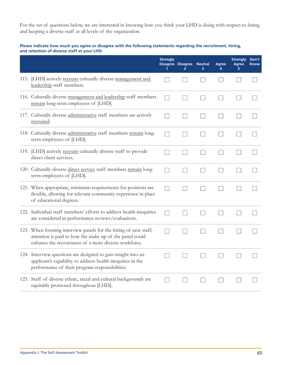For the set of questions below, we are interested in knowing how you think your LHD is doing with respect to hiring and keeping a diverse staff at all levels of the organization.

#### Please indicate how much you agree or disagree with the following statements regarding the recruitment, hiring, and retention of diverse staff at your LHD:

|                                                                                                                                                                                    | <b>Strongly</b> | Disagree Disagree Neutral | ٦ | <b>Agree</b> | <b>Strongly</b><br>Agree | Don't<br><b>Know</b> |
|------------------------------------------------------------------------------------------------------------------------------------------------------------------------------------|-----------------|---------------------------|---|--------------|--------------------------|----------------------|
| 115. [LHD] actively recruits culturally diverse management and<br>leadership staff members.                                                                                        |                 |                           |   |              |                          |                      |
| 116. Culturally diverse management and leadership staff members<br>remain long-term employees of [LHD].                                                                            |                 |                           |   |              |                          |                      |
| 117. Culturally diverse administrative staff members are actively<br>recruited.                                                                                                    |                 |                           |   |              |                          |                      |
| 118. Culturally diverse administrative staff members remain long-<br>term employees of [LHD].                                                                                      |                 |                           |   |              |                          |                      |
| 119. [LHD] actively recruits culturally diverse staff to provide<br>direct client services.                                                                                        |                 |                           |   |              |                          |                      |
| 120. Culturally diverse direct service staff members remain long-<br>term employees of [LHD].                                                                                      |                 |                           |   |              |                          |                      |
| 121. When appropriate, minimum requirements for positions are<br>flexible, allowing for relevant community experience in place<br>of educational degrees.                          |                 |                           |   |              |                          |                      |
| 122. Individual staff members' efforts to address health inequities<br>are considered in performance reviews/evaluations.                                                          |                 |                           |   |              |                          |                      |
| 123. When forming interview panels for the hiring of new staff,<br>attention is paid to how the make up of the panel could<br>enhance the recruitment of a more diverse workforce. |                 |                           |   |              |                          |                      |
| 124. Interview questions are designed to gain insight into an<br>applicant's capability to address health inequities in the<br>performance of their program responsibilities.      |                 |                           |   |              |                          |                      |
| 125. Staff of diverse ethnic, racial and cultural backgrounds are<br>equitably promoted throughout [LHD].                                                                          |                 |                           |   |              |                          |                      |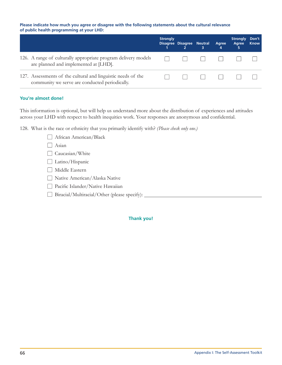#### Please indicate how much you agree or disagree with the following statements about the cultural relevance of public health programming at your LHD:

|                                                                                                                | <b>Strongly</b> | Disagree Disagree Neutral | 3 | Agree<br>4 | <b>Strongly</b><br>Agree<br>5 | Don't<br><b>Know</b> |
|----------------------------------------------------------------------------------------------------------------|-----------------|---------------------------|---|------------|-------------------------------|----------------------|
| 126. A range of culturally appropriate program delivery models<br>are planned and implemented at [LHD].        | $\mathbf{1}$    |                           |   |            |                               |                      |
| 127. Assessments of the cultural and linguistic needs of the<br>community we serve are conducted periodically. |                 |                           |   |            |                               |                      |

## You're almost done!

This information is optional, but will help us understand more about the distribution of experiences and attitudes across your LHD with respect to health inequities work. Your responses are anonymous and confidential.

128. What is the race or ethnicity that you primarily identify with? (Please check only one.)

| African American/Black                       |
|----------------------------------------------|
| Asian                                        |
| Caucasian/White                              |
| Latino/Hispanic                              |
| Middle Eastern                               |
| Native American/Alaska Native                |
| Pacific Islander/Native Hawaiian             |
| Biracial/Multiracial/Other (please specify): |
|                                              |

**Thank you!**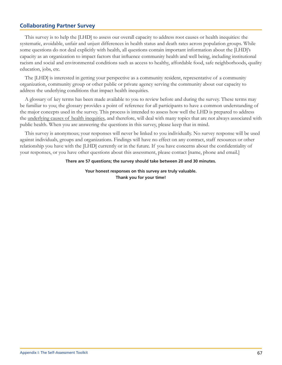## **Collaborating Partner Survey**

This survey is to help the [LHD] to assess our overall capacity to address root causes or health inequities: the systematic, avoidable, unfair and unjust differences in health status and death rates across population groups. While some questions do not deal explicitly with health, all questions contain important information about the [LHD]'s capacity as an organization to impact factors that influence community health and well being, including institutional racism and social and environmental conditions such as access to healthy, affordable food, safe neighborhoods, quality education, jobs, etc.

The [LHD] is interested in getting your perspective as a community resident, representative of a community organization, community group or other public or private agency serving the community about our capacity to address the underlying conditions that impact health inequities.

A glossary of key terms has been made available to you to review before and during the survey. These terms may be familiar to you; the glossary provides a point of reference for all participants to have a common understanding of the major concepts used in the survey. This process is intended to assess how well the LHD is prepared to address the <u>underlying</u> causes of health inequities, and therefore, will deal with many topics that are not always associated with public health. When you are answering the questions in this survey, please keep that in mind.

This survey is anonymous; your responses will never be linked to you individually. No survey response will be used against individuals, groups and organizations. Findings will have no effect on any contract, staff resources or other relationship you have with the [LHD] currently or in the future. If you have concerns about the confidentiality of your responses, or you have other questions about this assessment, please contact [name, phone and email.]

#### There are 57 questions; the survey should take between 20 and 30 minutes.

Your honest responses on this survey are truly valuable. Thank you for your time!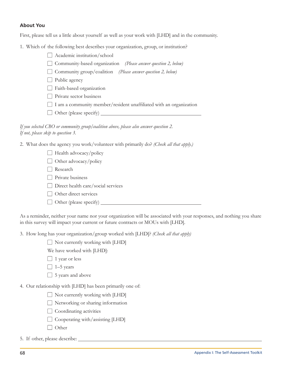## **About You**

First, please tell us a little about yourself as well as your work with [LHD] and in the community.

1. Which of the following best describes your organization, group, or institution?

| $\Box$ Academic institution/school                                        |
|---------------------------------------------------------------------------|
| $\Box$ Community-based organization (Please answer question 2, below)     |
| $\Box$ Community group/coalition (Please answer question 2, below)        |
| Public agency                                                             |
| $\Box$ Faith-based organization                                           |
| Private sector business                                                   |
| $\Box$ I am a community member/resident unaffiliated with an organization |
| $\Box$ Other (please specify)                                             |
|                                                                           |

If you selected CBO or community group/coalition above, please also answer question 2. If not, please skip to question 3.

2. What does the agency you work/volunteer with primarily do? (Check all that apply.)

| $\Box$ Health advocacy/policy             |
|-------------------------------------------|
| $\Box$ Other advocacy/policy              |
| Research                                  |
| Private business                          |
| $\Box$ Direct health care/social services |
| Other direct services                     |
| Other (please specify)                    |
|                                           |

As a reminder, neither your name nor your organization will be associated with your responses, and nothing you share in this survey will impact your current or future contracts or MOUs with [LHD].

3. How long has your organization/group worked with [LHD]? (Check all that apply)

| $\Box$ Not currently working with [LHD] |
|-----------------------------------------|
|-----------------------------------------|

- We have worked with [LHD]:
- $\Box$  1 year or less
- $\Box$  1-5 years
- $\Box$  5 years and above
- 4. Our relationship with [LHD] has been primarily one of:
	- □ Not currently working with [LHD]
	- □ Networking or sharing information
	- $\Box$  Coordinating activities
	- $\Box$  Cooperating with/assisting [LHD]
	- $\Box$  Other

5. If other, please describe: \_\_\_\_\_\_\_\_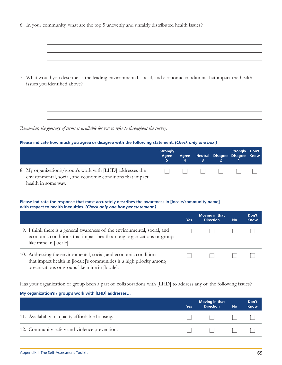|  | 6. In your community, what are the top 5 unevenly and unfairly distributed health issues? |  |  |  |  |  |
|--|-------------------------------------------------------------------------------------------|--|--|--|--|--|
|--|-------------------------------------------------------------------------------------------|--|--|--|--|--|

7. What would you describe as the leading environmental, social, and economic conditions that impact the health issues you identified above?

Remember, the glossary of terms is available for you to refer to throughout the survey.

#### Please indicate how much you agree or disagree with the following statement: (Check only one box.)

|                                                                                                                                                 | <b>Strongly</b><br>Agree | Agree | Neutral Disagree Disagree Know | Strongly Don't |  |
|-------------------------------------------------------------------------------------------------------------------------------------------------|--------------------------|-------|--------------------------------|----------------|--|
| 8. My organization's/group's work with [LHD] addresses the<br>environmental, social, and economic conditions that impact<br>health in some way. |                          |       |                                |                |  |

#### Please indicate the response that most accurately describes the awareness in [locale/community name] with respect to health inequities. (Check only one box per statement.)

|                                                                                                                                                                                              | Yes | Moving in that<br><b>Direction</b> | <b>No</b> | Don't<br><b>Know</b> |
|----------------------------------------------------------------------------------------------------------------------------------------------------------------------------------------------|-----|------------------------------------|-----------|----------------------|
| 9. I think there is a general awareness of the environmental, social, and<br>economic conditions that impact health among organizations or groups<br>like mine in [locale].                  |     |                                    |           |                      |
| 10. Addressing the environmental, social, and economic conditions<br>that impact health in [locale]'s communities is a high priority among<br>organizations or groups like mine in [locale]. |     |                                    |           |                      |

Has your organization or group been a part of collaborations with [LHD] to address any of the following issues?

#### My organization's / group's work with [LHD] addresses...

|                                                 | <b>Yes</b> | Moving in that<br><b>Direction</b> | <b>No</b> | Don't<br><b>Know</b> |
|-------------------------------------------------|------------|------------------------------------|-----------|----------------------|
| 11. Availability of quality affordable housing. |            |                                    |           |                      |
| 12. Community safety and violence prevention.   |            |                                    |           |                      |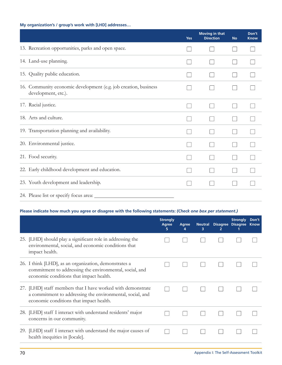## My organization's / group's work with [LHD] addresses...

|                                                                                        | <b>Yes</b> | <b>Moving in that</b><br><b>Direction</b> | <b>No</b> | Don't<br><b>Know</b> |
|----------------------------------------------------------------------------------------|------------|-------------------------------------------|-----------|----------------------|
| 13. Recreation opportunities, parks and open space.                                    |            |                                           |           |                      |
| 14. Land-use planning.                                                                 |            |                                           |           |                      |
| 15. Quality public education.                                                          |            |                                           |           |                      |
| 16. Community economic development (e.g. job creation, business<br>development, etc.). |            |                                           |           |                      |
| 17. Racial justice.                                                                    |            |                                           |           |                      |
| 18. Arts and culture.                                                                  |            |                                           |           |                      |
| 19. Transportation planning and availability.                                          |            |                                           |           |                      |
| 20. Environmental justice.                                                             |            |                                           |           |                      |
| 21. Food security.                                                                     |            |                                           |           |                      |
| 22. Early childhood development and education.                                         |            |                                           |           |                      |
| 23. Youth development and leadership.                                                  |            |                                           |           |                      |
| 24. Please list or specify focus area:                                                 |            |                                           |           |                      |

## Please indicate how much you agree or disagree with the following statements: (Check one box per statement.)

|     |                                                                                                                                                                     | <b>Strongly</b><br>Agree<br>5. | Agree<br>4 | <b>Neutral</b><br>з | <b>Disagree</b><br>2 | <b>Strongly</b><br><b>Disagree</b> | Don't<br><b>Know</b> |
|-----|---------------------------------------------------------------------------------------------------------------------------------------------------------------------|--------------------------------|------------|---------------------|----------------------|------------------------------------|----------------------|
|     | 25. [LHD] should play a significant role in addressing the<br>environmental, social, and economic conditions that<br>impact health.                                 |                                |            |                     |                      |                                    |                      |
|     | 26. I think [LHD], as an organization, demonstrates a<br>commitment to addressing the environmental, social, and<br>economic conditions that impact health.         |                                |            |                     |                      |                                    |                      |
|     | 27. [LHD] staff members that I have worked with demonstrate<br>a commitment to addressing the environmental, social, and<br>economic conditions that impact health. |                                |            |                     |                      |                                    |                      |
| 28. | [LHD] staff I interact with understand residents' major<br>concerns in our community.                                                                               |                                |            |                     |                      |                                    |                      |
|     | 29. [LHD] staff I interact with understand the major causes of<br>health inequities in [locale].                                                                    |                                |            |                     |                      |                                    |                      |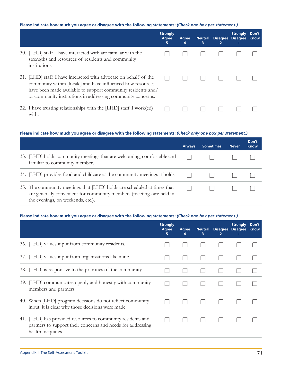#### **Please indicate how much you agree or disagree with the following statements:** *(Check one box per statement.)*

|                                                                                                                                                                                                                                                                | <b>Strongly</b><br>Agree<br>5 | Agree<br>4 | <b>Neutral</b><br>з | 2 | <b>Strongly</b><br>Disagree Disagree Know | Don't |
|----------------------------------------------------------------------------------------------------------------------------------------------------------------------------------------------------------------------------------------------------------------|-------------------------------|------------|---------------------|---|-------------------------------------------|-------|
| 30. [LHD] staff I have interacted with are familiar with the<br>strengths and resources of residents and community<br>institutions.                                                                                                                            |                               |            |                     |   |                                           |       |
| 31. [LHD] staff I have interacted with advocate on behalf of the<br>community within [locale] and have influenced how resources<br>have been made available to support community residents and/<br>or community institutions in addressing community concerns. |                               |            |                     |   |                                           |       |
| 32. I have trusting relationships with the [LHD] staff I work(ed)<br>with.                                                                                                                                                                                     |                               |            |                     |   |                                           |       |

#### **Please indicate how much you agree or disagree with the following statements:** *(Check only one box per statement.)*

|                                                                                                                                                                                      | <b>Always</b> | <b>Sometimes</b> | <b>Never</b> | Don't<br><b>Know</b> |
|--------------------------------------------------------------------------------------------------------------------------------------------------------------------------------------|---------------|------------------|--------------|----------------------|
| 33. [LHD] holds community meetings that are welcoming, comfortable and<br>familiar to community members.                                                                             |               |                  |              |                      |
| 34. [LHD] provides food and childcare at the community meetings it holds.                                                                                                            |               |                  |              |                      |
| 35. The community meetings that [LHD] holds are scheduled at times that<br>are generally convenient for community members (meetings are held in<br>the evenings, on weekends, etc.). |               |                  |              |                      |

#### **Please indicate how much you agree or disagree with the following statements:** *(Check one box per statement.)*

|     |                                                                                                                                              | <b>Strongly</b><br>Agree<br>5. | Agree<br>4 | <b>Neutral</b><br>3 | 2 | <b>Strongly</b><br>Disagree Disagree | Don't<br><b>Know</b> |
|-----|----------------------------------------------------------------------------------------------------------------------------------------------|--------------------------------|------------|---------------------|---|--------------------------------------|----------------------|
|     | 36. [LHD] values input from community residents.                                                                                             |                                |            |                     |   |                                      |                      |
|     | 37. [LHD] values input from organizations like mine.                                                                                         |                                |            |                     |   |                                      |                      |
|     | 38. [LHD] is responsive to the priorities of the community.                                                                                  |                                |            |                     |   |                                      |                      |
|     | 39. [LHD] communicates openly and honestly with community<br>members and partners.                                                           |                                |            |                     |   |                                      |                      |
|     | 40. When [LHD] program decisions do not reflect community<br>input, it is clear why those decisions were made.                               |                                |            |                     |   |                                      |                      |
| 41. | [LHD] has provided resources to community residents and<br>partners to support their concerns and needs for addressing<br>health inequities. |                                |            |                     |   |                                      |                      |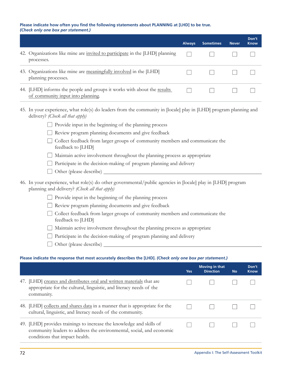#### Please indicate how often you find the following statements about PLANNING at [LHD] to be true. (Check only one box per statement.)

|                                                                                                              | <b>Always</b> | <b>Sometimes</b> | <b>Never</b> | Don't<br><b>Know</b> |
|--------------------------------------------------------------------------------------------------------------|---------------|------------------|--------------|----------------------|
| 42. Organizations like mine are invited to participate in the [LHD] planning<br>processes.                   |               |                  |              |                      |
| 43. Organizations like mine are meaningfully involved in the [LHD]<br>planning processes.                    |               |                  |              |                      |
| 44. [LHD] informs the people and groups it works with about the results<br>of community input into planning. |               |                  |              |                      |

- 45. In your experience, what role(s) do leaders from the community in [locale] play in [LHD] program planning and delivery? (Check all that apply)
	- $\Box$  Provide input in the beginning of the planning process
	- Review program planning documents and give feedback
	- □ Collect feedback from larger groups of community members and communicate the feedback to [LHD]
	- Maintain active involvement throughout the planning process as appropriate
	- $\Box$  Participate in the decision-making of program planning and delivery
	- $\Box$  Other (please describe)
- 46. In your experience, what role(s) do other governmental/public agencies in [locale] play in [LHD] program planning and delivery? (Check all that apply)
	- $\Box$  Provide input in the beginning of the planning process
	- Review program planning documents and give feedback
	- □ Collect feedback from larger groups of community members and communicate the feedback to [LHD]
	- Maintain active involvement throughout the planning process as appropriate
	- $\Box$  Participate in the decision-making of program planning and delivery
	- $\Box$  Other (please describe)

#### Please indicate the response that most accurately describes the [LHD]. (Check only one box per statement.)

|                                                                                                                                                                                | <b>Yes</b> | <b>Moving in that</b><br><b>Direction</b> | <b>No</b> | Don't<br><b>Know</b> |
|--------------------------------------------------------------------------------------------------------------------------------------------------------------------------------|------------|-------------------------------------------|-----------|----------------------|
| 47. [LHD] creates and distributes oral and written materials that are<br>appropriate for the cultural, linguistic, and literacy needs of the<br>community.                     |            |                                           |           |                      |
| 48. [LHD] collects and shares data in a manner that is appropriate for the<br>cultural, linguistic, and literacy needs of the community.                                       |            |                                           |           |                      |
| 49. [LHD] provides trainings to increase the knowledge and skills of<br>community leaders to address the environmental, social, and economic<br>conditions that impact health. |            |                                           |           |                      |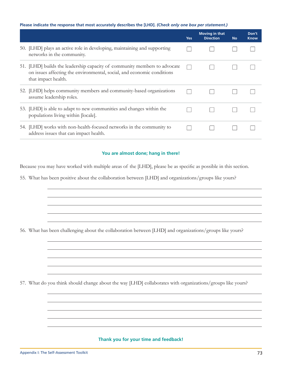#### Please indicate the response that most accurately describes the [LHD]. (Check only one box per statement.)

|                                                                                                                                                                            | <b>Yes</b> | <b>Moving in that</b><br><b>Direction</b> | <b>No</b> | Don't<br><b>Know</b> |
|----------------------------------------------------------------------------------------------------------------------------------------------------------------------------|------------|-------------------------------------------|-----------|----------------------|
| 50. [LHD] plays an active role in developing, maintaining and supporting<br>networks in the community.                                                                     |            |                                           |           |                      |
| 51. [LHD] builds the leadership capacity of community members to advocate<br>on issues affecting the environmental, social, and economic conditions<br>that impact health. |            |                                           |           |                      |
| 52. [LHD] helps community members and community-based organizations<br>assume leadership roles.                                                                            |            |                                           |           |                      |
| 53. [LHD] is able to adapt to new communities and changes within the<br>populations living within [locale].                                                                |            |                                           |           |                      |
| 54. [LHD] works with non-health-focused networks in the community to<br>address issues that can impact health.                                                             |            |                                           |           |                      |

#### You are almost done; hang in there!

Because you may have worked with multiple areas of the [LHD], please be as specific as possible in this section.

55. What has been positive about the collaboration between [LHD] and organizations/groups like yours?

56. What has been challenging about the collaboration between [LHD] and organizations/groups like yours?

57. What do you think should change about the way [LHD] collaborates with organizations/groups like yours?

#### Thank you for your time and feedback!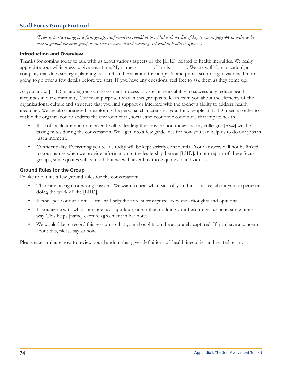## **Staff Focus Group Protocol**

(Prior to participating in a focus group, staff members should be provided with the list of key terms on page 44 in order to be able to ground the focus group discussion in these shared meanings relevant to health inequities.)

#### **Introduction and Overview**

Thanks for coming today to talk with us about various aspects of the [LHD] related to health inequities. We really appreciate your willingness to give your time. My name is \_\_\_\_\_\_\_. This is \_\_\_\_\_\_. We are with [organization], a company that does strategic planning, research and evaluation for nonprofit and public sector organizations. I'm first going to go over a few details before we start. If you have any questions, feel free to ask them as they come up.

As you know, [LHD] is undergoing an assessment process to determine its ability to successfully reduce health inequities in our community. Our main purpose today in this group is to learn from you about the elements of the organizational culture and structure that you find support or interfere with the agency's ability to address health inequities. We are also interested in exploring the personal characteristics you think people at [LHD] need in order to enable the organization to address the environmental, social, and economic conditions that impact health.

- Role of facilitator and note taker. I will be leading the conversation today and my colleague [name] will be taking notes during the conversation. We'll get into a few guidelines for how you can help us to do our jobs in just a moment.
- $\bullet$ Confidentiality. Everything you tell us today will be kept strictly confidential. Your answers will not be linked to your names when we provide information to the leadership here at [LHD]. In our report of these focus groups, some quotes will be used, but we will never link those quotes to individuals.

#### **Ground Rules for the Group**

I'd like to outline a few ground rules for the conversation:

- $\bullet$ There are no right or wrong answers. We want to hear what each of you think and feel about your experience doing the work of the [LHD].
- Please speak one at a time—this will help the note taker capture everyone's thoughts and opinions.  $\bullet$
- If you agree with what someone says, speak up, rather than nodding your head or gesturing in some other  $\bullet$ way. This helps [name] capture agreement in her notes.
- $\bullet$ We would like to record this session so that your thoughts can be accurately captured. If you have a concern about this, please say so now.

Please take a minute now to review your handout that gives definitions of health inequities and related terms.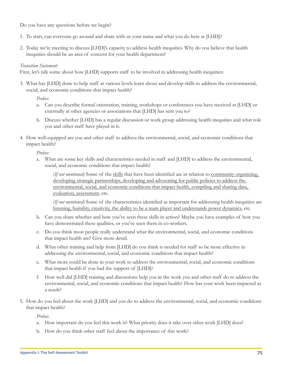Do you have any questions before we begin?

- 1. To start, can everyone go around and share with us your name and what you do here at [LHD]?
- 2. Today we're meeting to discuss [LHD]'s capacity to address health inequities. Why do you believe that health inequities should be an area of concern for your health department?

#### Transition Statement:

First, let's talk some about how [LHD] supports staff to be involved in addressing health inequities:

3. What has [LHD] done to help staff at various levels learn about and develop skills to address the environmental, social, and economic conditions that impact health?

Probes:

- a. Can you describe formal orientation, training, workshops or conferences you have received at [LHD] or externally at other agencies or associations that [LHD] has sent you to?
- b. Discuss whether [LHD] has a regular discussion or work group addressing health inequities and what role you and other staff have played in it.
- 4. How well-equipped are you and other staff to address the environmental, social, and economic conditions that impact health?

Probes:

a. What are some key skills and characteristics needed in staff and [LHD] to address the environmental, social, and economic conditions that impact health?

(If not mentioned) Some of the skills that have been identified are in relation to community organizing, developing strategic partnerships, developing and advocating for public policies to address the environmental, social, and economic conditions that impact health, compiling and sharing data, evaluation, assessment, etc.

(If not mentioned) Some of the characteristics identified as important for addressing health inequities are listening, humility, creativity, the ability to be a team player and understands power dynamics, etc.

- b. Can you share whether and how you've seen these skills in action? Maybe you have examples of how you have demonstrated these qualities, or you've seen them in co-workers.
- Do you think most people really understand what the environmental, social, and economic conditions C. that impact health are? Give more detail.
- d. What other training and help from [LHD] do you think is needed for staff to be more effective in addressing the environmental, social, and economic conditions that impact health?
- What more could be done in your work to address the environmental, social, and economic conditions e. that impact health if you had the support of [LHD]?
- How well did [LHD] training and discussions help you in the work you and other staff do to address the f. environmental, social, and economic conditions that impact health? How has your work been impacted as a result?
- 5. How do you feel about the work [LHD] and you do to address the environmental, social, and economic conditions that impact health?

Probes:

- a. How important do you feel this work is? What priority does it take over other work [LHD] does?
- b. How do you think other staff feel about the importance of this work?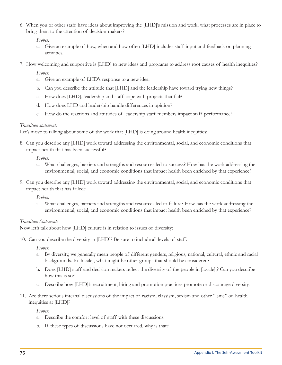6. When you or other staff have ideas about improving the [LHD]'s mission and work, what processes are in place to bring them to the attention of decision-makers?

Probes:

- a. Give an example of how, when and how often [LHD] includes staff input and feedback on planning activities.
- 7. How welcoming and supportive is [LHD] to new ideas and programs to address root causes of health inequities?

Probes:

- a. Give an example of LHD's response to a new idea.
- b. Can you describe the attitude that [LHD] and the leadership have toward trying new things?
- How does [LHD], leadership and staff cope with projects that fail?  $C.$
- d. How does LHD and leadership handle differences in opinion?
- e. How do the reactions and attitudes of leadership staff members impact staff performance?

#### Transition statement:

Let's move to talking about some of the work that [LHD] is doing around health inequities:

8. Can you describe any [LHD] work toward addressing the environmental, social, and economic conditions that impact health that has been successful?

Probes:

- a. What challenges, barriers and strengths and resources led to success? How has the work addressing the environmental, social, and economic conditions that impact health been enriched by that experience?
- 9. Can you describe any [LHD] work toward addressing the environmental, social, and economic conditions that impact health that has failed?

Probes:

 $a.$ What challenges, barriers and strengths and resources led to failure? How has the work addressing the environmental, social, and economic conditions that impact health been enriched by that experience?

#### Transition Statement:

Now let's talk about how [LHD] culture is in relation to issues of diversity:

10. Can you describe the diversity in [LHD]? Be sure to include all levels of staff.

Probes:

- a. By diversity, we generally mean people of different genders, religious, national, cultural, ethnic and racial backgrounds. In [locale], what might be other groups that should be considered?
- b. Does [LHD] staff and decision makers reflect the diversity of the people in [locale],? Can you describe how this is so?
- c. Describe how [LHD]'s recruitment, hiring and promotion practices promote or discourage diversity.
- 11. Are there serious internal discussions of the impact of racism, classism, sexism and other "isms" on health inequities at [LHD]?

Probes:

- a. Describe the comfort level of staff with these discussions.
- b. If these types of discussions have not occurred, why is that?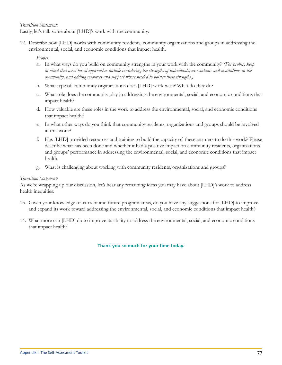#### Transition Statement:

Lastly, let's talk some about [LHD]'s work with the community:

12. Describe how [LHD] works with community residents, community organizations and groups in addressing the environmental, social, and economic conditions that impact health.

Probes:

- a. In what ways do you build on community strengths in your work with the community? (For probes, keep in mind that asset-based approaches include considering the strengths of individuals, associations and institutions in the community, and adding resources and support where needed to bolster these strengths.)
- b. What type of community organizations does [LHD] work with? What do they do?
- c. What role does the community play in addressing the environmental, social, and economic conditions that impact health?
- d. How valuable are these roles in the work to address the environmental, social, and economic conditions that impact health?
- e. In what other ways do you think that community residents, organizations and groups should be involved in this work?
- f. Has [LHD] provided resources and training to build the capacity of these partners to do this work? Please describe what has been done and whether it had a positive impact on community residents, organizations and groups' performance in addressing the environmental, social, and economic conditions that impact health.
- What is challenging about working with community residents, organizations and groups? g.

#### Transition Statement:

As we're wrapping up our discussion, let's hear any remaining ideas you may have about [LHD]'s work to address health inequities:

- 13. Given your knowledge of current and future program areas, do you have any suggestions for [LHD] to improve and expand its work toward addressing the environmental, social, and economic conditions that impact health?
- 14. What more can [LHD] do to improve its ability to address the environmental, social, and economic conditions that impact health?

## Thank you so much for your time today.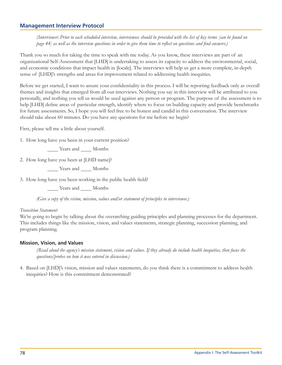## **Management Interview Protocol**

(Interviewer: Prior to each scheduled interview, interviewees should be provided with the list of key terms [can be found on page  $44$ ] as well as the interview questions in order to give them time to reflect on questions and find answers.)

Thank you so much for taking the time to speak with me today. As you know, these interviews are part of an organizational Self-Assessment that [LHD] is undertaking to assess its capacity to address the environmental, social, and economic conditions that impact health in [locale]. The interviews will help us get a more complete, in-depth sense of [LHD]'s strengths and areas for improvement related to addressing health inequities.

Before we get started, I want to assure your confidentiality in this process. I will be reporting feedback only as overall themes and insights that emerged from all our interviews. Nothing you say in this interview will be attributed to you personally, and nothing you tell us would be used against any person or program. The purpose of the assessment is to help [LHD] define areas of particular strength, identify where to focus on building capacity and provide benchmarks for future assessments. So, I hope you will feel free to be honest and candid in this conversation. The interview should take about 60 minutes. Do you have any questions for me before we begin?

First, please tell me a little about vourself.

1. How long have you been in your current position?

Vears and \_\_\_\_ Months

2. How long have you been at [LHD name]?

Years and Months

3. How long have you been working in the public health field?

Years and Months

(Give a copy of the vision, mission, values and/or statement of principles to interviewee.)

#### Transition Statement:

We're going to begin by talking about the overarching guiding principles and planning processes for the department. This includes things like the mission, vision, and values statements, strategic planning, succession planning, and program planning.

#### **Mission, Vision, and Values**

(Read aloud the agency's mission statement, vision and values. If they already do include health inequities, then focus the questions/probes on how it was entered in discussion.)

4. Based on [LHD]'s vision, mission and values statements, do you think there is a commitment to address health inequities? How is this commitment demonstrated?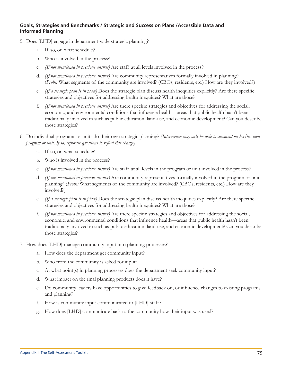## Goals, Strategies and Benchmarks / Strategic and Succession Plans / Accessible Data and **Informed Planning**

- 5. Does [LHD] engage in department-wide strategic planning?
	- a. If so, on what schedule?
	- b. Who is involved in the process?
	- c. (If not mentioned in previous answer) Are staff at all levels involved in the process?
	- d. (If not mentioned in previous answer) Are community representatives formally involved in planning? (Probe: What segments of the community are involved? (CBOs, residents, etc.) How are they involved?)
	- e. (If a strategic plan is in place) Does the strategic plan discuss health inequities explicitly? Are there specific strategies and objectives for addressing health inequities? What are those?
	- f. (If not mentioned in previous answer) Are there specific strategies and objectives for addressing the social, economic, and environmental conditions that influence health—areas that public health hasn't been traditionally involved in such as public education, land-use, and economic development? Can you describe those strategies?
- 6. Do individual programs or units do their own strategic planning? (Interviewee may only be able to comment on her/his own program or unit. If so, rephrase questions to reflect this change)
	- a. If so, on what schedule?
	- b. Who is involved in the process?
	- C. (If not mentioned in previous answer) Are staff at all levels in the program or unit involved in the process?
	- d. (If not mentioned in previous answer) Are community representatives formally involved in the program or unit planning? (Probe: What segments of the community are involved? (CBOs, residents, etc.) How are they involved?)
	- e. (If a strategic plan is in place) Does the strategic plan discuss health inequities explicitly? Are there specific strategies and objectives for addressing health inequities? What are those?
	- f. (If not mentioned in previous answer) Are there specific strategies and objectives for addressing the social, economic, and environmental conditions that influence health—areas that public health hasn't been traditionally involved in such as public education, land-use, and economic development? Can you describe those strategies?
- 7. How does [LHD] manage community input into planning processes?
	- a. How does the department get community input?
	- b. Who from the community is asked for input?
	- At what point(s) in planning processes does the department seek community input? C.
	- What impact on the final planning products does it have? d.
	- e. Do community leaders have opportunities to give feedback on, or influence changes to existing programs and planning?
	- How is community input communicated to [LHD] staff? f.
	- How does [LHD] communicate back to the community how their input was used? g.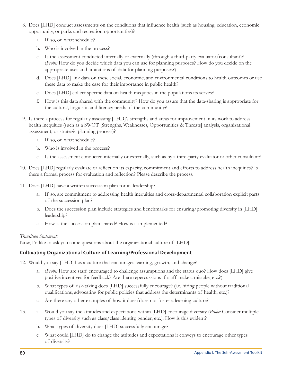- 8. Does [LHD] conduct assessments on the conditions that influence health (such as housing, education, economic opportunity, or parks and recreation opportunities)?
	- a. If so, on what schedule?
	- b. Who is involved in the process?
	- c. Is the assessment conducted internally or externally (through a third-party evaluator/consultant)? (Probe: How do you decide which data you can use for planning purposes? How do you decide on the appropriate uses and limitations of data for planning purposes?)
	- d. Does [LHD] link data on these social, economic, and environmental conditions to health outcomes or use these data to make the case for their importance in public health?
	- e. Does [LHD] collect specific data on health inequities in the populations its serves?
	- f. How is this data shared with the community? How do you assure that the data-sharing is appropriate for the cultural, linguistic and literacy needs of the community?
- 9. Is there a process for regularly assessing [LHD]'s strengths and areas for improvement in its work to address health inequities (such as a SWOT [Strengths, Weaknesses, Opportunities & Threats] analysis, organizational assessment, or strategic planning process)?
	- a. If so, on what schedule?
	- b. Who is involved in the process?
	- c. Is the assessment conducted internally or externally, such as by a third-party evaluator or other consultant?
- 10. Does [LHD] regularly evaluate or reflect on its capacity, commitment and efforts to address health inequities? Is there a formal process for evaluation and reflection? Please describe the process.
- 11. Does [LHD] have a written succession plan for its leadership?
	- a. If so, are commitment to addressing health inequities and cross-departmental collaboration explicit parts of the succession plan?
	- b. Does the succession plan include strategies and benchmarks for ensuring/promoting diversity in [LHD] leadership?
	- c. How is the succession plan shared? How is it implemented?

## Transition Statement:

Now, I'd like to ask you some questions about the organizational culture of [LHD].

## **Cultivating Organizational Culture of Learning/Professional Development**

- 12. Would you say [LHD] has a culture that encourages learning, growth, and change?
	- a. (Probe: How are staff encouraged to challenge assumptions and the status quo? How does [LHD] give positive incentives for feedback? Are there repercussions if staff make a mistake, etc.?)
	- b. What types of risk-taking does [LHD] successfully encourage? (i.e. hiring people without traditional qualifications, advocating for public policies that address the determinants of health, etc.)?
	- c. Are there any other examples of how it does/does not foster a learning culture?
- 13. a. Would you say the attitudes and expectations within [LHD] encourage diversity (Probe: Consider multiple types of diversity such as class/class identity, gender, etc.). How is this evident?
	- b. What types of diversity does [LHD] successfully encourage?
	- What could [LHD] do to change the attitudes and expectations it conveys to encourage other types C. of diversity?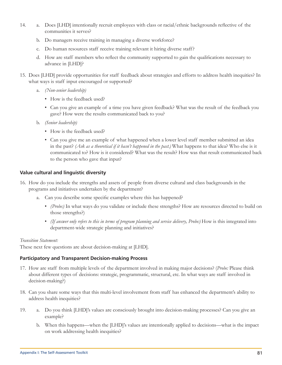- 14. a. Does [LHD] intentionally recruit employees with class or racial/ethnic backgrounds reflective of the communities it serves?
	- b. Do managers receive training in managing a diverse workforce?
	- c. Do human resources staff receive training relevant it hiring diverse staff?
	- d. How are staff members who reflect the community supported to gain the qualifications necessary to advance in [LHD]?
- 15. Does [LHD] provide opportunities for staff feedback about strategies and efforts to address health inequities? In what ways is staff input encouraged or supported?
	- a. (Non-senior leadership)
		- How is the feedback used?
		- Can you give an example of a time you have given feedback? What was the result of the feedback you gave? How were the results communicated back to you?
	- b. (Senior leadership)
		- How is the feedback used?
		- Can you give me an example of what happened when a lower level staff member submitted an idea in the past? (Ask as a theoretical if it hasn't happened in the past.) What happens to that idea? Who else is it communicated to? How is it considered? What was the result? How was that result communicated back to the person who gave that input?

## Value cultural and linguistic diversity

- 16. How do you include the strengths and assets of people from diverse cultural and class backgrounds in the programs and initiatives undertaken by the department?
	- a. Can you describe some specific examples where this has happened?
		- (Probe:) In what ways do you validate or include these strengths? How are resources directed to build on those strengths?)
		- (If answer only refers to this in terms of program planning and service delivery, Probe:) How is this integrated into department-wide strategic planning and initiatives?

#### Transition Statement:

These next few questions are about decision-making at [LHD].

## **Participatory and Transparent Decision-making Process**

- 17. How are staff from multiple levels of the department involved in making major decisions? (Probe: Please think about different types of decisions: strategic, programmatic, structural, etc. In what ways are staff involved in decision-making?)
- 18. Can you share some ways that this multi-level involvement from staff has enhanced the department's ability to address health inequities?
- a. Do you think [LHD]'s values are consciously brought into decision-making processes? Can you give an 19. example?
	- b. When this happens—when the [LHD]'s values are intentionally applied to decisions—what is the impact on work addressing health inequities?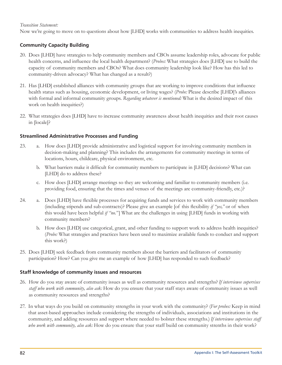#### Transition Statement:

Now we're going to move on to questions about how [LHD] works with communities to address health inequities.

## **Community Capacity Building**

- 20. Does [LHD] have strategies to help community members and CBOs assume leadership roles, advocate for public health concerns, and influence the local health department? (Probes: What strategies does [LHD] use to build the capacity of community members and CBOs? What does community leadership look like? How has this led to community-driven advocacy? What has changed as a result?)
- 21. Has [LHD] established alliances with community groups that are working to improve conditions that influence health status such as housing, economic development, or living wages? (Probe: Please describe [LHD]'s alliances with formal and informal community groups. Regarding whatever is mentioned: What is the desired impact of this work on health inequities?)
- 22. What strategies does [LHD] have to increase community awareness about health inequities and their root causes in [locale]?

## **Streamlined Administrative Processes and Funding**

- a. How does [LHD] provide administrative and logistical support for involving community members in 23. decision-making and planning? This includes the arrangements for community meetings in terms of locations, hours, childcare, physical environment, etc.
	- b. What barriers make it difficult for community members to participate in [LHD] decisions? What can [LHD] do to address these?
	- c. How does [LHD] arrange meetings so they are welcoming and familiar to community members (i.e. providing food, ensuring that the times and venues of the meetings are community-friendly, etc.)?
- 24. a. Does [LHD] have flexible processes for acquiring funds and services to work with community members (including stipends and sub-contracts)? Please give an example [of this flexibility if " $\gamma e$ "," or of when this would have been helpful if "no."] What are the challenges in using [LHD] funds in working with community members?
	- b. How does [LHD] use categorical, grant, and other funding to support work to address health inequities? (Probe: What strategies and practices have been used to maximize available funds to conduct and support this work?)
- 25. Does [LHD] seek feedback from community members about the barriers and facilitators of community participation? How? Can you give me an example of how [LHD] has responded to such feedback?

## Staff knowledge of community issues and resources

- 26. How do you stay aware of community issues as well as community resources and strengths? If interviewee supervises staff who work with community, also ask: How do you ensure that your staff stays aware of community issues as well as community resources and strengths?
- 27. In what ways do you build on community strengths in your work with the community? (For probes: Keep in mind that asset-based approaches include considering the strengths of individuals, associations and institutions in the community, and adding resources and support where needed to bolster these strengths.) If interviewee supervises staff who work with community, also ask: How do you ensure that your staff build on community strenths in their work?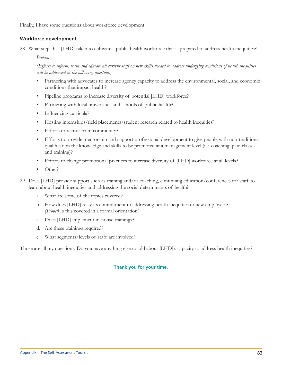Finally, I have some questions about workforce development.

## **Workforce development**

28. What steps has [LHD] taken to cultivate a public health workforce that is prepared to address health inequities?

Probes:

(Efforts to inform, train and educate all current staff on new skills needed to address underlying conditions of health inequities will be addressed in the following question.)

- $\bullet$ Partnering with advocates to increase agency capacity to address the environmental, social, and economic conditions that impact health?
- Pipeline programs to increase diversity of potential [LHD] workforce?  $\bullet$
- Partnering with local universities and schools of public health?  $\bullet$
- $\bullet$ Influencing curricula?
- Hosting internships/field placements/student research related to health inequities?  $\bullet$
- Efforts to recruit from community?  $\bullet$
- $\bullet$ Efforts to provide mentorship and support professional development to give people with non-traditional qualification the knowledge and skills to be promoted at a management level (i.e. coaching, paid classes and training)?
- Efforts to change promotional practices to increase diversity of [LHD] workforce at all levels?
- $\bullet$ Other?
- 29. Does [LHD] provide support such as training and/or coaching, continuing education/conferences for staff to learn about health inequities and addressing the social determinants of health?
	- a. What are some of the topics covered?
	- b. How does [LHD] relay its commitment to addressing health inequities to new employees? (Probe:) Is this covered in a formal orientation?
	- c. Does [LHD] implement in-house trainings?
	- d. Are these trainings required?
	- e. What segments/levels of staff are involved?

Those are all my questions. Do you have anything else to add about [LHD]'s capacity to address health inequities?

#### Thank you for your time.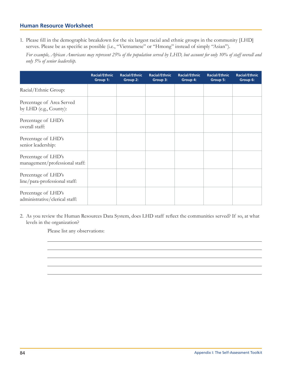## **Human Resource Worksheet**

1. Please fill in the demographic breakdown for the six largest racial and ethnic groups in the community [LHD] serves. Please be as specific as possible (i.e., "Vietnamese" or "Hmong" instead of simply "Asian").

For example, African Americans may represent 25% of the population served by LHD, but account for only 10% of staff overall and only 5% of senior leadership.

|                                                       | <b>Racial/Ethnic</b><br>Group 1: | <b>Racial/Ethnic</b><br>Group 2: | <b>Racial/Ethnic</b><br>Group 3: | <b>Racial/Ethnic</b><br>Group 4: | <b>Racial/Ethnic</b><br>Group 5: | <b>Racial/Ethnic</b><br>Group 6: |
|-------------------------------------------------------|----------------------------------|----------------------------------|----------------------------------|----------------------------------|----------------------------------|----------------------------------|
| Racial/Ethnic Group:                                  |                                  |                                  |                                  |                                  |                                  |                                  |
| Percentage of Area Served<br>by LHD (e.g., County):   |                                  |                                  |                                  |                                  |                                  |                                  |
| Percentage of LHD's<br>overall staff:                 |                                  |                                  |                                  |                                  |                                  |                                  |
| Percentage of LHD's<br>senior leadership:             |                                  |                                  |                                  |                                  |                                  |                                  |
| Percentage of LHD's<br>management/professional staff: |                                  |                                  |                                  |                                  |                                  |                                  |
| Percentage of LHD's<br>line/para-professional staff:  |                                  |                                  |                                  |                                  |                                  |                                  |
| Percentage of LHD's<br>administrative/clerical staff: |                                  |                                  |                                  |                                  |                                  |                                  |

2. As you review the Human Resources Data System, does LHD staff reflect the communities served? If so, at what levels in the organization?

Please list any observations: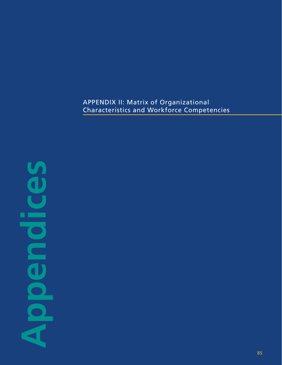## APPENDIX II: Matrix of Organizational Characteristics and Workforce Competencies

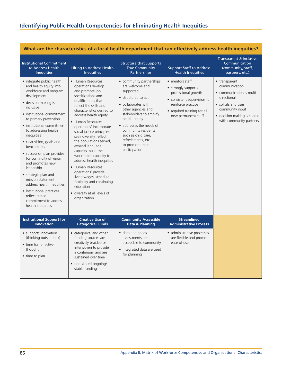|                                                                                                                                                                                                                                                                                                                                                                                                                                                                                                                                                                           |                                                                                                                                                                                                                                                                                                                                                                                                                                                                                                                                                                                                 |                                                                                                                                                                                                                                                                                                                |                                                                                                                                                                          | ~~~~~~~~~~~~~~~                                                                                                                                                                |
|---------------------------------------------------------------------------------------------------------------------------------------------------------------------------------------------------------------------------------------------------------------------------------------------------------------------------------------------------------------------------------------------------------------------------------------------------------------------------------------------------------------------------------------------------------------------------|-------------------------------------------------------------------------------------------------------------------------------------------------------------------------------------------------------------------------------------------------------------------------------------------------------------------------------------------------------------------------------------------------------------------------------------------------------------------------------------------------------------------------------------------------------------------------------------------------|----------------------------------------------------------------------------------------------------------------------------------------------------------------------------------------------------------------------------------------------------------------------------------------------------------------|--------------------------------------------------------------------------------------------------------------------------------------------------------------------------|--------------------------------------------------------------------------------------------------------------------------------------------------------------------------------|
| <b>Institutional Commitment</b><br>to Address Health<br><b>Inequities</b>                                                                                                                                                                                                                                                                                                                                                                                                                                                                                                 | Hiring to Address Health<br><b>Inequities</b>                                                                                                                                                                                                                                                                                                                                                                                                                                                                                                                                                   | <b>Structure that Supports</b><br><b>True Community</b><br>Partnerships                                                                                                                                                                                                                                        | <b>Support Staff to Address</b><br><b>Health Inequities</b>                                                                                                              | Transparent & Inclusive<br>Communication<br>(community, staff,<br>partners, etc.)                                                                                              |
| • integrate public health<br>and health equity into<br>workforce and program<br>development<br>• decision making is<br>inclusive<br>• institutional commitment<br>to primary prevention<br>• institutional commitment<br>to addressing health<br>inequities<br>· clear vision, goals and<br>benchmarks<br>· succession plan provides<br>for continuity of vision<br>and promotes new<br>leadership<br>• strategic plan and<br>mission statement<br>address health inequities<br>• institutional practices<br>reflect stated<br>commitment to address<br>health inequities | • Human Resources<br>operations develop<br>and promote job<br>specifications and<br>qualifications that<br>reflect the skills and<br>characteristics desired to<br>address health equity<br>• Human Resources<br>operations' incorporate<br>social justice principles,<br>seek diversity, reflect<br>the populations served,<br>expand language<br>capacity, build the<br>workforce's capacity to<br>address health inequities<br>• Human Resources<br>operations' provide<br>living wages, schedule<br>flexibility and continuing<br>education<br>· diversity at all levels of<br>organization | • community partnerships<br>are welcome and<br>supported<br>• structured to act<br>• collaborates with<br>other agencies and<br>stakeholders to amplify<br>health equity<br>• addresses the needs of<br>community residents<br>such as child care,<br>refreshments, etc.,<br>to promote their<br>participation | • mentors staff<br>• strongly supports<br>professional growth<br>· consistent supervision to<br>reinforce practice<br>• required training for all<br>new permanent staff | • transparent<br>communication<br>• communication is multi-<br>directional<br>• solicits and uses<br>community input<br>• decision making is shared<br>with community partners |
| <b>Institutional Support for</b><br><b>Innovation</b>                                                                                                                                                                                                                                                                                                                                                                                                                                                                                                                     | <b>Creative Use of</b><br><b>Categorical Funds</b>                                                                                                                                                                                                                                                                                                                                                                                                                                                                                                                                              | <b>Community Accessible</b><br>Data & Planning                                                                                                                                                                                                                                                                 | <b>Streamlined</b><br><b>Administrative Process</b>                                                                                                                      |                                                                                                                                                                                |
| • supports innovation<br>(thinking outside box)<br>• time for reflective<br>thought<br>• time to plan                                                                                                                                                                                                                                                                                                                                                                                                                                                                     | • categorical and other<br>funding sources are<br>creatively braided or<br>interwoven to provide<br>a continuum and are<br>sustained over time<br>• non silo-ed ongoing/<br>stable funding                                                                                                                                                                                                                                                                                                                                                                                                      | · data and needs<br>assessments are<br>accessible to community<br>• integrated data are used<br>for planning                                                                                                                                                                                                   | · administrative processes<br>are flexible and promote<br>ease of use                                                                                                    |                                                                                                                                                                                |

## **What are the characteristics of a local health department that can effectively address health inequities?**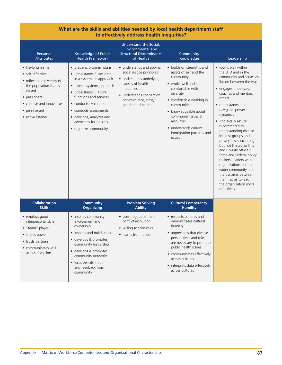| What are the skills and abilities needed by local health department staff<br>to effectively address health inequities?                                                                         |                                                                                                                                                                                                                                                                                                      |                                                                                                                                                                                               |                                                                                                                                                                                                                                                                                                |                                                                                                                                                                                                                                                                                                                                                                                                                                                                                                                                                                                        |
|------------------------------------------------------------------------------------------------------------------------------------------------------------------------------------------------|------------------------------------------------------------------------------------------------------------------------------------------------------------------------------------------------------------------------------------------------------------------------------------------------------|-----------------------------------------------------------------------------------------------------------------------------------------------------------------------------------------------|------------------------------------------------------------------------------------------------------------------------------------------------------------------------------------------------------------------------------------------------------------------------------------------------|----------------------------------------------------------------------------------------------------------------------------------------------------------------------------------------------------------------------------------------------------------------------------------------------------------------------------------------------------------------------------------------------------------------------------------------------------------------------------------------------------------------------------------------------------------------------------------------|
| Personal<br><b>Attributes</b>                                                                                                                                                                  | Knowledge of Public<br><b>Health Framework</b>                                                                                                                                                                                                                                                       | Understand the Social,<br><b>Environmental and</b><br><b>Structural Determinants</b><br>of Health                                                                                             | Community<br>Knowledge                                                                                                                                                                                                                                                                         | Leadership                                                                                                                                                                                                                                                                                                                                                                                                                                                                                                                                                                             |
| • life-long learner<br>• self-reflective<br>• reflects the diversity of<br>the population that is<br>served<br>• passionate<br>• creative and innovative<br>• perseverant<br>• active listener | • prepares program plans<br>· understands / uses data<br>in a systematic approach<br>• takes a systems approach<br>• understands PH core<br>functions and services<br>• conducts evaluation<br>• conducts assessments<br>· develops, analyzes and<br>advocates for policies<br>• organizes community | • understands and applies<br>social justice principles<br>• understands underlying<br>causes of health<br>inequities<br>• understands connection<br>between race, class,<br>gender and health | • builds on strengths and<br>assets of self and the<br>community<br>• works well and is<br>comfortable with<br>diversity<br>• comfortable working in<br>communities<br>• knowledgeable about<br>community issues &<br>resources<br>• understands current<br>immigration patterns and<br>issues | • works well within<br>the LHD and in the<br>community and serves as<br>liaison between the two<br>· engages, mobilizes,<br>coaches and mentors<br>others<br>• understands and<br>navigates power<br>dynamics<br>• "politically astute":<br>is committed to<br>understanding diverse<br>interest groups and<br>power bases including<br>but not limited to City<br>and County officials,<br>State and Federal policy<br>makers, leaders within<br>organizations and the<br>wider community, and<br>the dynamic between<br>them, so as to lead<br>the organization more<br>effectively. |
| <b>Collaboration</b><br><b>Skills</b>                                                                                                                                                          | <b>Community</b><br><b>Organizing</b>                                                                                                                                                                                                                                                                | <b>Problem Solving</b><br><b>Ability</b>                                                                                                                                                      | <b>Cultural Competency</b><br><b>Humility</b>                                                                                                                                                                                                                                                  |                                                                                                                                                                                                                                                                                                                                                                                                                                                                                                                                                                                        |
| • employs good<br>interpersonal skills<br>$\bullet$ "team" player<br>• shares power<br>• trusts partners<br>• communicates well<br>across disciplines                                          | • inspires community<br>involvement and<br>ownership<br>• inspires and builds trust<br>· develops & promotes<br>community leadership<br>· develops & promotes<br>community networks<br>• values/elicits input<br>and feedback from<br>community                                                      | • uses negotiation and<br>conflict resolution<br>• willing to take risks<br>• learns from failure                                                                                             | • respects cultures and<br>demonstrates cultural<br>humility<br>• appreciates that diverse<br>perspectives and roles<br>are necessary to promote<br>public health issues<br>• communicates effectively<br>across cultures<br>• interprets data effectively<br>across cultures                  |                                                                                                                                                                                                                                                                                                                                                                                                                                                                                                                                                                                        |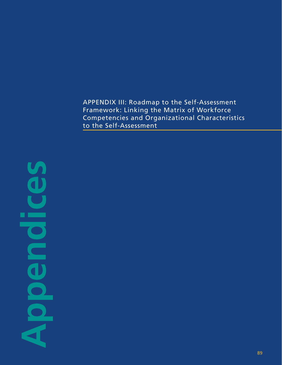APPENDIX III: Roadmap to the Self-Assessment Framework: Linking the Matrix of Workforce Competencies and Organizational Characteristics to the Self-Assessment

**Appendices** r.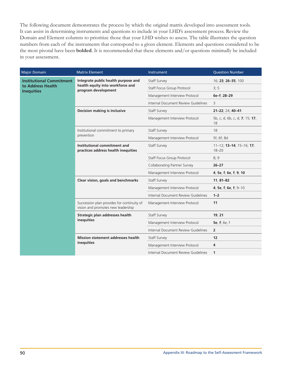The following document demonstrates the process by which the original matrix developed into assessment tools. It can assist in determining instruments and questions to include in your LHD's assessment process. Review the Domain and Element columns to prioritize those that your LHD wishes to assess. The table illustrates the question numbers from each of the instruments that correspond to a given element. Elements and questions considered to be the most pivotal have been **bolded**. It is recommended that these elements and/or questions minimally be included in your assessment.

| <b>Major Domain</b>                                                       | <b>Matrix Element</b>                                                            | Instrument                          | <b>Question Number</b>                |
|---------------------------------------------------------------------------|----------------------------------------------------------------------------------|-------------------------------------|---------------------------------------|
| <b>Institutional Commitment</b><br>to Address Health<br><b>Inequities</b> | Integrate public health purpose and                                              | Staff Survey                        | 16; 23; 26-35; 100                    |
|                                                                           | health equity into workforce and<br>program development                          | Staff Focus Group Protocol          | 3; 5                                  |
|                                                                           |                                                                                  | Management Interview Protocol       | 6e-f; 28-29                           |
|                                                                           |                                                                                  | Internal Document Review Guidelines | 3                                     |
|                                                                           | <b>Decision making is inclusive</b>                                              | Staff Survey                        | 21-22; 24; 40-41                      |
|                                                                           |                                                                                  | Management Interview Protocol       | 5b, c, d; 6b, c, d; 7; 15; 17;<br>18  |
|                                                                           | Institutional commitment to primary                                              | Staff Survey                        | 18                                    |
|                                                                           | prevention                                                                       | Management Interview Protocol       | 5f; 6f; 8d                            |
|                                                                           | Institutional commitment and<br>practices address health inequities              | Staff Survey                        | 11-12; 13-14; 15-16; 17;<br>$18 - 20$ |
|                                                                           |                                                                                  | Staff Focus Group Protocol          | 8;9                                   |
|                                                                           |                                                                                  | <b>Collaborating Partner Survey</b> | $26 - 27$                             |
|                                                                           |                                                                                  | Management Interview Protocol       | 4; 5e, f; 6e, f; 9; 10                |
|                                                                           | Clear vision, goals and benchmarks                                               | Staff Survey                        | $11, 81 - 82$                         |
|                                                                           |                                                                                  | Management Interview Protocol       | 4; 5e, f; 6e, f; 9-10                 |
|                                                                           |                                                                                  | Internal Document Review Guidelines | $1 - 2$                               |
|                                                                           | Succession plan provides for continuity of<br>vision and promotes new leadership | Management Interview Protocol       | 11                                    |
|                                                                           | Strategic plan addresses health                                                  | Staff Survey                        | 19; 21                                |
|                                                                           | inequities                                                                       | Management Interview Protocol       | 5e, f; 6e, f                          |
|                                                                           |                                                                                  | Internal Document Review Guidelines | $\overline{2}$                        |
|                                                                           | <b>Mission statement addresses health</b>                                        | Staff Survey                        | 12                                    |
|                                                                           | inequities                                                                       | Management Interview Protocol       | 4                                     |
|                                                                           |                                                                                  | Internal Document Review Guidelines | 1                                     |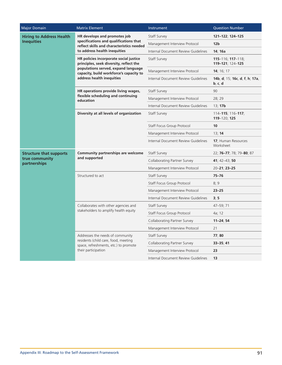| <b>Major Domain</b>                                              | <b>Matrix Element</b>                                                                                                                                                                            | Instrument                          | <b>Question Number</b>                                |
|------------------------------------------------------------------|--------------------------------------------------------------------------------------------------------------------------------------------------------------------------------------------------|-------------------------------------|-------------------------------------------------------|
| <b>Hiring to Address Health</b><br><b>Inequities</b>             | HR develops and promotes job                                                                                                                                                                     | Staff Survey                        | 121-122; 124-125                                      |
|                                                                  | specifications and qualifications that<br>reflect skills and characteristics needed                                                                                                              | Management Interview Protocol       | 12 <sub>b</sub>                                       |
|                                                                  | to address health inequities                                                                                                                                                                     | Internal Document Review Guidelines | 14; 16a                                               |
|                                                                  | HR policies incorporate social justice<br>principles, seek diversity, reflect the<br>populations served, expand language<br>capacity, build workforce's capacity to<br>address health inequities | Staff Survey                        | $115 - 116$ ; $117 - 118$ ;<br>119-121; 124-125       |
|                                                                  |                                                                                                                                                                                                  | Management Interview Protocol       | 14; 16; 17                                            |
|                                                                  |                                                                                                                                                                                                  | Internal Document Review Guidelines | 14b, d; 15; 16c, d, f, h; 17a,<br>$\mathbf{b}$ , c, d |
|                                                                  | HR operations provide living wages,                                                                                                                                                              | Staff Survey                        | 90                                                    |
|                                                                  | flexible scheduling and continuing<br>education                                                                                                                                                  | Management Interview Protocol       | 28; 29                                                |
|                                                                  |                                                                                                                                                                                                  | Internal Document Review Guidelines | 13; 17b                                               |
|                                                                  | Diversity at all levels of organization                                                                                                                                                          | Staff Survey                        | $114 - 115$ ; 116-117;<br>119-120; 125                |
|                                                                  |                                                                                                                                                                                                  | Staff Focus Group Protocol          | 10                                                    |
|                                                                  |                                                                                                                                                                                                  | Management Interview Protocol       | 13; 14                                                |
|                                                                  |                                                                                                                                                                                                  | Internal Document Review Guidelines | 17; Human Resources<br>Worksheet                      |
| <b>Structure that supports</b><br>true community<br>partnerships | Community partnerships are welcome<br>and supported                                                                                                                                              | Staff Survey                        | 22; 76-77; 78; 79-80; 87                              |
|                                                                  |                                                                                                                                                                                                  | Collaborating Partner Survey        | 41; $42-43$ ; 50                                      |
|                                                                  |                                                                                                                                                                                                  | Management Interview Protocol       | $20 - 21$ ; 23-25                                     |
|                                                                  | Structured to act                                                                                                                                                                                | Staff Survey                        | $75 - 76$                                             |
|                                                                  |                                                                                                                                                                                                  | Staff Focus Group Protocol          | 8;9                                                   |
|                                                                  |                                                                                                                                                                                                  | Management Interview Protocol       | $23 - 25$                                             |
|                                                                  |                                                                                                                                                                                                  | Internal Document Review Guidelines | 3; 5                                                  |
|                                                                  | Collaborates with other agencies and                                                                                                                                                             | Staff Survey                        | 47-59; 71                                             |
|                                                                  | stakeholders to amplify health equity                                                                                                                                                            | Staff Focus Group Protocol          | 4a; 12                                                |
|                                                                  |                                                                                                                                                                                                  | Collaborating Partner Survey        | $11 - 24; 54$                                         |
|                                                                  |                                                                                                                                                                                                  | Management Interview Protocol       | 21                                                    |
|                                                                  | Addresses the needs of community                                                                                                                                                                 | Staff Survey                        | 77; 80                                                |
|                                                                  | residents (child care, food, meeting<br>space, refreshments, etc.) to promote<br>their participation                                                                                             | Collaborating Partner Survey        | $33 - 35, 41$                                         |
|                                                                  |                                                                                                                                                                                                  | Management Interview Protocol       | 23                                                    |
|                                                                  |                                                                                                                                                                                                  | Internal Document Review Guidelines | 13                                                    |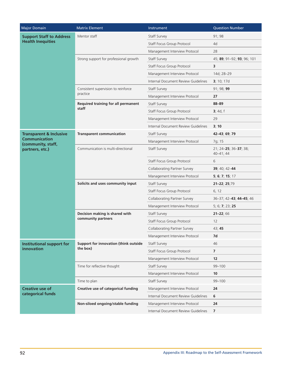| <b>Major Domain</b>                                         | <b>Matrix Element</b>                      | Instrument                          | <b>Question Number</b>                 |
|-------------------------------------------------------------|--------------------------------------------|-------------------------------------|----------------------------------------|
| <b>Support Staff to Address</b><br><b>Health Inequities</b> | Mentor staff                               | Staff Survey                        | 91; 98                                 |
|                                                             |                                            | Staff Focus Group Protocol          | 4d                                     |
|                                                             |                                            | Management Interview Protocol       | 28                                     |
|                                                             | Strong support for professional growth     | Staff Survey                        | 45; 89; 91-92; 93; 96; 101             |
|                                                             |                                            | Staff Focus Group Protocol          | 3                                      |
|                                                             |                                            | Management Interview Protocol       | 14d; 28-29                             |
|                                                             |                                            | Internal Document Review Guidelines | 3; 10; 17d                             |
|                                                             | Consistent supervision to reinforce        | Staff Survey                        | 91; 98; 99                             |
|                                                             | practice                                   | Management Interview Protocol       | 27                                     |
|                                                             | <b>Required training for all permanent</b> | Staff Survey                        | 88-89                                  |
|                                                             | staff                                      | Staff Focus Group Protocol          | 3; 4d, f                               |
|                                                             |                                            | Management Interview Protocol       | 29                                     |
|                                                             |                                            | Internal Document Review Guidelines | 3; 10                                  |
| <b>Transparent &amp; Inclusive</b>                          | <b>Transparent communication</b>           | Staff Survey                        | 42-43; 69; 79                          |
| <b>Communication</b><br>(community, staff,                  |                                            | Management Interview Protocol       | 7g; 15                                 |
| partners, etc.)                                             | Communication is multi-directional         | Staff Survey                        | 21; 24-25; 36-37; 38;<br>$40 - 41; 44$ |
|                                                             |                                            | Staff Focus Group Protocol          | 6                                      |
|                                                             |                                            | Collaborating Partner Survey        | 39; 40; 42-44                          |
|                                                             |                                            | Management Interview Protocol       | 5, 6, 7, 15, 17                        |
|                                                             | Solicits and uses community input          | Staff Survey                        | 21-22; 25;79                           |
|                                                             |                                            | Staff Focus Group Protocol          | 6, 12                                  |
|                                                             |                                            | Collaborating Partner Survey        | 36-37; 42-43; 44-45; 46                |
|                                                             |                                            | Management Interview Protocol       | 5; 6; 7; 23; 25                        |
|                                                             | Decision making is shared with             | Staff Survey                        | $21 - 22; 66$                          |
|                                                             | community partners                         | Staff Focus Group Protocol          | 12                                     |
|                                                             |                                            | Collaborating Partner Survey        | 43; 45                                 |
|                                                             |                                            | Management Interview Protocol       | 7d                                     |
| <b>Institutional support for</b>                            | Support for innovation (think outside      | Staff Survey                        | 46                                     |
| innovation                                                  | the box)                                   | Staff Focus Group Protocol          | 7                                      |
|                                                             |                                            | Management Interview Protocol       | 12                                     |
|                                                             | Time for reflective thought                | Staff Survey                        | 99-100                                 |
|                                                             |                                            | Management Interview Protocol       | 10                                     |
|                                                             | Time to plan                               | Staff Survey                        | 99-100                                 |
| <b>Creative use of</b>                                      | Creative use of categorical funding        | Management Interview Protocol       | 24                                     |
| categorical funds                                           |                                            | Internal Document Review Guidelines | 6                                      |
|                                                             | Non-siloed ongoing/stable funding          | Management Interview Protocol       | 24                                     |
|                                                             |                                            | Internal Document Review Guidelines | 7                                      |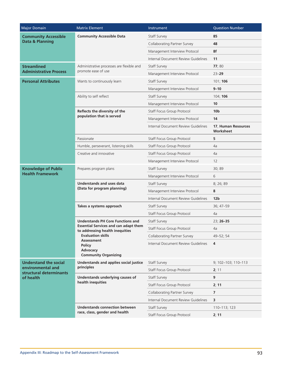| Major Domain                                              | <b>Matrix Element</b>                                                           | Instrument                          | <b>Question Number</b>           |
|-----------------------------------------------------------|---------------------------------------------------------------------------------|-------------------------------------|----------------------------------|
| <b>Community Accessible</b><br><b>Data &amp; Planning</b> | <b>Community Accessible Data</b>                                                | Staff Survey                        | 85                               |
|                                                           |                                                                                 | <b>Collaborating Partner Survey</b> | 48                               |
|                                                           |                                                                                 | Management Interview Protocol       | 8f                               |
|                                                           |                                                                                 | Internal Document Review Guidelines | 11                               |
| <b>Streamlined</b>                                        | Administrative processes are flexible and                                       | Staff Survey                        | 77;80                            |
| <b>Administrative Process</b>                             | promote ease of use                                                             | Management Interview Protocol       | $23 - 29$                        |
| <b>Personal Attributes</b>                                | Wants to continuously learn                                                     | Staff Survey                        | 101; 106                         |
|                                                           |                                                                                 | Management Interview Protocol       | $9 - 10$                         |
|                                                           | Ability to self reflect                                                         | Staff Survey                        | 104; 106                         |
|                                                           |                                                                                 | Management Interview Protocol       | 10                               |
|                                                           | Reflects the diversity of the                                                   | Staff Focus Group Protocol          | 10 <sub>b</sub>                  |
|                                                           | population that is served                                                       | Management Interview Protocol       | 14                               |
|                                                           |                                                                                 | Internal Document Review Guidelines | 17, Human Resources<br>Worksheet |
|                                                           | Passionate                                                                      | Staff Focus Group Protocol          | 5                                |
|                                                           | Humble, perseverant, listening skills                                           | Staff Focus Group Protocol          | 4a                               |
|                                                           | Creative and innovative                                                         | Staff Focus Group Protocol          | 4a                               |
|                                                           |                                                                                 | Management Interview Protocol       | 12                               |
| <b>Knowledge of Public</b><br><b>Health Framework</b>     | Prepares program plans                                                          | Staff Survey                        | 30; 89                           |
|                                                           |                                                                                 | Management Interview Protocol       | 6                                |
|                                                           | Understands and uses data                                                       | Staff Survey                        | 8; 26; 89                        |
|                                                           | (Data for program planning)                                                     | Management Interview Protocol       | 8                                |
|                                                           |                                                                                 | Internal Document Review Guidelines | 12 <sub>b</sub>                  |
|                                                           | Takes a systems approach                                                        | Staff Survey                        | 36; 47-59                        |
|                                                           |                                                                                 | Staff Focus Group Protocol          | 4a                               |
|                                                           | <b>Understands PH Core Functions and</b>                                        | Staff Survey                        | 23; 26-35                        |
|                                                           | <b>Essential Services and can adapt them</b><br>to addressing health inequities | Staff Focus Group Protocol          | 4a                               |
|                                                           | <b>Evaluation skills</b>                                                        | Collaborating Partner Survey        | 49-52; 54                        |
|                                                           | <b>Assessment</b><br><b>Policy</b><br>Advocacy<br><b>Community Organizing</b>   | Internal Document Review Guidelines | 4                                |
| <b>Understand the social</b>                              | <b>Understands and applies social justice</b>                                   | Staff Survey                        | 9; 102-103; 110-113              |
| environmental and<br>structural determinants              | principles                                                                      | Staff Focus Group Protocol          | 2; 11                            |
| of health                                                 | Understands underlying causes of                                                | Staff Survey                        | 9                                |
|                                                           | health inequities                                                               | Staff Focus Group Protocol          | 2; 11                            |
|                                                           |                                                                                 | Collaborating Partner Survey        | 7                                |
|                                                           |                                                                                 | Internal Document Review Guidelines | 3                                |
|                                                           | <b>Understands connection between</b>                                           | Staff Survey                        | 110-113; 123                     |
|                                                           | race, class, gender and health                                                  | Staff Focus Group Protocol          | 2; 11                            |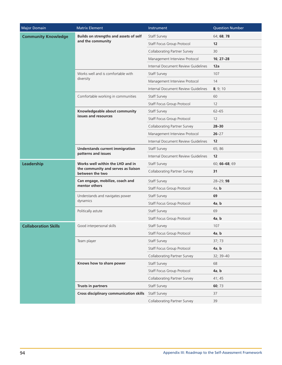| <b>Major Domain</b>         | <b>Matrix Element</b>                                         | Instrument                          | <b>Question Number</b> |
|-----------------------------|---------------------------------------------------------------|-------------------------------------|------------------------|
| <b>Community Knowledge</b>  | Builds on strengths and assets of self                        | Staff Survey                        | 64; 68; 78             |
|                             | and the community                                             | Staff Focus Group Protocol          | 12                     |
|                             |                                                               | Collaborating Partner Survey        | 30                     |
|                             |                                                               | Management Interview Protocol       | $16; 27-28$            |
|                             |                                                               | Internal Document Review Guidelines | 12a                    |
|                             | Works well and is comfortable with<br>diversity               | Staff Survey                        | 107                    |
|                             |                                                               | Management Interview Protocol       | 14                     |
|                             |                                                               | Internal Document Review Guidelines | 8; 9; 10               |
|                             | Comfortable working in communities                            | Staff Survey                        | 60                     |
|                             |                                                               | Staff Focus Group Protocol          | 12                     |
|                             | Knowledgeable about community                                 | Staff Survey                        | $62 - 65$              |
|                             | issues and resources                                          | Staff Focus Group Protocol          | 12                     |
|                             |                                                               | Collaborating Partner Survey        | $28 - 30$              |
|                             |                                                               | Management Interview Protocol       | $26 - 27$              |
|                             |                                                               | Internal Document Review Guidelines | 12                     |
|                             | <b>Understands current immigration</b><br>patterns and issues | Staff Survey                        | 65; 86                 |
|                             |                                                               | Internal Document Review Guidelines | 12                     |
| Leadership                  | Works well within the LHD and in                              | Staff Survey                        | 60; 66-68; 69          |
|                             | the community and serves as liaison<br>between the two        | <b>Collaborating Partner Survey</b> | 31                     |
|                             | Can engage, mobilize, coach and                               | Staff Survey                        | 28-29; 98              |
|                             | mentor others                                                 | Staff Focus Group Protocol          | 4a, b                  |
|                             | Understands and navigates power                               | Staff Survey                        | 69                     |
|                             | dynamics                                                      | Staff Focus Group Protocol          | 4a, b                  |
|                             | Politically astute                                            | Staff Survey                        | 69                     |
|                             |                                                               | Staff Focus Group Protocol          | 4a, b                  |
| <b>Collaboration Skills</b> | Good interpersonal skills                                     | Staff Survey                        | 107                    |
|                             |                                                               | Staff Focus Group Protocol          | 4a, b                  |
|                             | Team player                                                   | Staff Survey                        | 37; 73                 |
|                             |                                                               | Staff Focus Group Protocol          | 4a, b                  |
|                             |                                                               | <b>Collaborating Partner Survey</b> | 32; 39-40              |
|                             | Knows how to share power                                      | Staff Survey                        | 68                     |
|                             |                                                               | Staff Focus Group Protocol          | 4a, b                  |
|                             |                                                               | <b>Collaborating Partner Survey</b> | 41; 45                 |
|                             | <b>Trusts in partners</b>                                     | Staff Survey                        | 60; 73                 |
|                             | <b>Cross disciplinary communication skills</b>                | Staff Survey                        | 37                     |
|                             |                                                               | <b>Collaborating Partner Survey</b> | 39                     |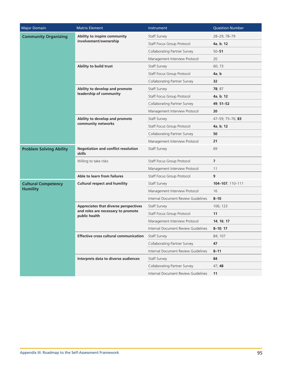| <b>Major Domain</b>            | <b>Matrix Element</b>                                                                        | Instrument                          | <b>Question Number</b> |
|--------------------------------|----------------------------------------------------------------------------------------------|-------------------------------------|------------------------|
| <b>Community Organizing</b>    | Ability to inspire community                                                                 | Staff Survey                        | 28-29; 78-79           |
|                                | involvement/ownership                                                                        | Staff Focus Group Protocol          | 4a, b; 12              |
|                                |                                                                                              | Collaborating Partner Survey        | $50 - 51$              |
|                                |                                                                                              | Management Interview Protocol       | 20                     |
|                                | Ability to build trust                                                                       | Staff Survey                        | 60; 73                 |
|                                |                                                                                              | Staff Focus Group Protocol          | 4a, b                  |
|                                |                                                                                              | <b>Collaborating Partner Survey</b> | 32                     |
|                                | Ability to develop and promote                                                               | Staff Survey                        | 78; 87                 |
|                                | leadership of community                                                                      | Staff Focus Group Protocol          | 4a, b; 12              |
|                                |                                                                                              | Collaborating Partner Survey        | 49; 51-52              |
|                                |                                                                                              | Management Interview Protocol       | 20                     |
|                                | Ability to develop and promote                                                               | Staff Survey                        | 47-59; 75-76; 83       |
|                                | community networks                                                                           | Staff Focus Group Protocol          | 4a, b; 12              |
|                                |                                                                                              | Collaborating Partner Survey        | 50                     |
|                                |                                                                                              | Management Interview Protocol       | 21                     |
| <b>Problem Solving Ability</b> | <b>Negotiation and conflict resolution</b><br>skills                                         | Staff Survey                        | 69                     |
|                                | Willing to take risks                                                                        | Staff Focus Group Protocol          | $\overline{7}$         |
|                                |                                                                                              | Management Interview Protocol       | 11                     |
|                                | Able to learn from failures                                                                  | Staff Focus Group Protocol          | 9                      |
| <b>Cultural Competency</b>     | <b>Cultural respect and humility</b>                                                         | Staff Survey                        | 104-107; 110-111       |
| <b>Humility</b>                |                                                                                              | Management Interview Protocol       | 16                     |
|                                |                                                                                              | Internal Document Review Guidelines | $8 - 10$               |
|                                | Appreciates that diverse perspectives<br>and roles are necessary to promote<br>public health | Staff Survey                        | 106; 123               |
|                                |                                                                                              | Staff Focus Group Protocol          | 11                     |
|                                |                                                                                              | Management Interview Protocol       | 14; 16; 17             |
|                                |                                                                                              | Internal Document Review Guidelines | $8 - 10; 17$           |
|                                | Effective cross cultural communication                                                       | Staff Survey                        | 84; 107                |
|                                |                                                                                              | <b>Collaborating Partner Survey</b> | 47                     |
|                                |                                                                                              | Internal Document Review Guidelines | $8 - 11$               |
|                                | Interprets data to diverse audiences                                                         | Staff Survey                        | 84                     |
|                                |                                                                                              | <b>Collaborating Partner Survey</b> | 47;48                  |
|                                |                                                                                              | Internal Document Review Guidelines | 11                     |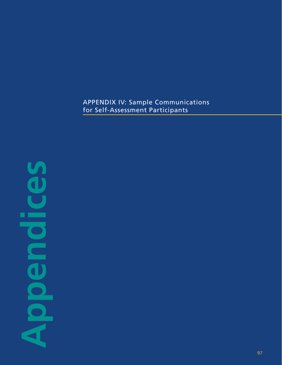# APPENDIX IV: Sample Communications for Self-Assessment Participants

# **Appendices** п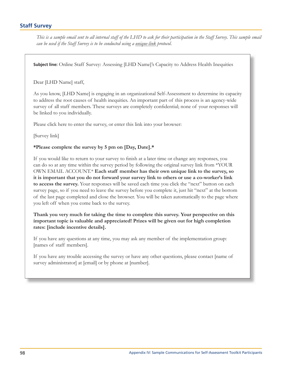# **Staff Survey**

This is a sample email sent to all internal staff of the LHD to ask for their participation in the Staff Survey. This sample email can be used if the Staff Survey is to be conducted using a unique-link protocol.

**Subject line:** Online Staff Survey: Assessing [LHD Name]'s Capacity to Address Health Inequities

### Dear [LHD Name] staff,

As you know, [LHD Name] is engaging in an organizational Self-Assessment to determine its capacity to address the root causes of health inequities. An important part of this process is an agency-wide survey of all staff members. These surveys are completely confidential; none of your responses will be linked to you individually.

Please click here to enter the survey, or enter this link into your browser:

[Survey link]

### \*Please complete the survey by 5 pm on [Day, Date].\*

If you would like to return to your survey to finish at a later time or change any responses, you can do so at any time within the survey period by following the original survey link from \*YOUR OWN EMAIL ACCOUNT.\* Each staff member has their own unique link to the survey, so it is important that you do not forward your survey link to others or use a co-worker's link to access the survey. Your responses will be saved each time you click the "next" button on each survey page, so if you need to leave the survey before you complete it, just hit "next" at the bottom of the last page completed and close the browser. You will be taken automatically to the page where you left off when you come back to the survey.

Thank you very much for taking the time to complete this survey. Your perspective on this important topic is valuable and appreciated! Prizes will be given out for high completion rates: [include incentive details].

If you have any questions at any time, you may ask any member of the implementation group: [names of staff members].

If you have any trouble accessing the survey or have any other questions, please contact [name of survey administrator] at [email] or by phone at [number].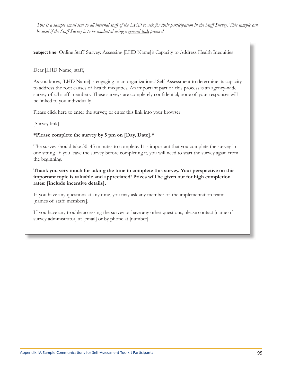This is a sample email sent to all internal staff of the LHD to ask for their participation in the Staff Survey. This sample can be used if the Staff Survey is to be conducted using a general-link protocol.

**Subject line:** Online Staff Survey: Assessing [LHD Name]'s Capacity to Address Health Inequities

Dear [LHD Name] staff,

As you know, [LHD Name] is engaging in an organizational Self-Assessment to determine its capacity to address the root causes of health inequities. An important part of this process is an agency-wide survey of all staff members. These surveys are completely confidential; none of your responses will be linked to you individually.

Please click here to enter the survey, or enter this link into your browser:

[Survey link]

### \*Please complete the survey by 5 pm on [Day, Date].\*

The survey should take 30–45 minutes to complete. It is important that you complete the survey in one sitting. If you leave the survey before completing it, you will need to start the survey again from the beginning.

Thank you very much for taking the time to complete this survey. Your perspective on this important topic is valuable and appreciated! Prizes will be given out for high completion rates: [include incentive details].

If you have any questions at any time, you may ask any member of the implementation team: [names of staff members].

If you have any trouble accessing the survey or have any other questions, please contact [name of survey administrator] at [email] or by phone at [number].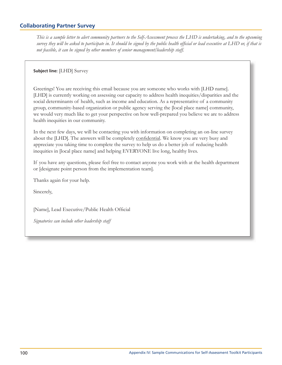# **Collaborating Partner Survey**

This is a sample letter to alert community partners to the Self-Assessment process the LHD is undertaking, and to the upcoming survey they will be asked to participate in. It should be signed by the public health official or lead executive at LHD or, if that is not feasible, it can be signed by other members of senior management/leadership staff.

**Subject line: [LHD] Survey** 

Greetings! You are receiving this email because you are someone who works with [LHD name]. [LHD] is currently working on assessing our capacity to address health inequities/disparities and the social determinants of health, such as income and education. As a representative of a community group, community-based organization or public agency serving the [local place name] community, we would very much like to get your perspective on how well-prepared you believe we are to address health inequities in our community.

In the next few days, we will be contacting you with information on completing an on-line survey about the [LHD]. The answers will be completely confidential. We know you are very busy and appreciate you taking time to complete the survey to help us do a better job of reducing health inequities in [local place name] and helping EVERYONE live long, healthy lives.

If you have any questions, please feel free to contact anyone you work with at the health department or [designate point person from the implementation team].

Thanks again for your help.

Sincerely,

[Name], Lead Executive/Public Health Official

Signatories can include other leadership staff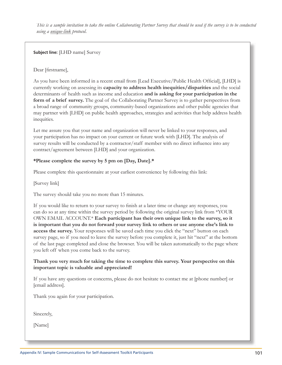This is a sample invitation to take the online Collaborating Partner Survey that should be used if the survey is to be conducted using a unique-link protocol.

**Subject line:** [LHD name] Survey

Dear [firstname],

As you have been informed in a recent email from [Lead Executive/Public Health Official], [LHD] is currently working on assessing its capacity to address health inequities/disparities and the social determinants of health such as income and education and is asking for your participation in the form of a brief survey. The goal of the Collaborating Partner Survey is to gather perspectives from a broad range of community groups, community-based organizations and other public agencies that may partner with [LHD] on public health approaches, strategies and activities that help address health inequities.

Let me assure you that your name and organization will never be linked to your responses, and your participation has no impact on your current or future work with [LHD]. The analysis of survey results will be conducted by a contractor/staff member with no direct influence into any contract/agreement between [LHD] and your organization.

## \*Please complete the survey by 5 pm on [Day, Date].\*

Please complete this questionnaire at your earliest convenience by following this link:

[Survey link]

The survey should take you no more than 15 minutes.

If you would like to return to your survey to finish at a later time or change any responses, you can do so at any time within the survey period by following the original survey link from \*YOUR OWN EMAIL ACCOUNT.\* Each participant has their own unique link to the survey, so it is important that you do not forward your survey link to others or use anyone else's link to access the survey. Your responses will be saved each time you click the "next" button on each survey page, so if you need to leave the survey before you complete it, just hit "next" at the bottom of the last page completed and close the browser. You will be taken automatically to the page where you left off when you come back to the survey.

Thank you very much for taking the time to complete this survey. Your perspective on this important topic is valuable and appreciated!

If you have any questions or concerns, please do not hesitate to contact me at [phone number] or [email address].

Thank you again for your participation.

Sincerely,

[Name]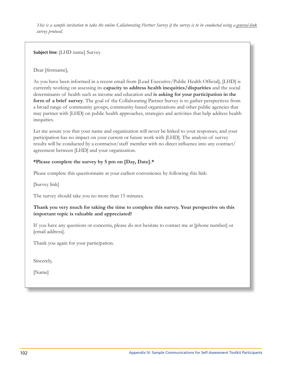This is a sample invitation to take the online Collaborating Partner Survey if the survey is to be conducted using a general-link survey protocol.

**Subject line:** [LHD name] Survey

Dear [firstname],

As you have been informed in a recent email from [Lead Executive/Public Health Official], [LHD] is currently working on assessing its capacity to address health inequities/disparities and the social determinants of health such as income and education and is asking for your participation in the form of a brief survey. The goal of the Collaborating Partner Survey is to gather perspectives from a broad range of community groups, community-based organizations and other public agencies that may partner with [LHD] on public health approaches, strategies and activities that help address health inequities.

Let me assure you that your name and organization will never be linked to your responses, and your participation has no impact on your current or future work with [LHD]. The analysis of survey results will be conducted by a contractor/staff member with no direct influence into any contract/ agreement between [LHD] and your organization.

### \*Please complete the survey by 5 pm on [Day, Date].\*

Please complete this questionnaire at your earliest convenience by following this link:

[Survey link]

The survey should take you no more than 15 minutes.

### Thank you very much for taking the time to complete this survey. Your perspective on this important topic is valuable and appreciated!

If you have any questions or concerns, please do not hesitate to contact me at [phone number] or [email address].

Thank you again for your participation.

Sincerely,

[Name]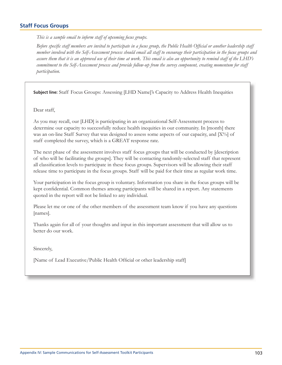# **Staff Focus Groups**

This is a sample email to inform staff of upcoming focus groups.

Before specific staff members are invited to participate in a focus group, the Public Health Official or another leadership staff member involved with the Self-Assessment process should email all staff to encourage their participation in the focus groups and assure them that it is an approved use of their time at work. This email is also an opportunity to remind staff of the LHD's commitment to the Self-Assessment process and provide follow-up from the survey component, creating momentum for staff participation.

**Subject line:** Staff Focus Groups: Assessing [LHD Name]'s Capacity to Address Health Inequities

Dear staff,

As you may recall, our [LHD] is participating in an organizational Self-Assessment process to determine our capacity to successfully reduce health inequities in our community. In [month] there was an on-line Staff Survey that was designed to assess some aspects of our capacity, and [X%] of staff completed the survey, which is a GREAT response rate.

The next phase of the assessment involves staff focus groups that will be conducted by [description of who will be facilitating the groups]. They will be contacting randomly-selected staff that represent all classification levels to participate in these focus groups. Supervisors will be allowing their staff release time to participate in the focus groups. Staff will be paid for their time as regular work time.

Your participation in the focus group is voluntary. Information you share in the focus groups will be kept confidential. Common themes among participants will be shared in a report. Any statements quoted in the report will not be linked to any individual.

Please let me or one of the other members of the assessment team know if you have any questions [names].

Thanks again for all of your thoughts and input in this important assessment that will allow us to better do our work.

Sincerely,

[Name of Lead Executive/Public Health Official or other leadership staff]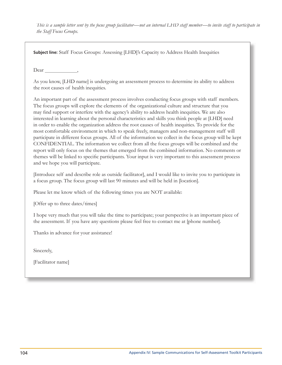This is a sample letter sent by the focus group facilitator—not an internal LHD staff member—to invite staff to participate in the Staff Focus Groups.

**Subject line:** Staff Focus Groups: Assessing [LHD]'s Capacity to Address Health Inequities

Dear,

As you know, [LHD name] is undergoing an assessment process to determine its ability to address the root causes of health inequities.

An important part of the assessment process involves conducting focus groups with staff members. The focus groups will explore the elements of the organizational culture and structure that you may find support or interfere with the agency's ability to address health inequities. We are also interested in learning about the personal characteristics and skills you think people at [LHD] need in order to enable the organization address the root causes of health inequities. To provide for the most comfortable environment in which to speak freely, managers and non-management staff will participate in different focus groups. All of the information we collect in the focus group will be kept CONFIDENTIAL. The information we collect from all the focus groups will be combined and the report will only focus on the themes that emerged from the combined information. No comments or themes will be linked to specific participants. Your input is very important to this assessment process and we hope you will participate.

[Introduce self and describe role as outside facilitator], and I would like to invite you to participate in a focus group. The focus group will last 90 minutes and will be held in [location].

Please let me know which of the following times you are NOT available:

[Offer up to three dates/times]

I hope very much that you will take the time to participate; your perspective is an important piece of the assessment. If you have any questions please feel free to contact me at [phone number].

Thanks in advance for your assistance!

Sincerely,

[Facilitator name]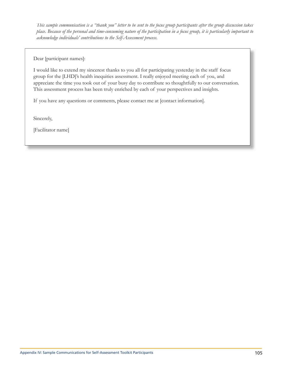This sample communication is a "thank you" letter to be sent to the focus group participants after the group discussion takes place. Because of the personal and time-consuming nature of the participation in a focus group, it is particularly important to acknowledge individuals' contributions to the Self-Assessment process.

Dear [participant names]:

I would like to extend my sincerest thanks to you all for participating yesterday in the staff focus group for the [LHD]'s health inequities assessment. I really enjoyed meeting each of you, and appreciate the time you took out of your busy day to contribute so thoughtfully to our conversation. This assessment process has been truly enriched by each of your perspectives and insights.

If you have any questions or comments, please contact me at [contact information].

Sincerely,

[Facilitator name]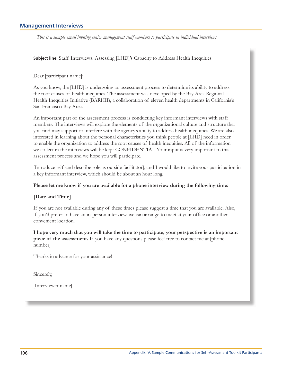## **Management Interviews**

This is a sample email inviting senior management staff members to participate in individual interviews.

**Subject line:** Staff Interviews: Assessing [LHD]'s Capacity to Address Health Inequities

Dear [participant name]:

As you know, the [LHD] is undergoing an assessment process to determine its ability to address the root causes of health inequities. The assessment was developed by the Bay Area Regional Health Inequities Initiative (BARHII), a collaboration of eleven health departments in California's San Francisco Bay Area.

An important part of the assessment process is conducting key informant interviews with staff members. The interviews will explore the elements of the organizational culture and structure that you find may support or interfere with the agency's ability to address health inequities. We are also interested in learning about the personal characteristics you think people at [LHD] need in order to enable the organization to address the root causes of health inequities. All of the information we collect in the interviews will be kept CONFIDENTIAL Your input is very important to this assessment process and we hope you will participate.

[Introduce self and describe role as outside facilitator], and I would like to invite your participation in a key informant interview, which should be about an hour long.

### Please let me know if you are available for a phone interview during the following time:

### [Date and Time]

If you are not available during any of these times please suggest a time that you are available. Also, if you'd prefer to have an in-person interview, we can arrange to meet at your office or another convenient location.

I hope very much that you will take the time to participate; your perspective is an important piece of the assessment. If you have any questions please feel free to contact me at [phone] number

Thanks in advance for your assistance!

Sincerely,

[Interviewer name]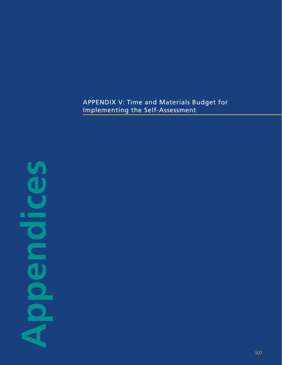# APPENDIX V: Time and Materials Budget for Implementing the Self-Assessment

**Appendices** п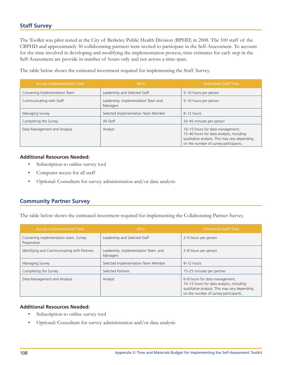# **Staff Survey**

The Toolkit was pilot tested at the City of Berkeley Public Health Division (BPHD) in 2008. The 100 staff of the CBPHD and approximately 50 collaborating partners were invited to participate in the Self-Assessment. To account for the time involved in developing and modifying the implementation process, time estimates for each step in the Self-Assessment are provide in number of hours only and not across a time-span.

The table below shows the estimated investment required for implementing the Staff Survey.

| <b>Survey Implementation Task</b> | Who                                             | <b>Estimated Staff Time</b>                                                                                                                                            |
|-----------------------------------|-------------------------------------------------|------------------------------------------------------------------------------------------------------------------------------------------------------------------------|
| Convening Implementation Team     | Leadership and Selected Staff                   | 5-10 hours per person                                                                                                                                                  |
| Communicating with Staff          | Leadership, Implementation Team and<br>Managers | 5-10 hours per person                                                                                                                                                  |
| Managing Survey                   | Selected Implementation Team Member             | 8-12 hours                                                                                                                                                             |
| Completing the Survey             | All Staff                                       | 20-45 minutes per person                                                                                                                                               |
| Data Management and Analysis      | Analyst                                         | 10-15 hours for data management;<br>15-40 hours for data analysis, including<br>qualitative analysis. This may vary depending<br>on the number of survey participants. |

### **Additional Resources Needed:**

- $\bullet$ Subscription to online survey tool
- Computer access for all staff  $\bullet$
- Optional: Consultant for survey administration and/or data analysis  $\bullet$

# **Community Partner Survey**

The table below shows the estimated investment required for implementing the Collaborating Partner Survey.

| <b>Survey Implementation Task</b>                    | Who                                              | <b>Estimated Staff Time</b>                                                                                                                                          |
|------------------------------------------------------|--------------------------------------------------|----------------------------------------------------------------------------------------------------------------------------------------------------------------------|
| Convening implementation team, Survey<br>Preparation | Leadership and Selected Staff                    | 2-5 hours per person                                                                                                                                                 |
| Identifying and Communicating with Partners          | Leadership, Implementation Team, and<br>Managers | 2-8 hours per person                                                                                                                                                 |
| Managing Survey                                      | Selected Implementation Team Member              | 8-12 hours                                                                                                                                                           |
| Completing the Survey                                | Selected Partners                                | 15-25 minutes per partner                                                                                                                                            |
| Data Management and Analysis                         | Analyst                                          | 6-8 hours for data management;<br>10-12 hours for data analysis, including<br>qualitative analysis. This may vary depending<br>on the number of survey participants. |

### **Additional Resources Needed:**

- $\bullet$ Subscription to online survey tool
- Optional: Consultant for survey administration and/or data analysis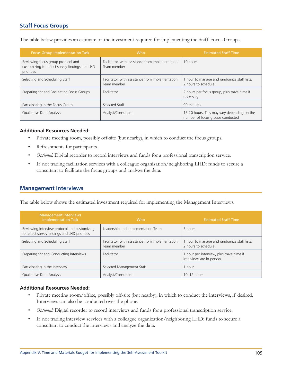# **Staff Focus Groups**

The table below provides an estimate of the investment required for implementing the Staff Focus Groups.

| <b>Focus Group Implementation Task</b>                                                             | <b>Who</b>                                                      | <b>Estimated Staff Time</b>                                                     |
|----------------------------------------------------------------------------------------------------|-----------------------------------------------------------------|---------------------------------------------------------------------------------|
| Reviewing focus group protocol and<br>customizing to reflect survey findings and LHD<br>priorities | Facilitator, with assistance from Implementation<br>Team member | 10 hours                                                                        |
| Selecting and Scheduling Staff                                                                     | Facilitator, with assistance from Implementation<br>Team member | 1 hour to manage and randomize staff lists;<br>2 hours to schedule              |
| Preparing for and Facilitating Focus Groups                                                        | Facilitator                                                     | 2 hours per focus group, plus travel time if<br>necessary                       |
| Participating in the Focus Group                                                                   | Selected Staff                                                  | 90 minutes                                                                      |
| Qualitative Data Analysis                                                                          | Analyst/Consultant                                              | 15-20 hours. This may vary depending on the<br>number of focus groups conducted |

### **Additional Resources Needed:**

- $\bullet$ Private meeting room, possibly off-site (but nearby), in which to conduct the focus groups.
- $\bullet$ Refreshments for participants.
- $\bullet$ Optional: Digital recorder to record interviews and funds for a professional transcription service.
- $\bullet$ If not trading facilitation services with a colleague organization/neighboring LHD: funds to secure a consultant to facilitate the focus groups and analyze the data.

# **Management Interviews**

The table below shows the estimated investment required for implementing the Management Interviews.

| <b>Management Interviews</b><br><b>Implementation Task</b>                                    | Who                                                             | <b>Estimated Staff Time</b>                                           |
|-----------------------------------------------------------------------------------------------|-----------------------------------------------------------------|-----------------------------------------------------------------------|
| Reviewing interview protocol and customizing<br>to reflect survey findings and LHD priorities | Leadership and Implementation Team                              | 5 hours                                                               |
| Selecting and Scheduling Staff                                                                | Facilitator, with assistance from Implementation<br>Team member | 1 hour to manage and randomize staff lists;<br>2 hours to schedule    |
| Preparing for and Conducting Interviews                                                       | Facilitator                                                     | 1 hour per interview, plus travel time if<br>interviews are in-person |
| Participating in the Interview                                                                | Selected Management Staff                                       | 1 hour                                                                |
| Qualitative Data Analysis                                                                     | Analyst/Consultant                                              | $10-12$ hours                                                         |

### **Additional Resources Needed:**

- $\bullet$ Private meeting room/office, possibly off-site (but nearby), in which to conduct the interviews, if desired. Interviews can also be conducted over the phone.
- Optional: Digital recorder to record interviews and funds for a professional transcription service.  $\bullet$
- $\bullet$ If not trading interview services with a colleague organization/neighboring LHD: funds to secure a consultant to conduct the interviews and analyze the data.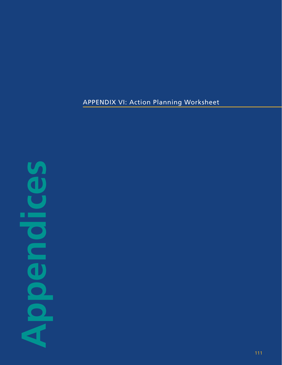# **APPENDIX VI: Action Planning Worksheet**

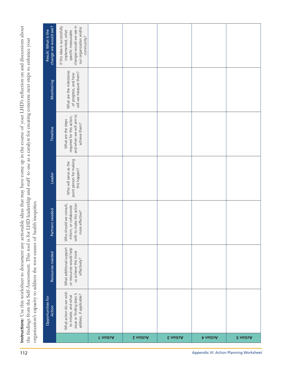Instructions: Use this worksheet to document any actionable ideas that may have come up in the course of your LHD's reflection on and discussions about the findings from the Self-Assessment. This tool is for LHD leadership and staff to use as a catalyst for creating concrete next steps to enhance your organization's capacity to address the root causes of health inequities.

| change we would see?<br>Result: What is the | changes would we see in<br>If this idea is successfully<br>our organization and/or<br>implemented, what<br>specific measurable<br>community? |                 |                  |          |          |                 |
|---------------------------------------------|----------------------------------------------------------------------------------------------------------------------------------------------|-----------------|------------------|----------|----------|-----------------|
| Monitoring                                  | What are the milestones<br>will we measure them?<br>of progress, and how                                                                     |                 |                  |          |          |                 |
| Timeline                                    | and when we will aim to<br>required for this action,<br>What are the steps<br>achieve them?                                                  |                 |                  |          |          |                 |
| Leader                                      | point person for making<br>Who will serve as the<br>this happen?                                                                             |                 |                  |          |          |                 |
| Partners needed                             | Who should we consult,<br>with to make this action<br>inform, or collaborate<br>more effective?                                              |                 |                  |          |          |                 |
| Resources needed                            | What additional support<br>or resources would help<br>us achieve this more<br>effectively?                                                   |                 |                  |          |          |                 |
| Opportunities for<br>Action                 | What action do we wish<br>issue or finding does it<br>address, if applicable?<br>to initiate, and what                                       |                 |                  |          |          |                 |
|                                             |                                                                                                                                              | <b>r</b> noitoA | <b>S</b> noito A | E noitoA | Action 4 | <b>d</b> noitoA |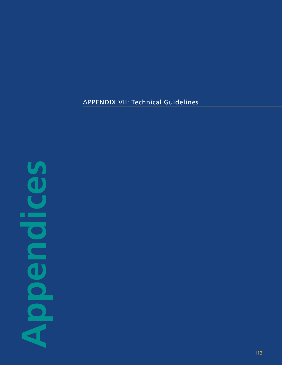# APPENDIX VII: Technical Guidelines

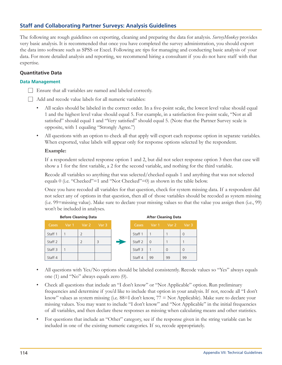# **Staff and Collaborating Partner Surveys: Analysis Guidelines**

The following are rough guidelines on exporting, cleaning and preparing the data for analysis. SurveyMonkey provides very basic analysis. It is recommended that once you have completed the survey administration, you should export the data into software such as SPSS or Excel. Following are tips for managing and conducting basic analysis of your data. For more detailed analysis and reporting, we recommend hiring a consultant if you do not have staff with that expertise.

## **Quantitative Data**

### **Data Management**

- Ensure that all variables are named and labeled correctly.
- Add and recode value labels for all numeric variables:
	- All scales should be labeled in the correct order. In a five-point scale, the lowest level value should equal 1 and the highest level value should equal 5. For example, in a satisfaction five-point scale, "Not at all satisfied" should equal 1 and "Very satisfied" should equal 5. (Note that the Partner Survey scale is opposite, with 1 equaling "Strongly Agree.")
	- $\bullet$ All questions with an option to check all that apply will export each response option in separate variables. When exported, value labels will appear only for response options selected by the respondent.

### Example:

If a respondent selected response option 1 and 2, but did not select response option 3 then that case will show a 1 for the first variable, a 2 for the second variable, and nothing for the third variable.

Recode all variables so anything that was selected/checked equals 1 and anything that was not selected equals 0 (i.e. "Checked"=1 and "Not Checked"=0) as shown in the table below.

Once you have recoded all variables for that question, check for system missing data. If a respondent did not select any of options in that question, then all of those variables should be recoded as system missing (i.e. 99=missing value). Make sure to declare your missing values so that the value you assign then (i.e., 99) won't be included in analyses.



- All questions with Yes/No options should be labeled consistently. Recode values so "Yes" always equals one (1) and "No" always equals zero (0).
- Check all questions that include an "I don't know" or "Not Applicable" option. Run preliminary frequencies and determine if you'd like to include that option in your analysis. If not, recode all "I don't know" values as system missing (i.e.  $88=I$  don't know,  $77 = Not$  Applicable). Make sure to declare your missing values. You may want to include "I don't know" and "Not Applicable" in the initial frequencies of all variables, and then declare these responses as missing when calculating means and other statistics.
- For questions that include an "Other" category, see if the response given in the string variable can be  $\bullet$ included in one of the existing numeric categories. If so, recode appropriately.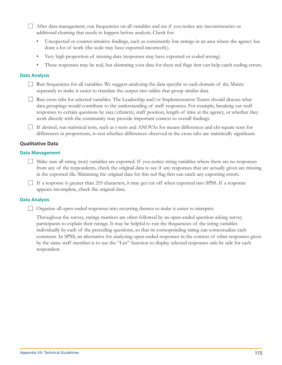After data management, run frequencies on all variables and see if you notice any inconsistencies or additional cleaning that needs to happen before analysis. Check for:

- $\bullet$ Unexpected or counter-intuitive findings, such as consistently low ratings in an area where the agency has done a lot of work (the scale may have exported incorrectly).
- $\bullet$ Very high proportion of missing data (responses may have exported or coded wrong).
- These responses may be real, but skimming your data for these red flags first can help catch coding errors.

### **Data Analysis**

 $\Box$  Run frequencies for all variables. We suggest analyzing the data specific to each domain of the Matrix separately to make it easier to translate the output into tables that group similar data.

 $\Box$  Run cross tabs for selected variables. The Leadership and/or Implementation Teams should discuss what data groupings would contribute to the understanding of staff responses. For example, breaking out staff responses to certain questions by race/ethnicity, staff position, length of time at the agency, or whether they work directly with the community may provide important context to overall findings.

If desired, run statistical tests, such as t-tests and ANOVAs for means differences and chi-square tests for differences in proportions, to test whether differences observed in the cross tabs are statistically significant.

### **Qualitative Data**

#### **Data Management**

 $\Box$  Make sure all string (text) variables are exported. If you notice string variables where there are no responses from any of the respondents, check the original data to see if any responses that are actually given are missing in the exported file. Skimming the original data for this red flag first can catch any exporting errors.

If a response is greater than 255 characters, it may get cut off when exported into SPSS. If a response appears incomplete, check the original data.

### **Data Analysis**

□ Organize all open-ended responses into recurring themes to make it easier to interpret.

Throughout the survey, ratings matrices are often followed by an open-ended question asking survey participants to explain their ratings. It may be helpful to run the frequencies of the string variables individually by each of the preceding questions, so that its corresponding rating can contextualize each comment. In SPSS, an alternative for analyzing open-ended responses in the context of other responses given by the same staff member is to use the "List" function to display selected responses side by side for each respondent.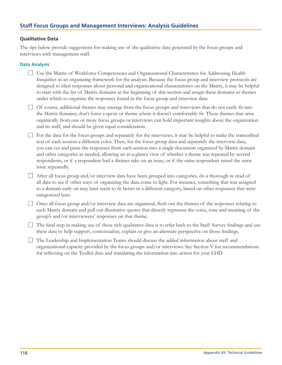# **Staff Focus Groups and Management Interviews: Analysis Guidelines**

### **Qualitative Data**

The tips below provide suggestions for making use of the qualitative data generated by the focus groups and interviews with management staff.

### **Data Analysis**

- □ Use the Matrix of Workforce Competencies and Organizational Characteristics for Addressing Health Inequities as an organizing framework for the analysis. Because the focus group and interview protocols are designed to elicit responses about personal and organizational characteristics on the Matrix, it may be helpful to start with the list of Matrix domains at the beginning of this section and assign these domains as themes under which to organize the responses found in the focus group and interview data.
- $\Box$  Of course, additional themes may emerge from the focus groups and interviews that do not easily fit into the Matrix domains; don't force a quote or theme where it doesn't comfortably fit. These themes that arise organically from one or more focus groups or interviews can hold important insights about the organization and its staff, and should be given equal consideration.
- $\Box$  For the data for the focus groups and separately for the interviews, it may be helpful to make the transcribed text of each session a different color. Then, for the focus group data and separately the interview data, you can cut and paste the responses from each session into a single document organized by Matrix domain and other categories as needed, allowing an at-a-glance view of whether a theme was repeated by several respondents, or if a respondent had a distinct take on an issue, or if the same respondent raised the same issue repeatedly.
- $\Box$  After all focus group and/or interview data have been grouped into categories, do a thorough re-read of all data to see if other ways of organizing the data come to light. For instance, something that was assigned to a domain early on may later seem to fit better in a different category, based on other responses that were categorized later.
- $\Box$  Once all focus group and/or interview data are organized, flesh out the themes of the responses relating to each Matrix domain and pull out illustrative quotes that directly represent the voice, tone and meaning of the group's and/or interviewees' responses on that theme.
- $\Box$  The final step in making use of these rich qualitative data is to refer back to the Staff Survey findings and use these data to help support, contextualize, explain or give an alternate perspective on those findings.
- $\Box$  The Leadership and Implementation Teams should discuss the added information about staff and organizational capacity provided by the focus groups and/or interviews. See Section V for recommendations for reflecting on the Toolkit data and translating the information into action for your LHD.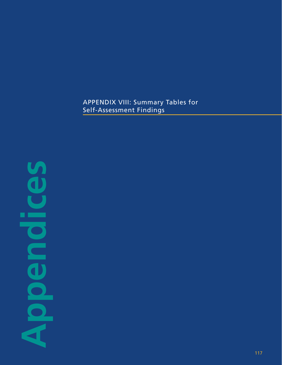# APPENDIX VIII: Summary Tables for Self-Assessment Findings

# **Appendices** п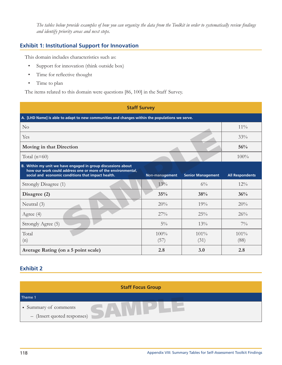The tables below provide examples of how you can organize the data from the Toolkit in order to systematically review findings and identify priority areas and next steps.

# **Exhibit 1: Institutional Support for Innovation**

This domain includes characteristics such as:

- $\bullet$ Support for innovation (think outside box)
- Time for reflective thought  $\bullet$
- $\bullet$ Time to plan

The items related to this domain were questions [86, 100] in the Staff Survey.

| <b>Staff Survey</b>                                                                                                                                                                |                |                          |                        |
|------------------------------------------------------------------------------------------------------------------------------------------------------------------------------------|----------------|--------------------------|------------------------|
| A. [LHD Name] is able to adapt to new communities and changes within the populations we serve.                                                                                     |                |                          |                        |
| $\rm No$                                                                                                                                                                           |                |                          | $11\%$                 |
| Yes                                                                                                                                                                                |                |                          | 33%                    |
| Moving in that Direction                                                                                                                                                           |                |                          | 56%                    |
| Total $(n=60)$                                                                                                                                                                     |                |                          | 100%                   |
| B. Within my unit we have engaged in group discussions about<br>how our work could address one or more of the environmental,<br>social and economic conditions that impact health. | Non-management | <b>Senior Management</b> | <b>All Respondents</b> |
| Strongly Disagree (1)                                                                                                                                                              | 13%            | $6\%$                    | $12\%$                 |
| Disagree (2)                                                                                                                                                                       | 35%            | 38%                      | 36%                    |
| Neutral (3)                                                                                                                                                                        | 20%            | 19%                      | 20%                    |
| Agree $(4)$                                                                                                                                                                        | 27%            | 25%                      | 26%                    |
| Strongly Agree (5)                                                                                                                                                                 | $5\%$          | 13%                      | $7\%$                  |
| Total                                                                                                                                                                              | 100%           | $101\%$                  | $101\%$                |
| (n)                                                                                                                                                                                | (57)           | (31)                     | (88)                   |

# **Exhibit 2**

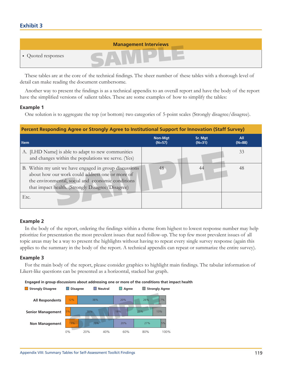# **Exhibit 3**



These tables are at the core of the technical findings. The sheer number of these tables with a thorough level of detail can make reading the document cumbersome.

Another way to present the findings is as a technical appendix to an overall report and have the body of the report have the simplified versions of salient tables. These are some examples of how to simplify the tables:

### **Example 1**

One solution is to aggregate the top (or bottom) two categories of 5-point scales (Strongly disagree/disagree).

| Percent Responding Agree or Strongly Agree to Institutional Support for Innovation (Staff Survey)                                                                                                                  |                            |                     |                 |
|--------------------------------------------------------------------------------------------------------------------------------------------------------------------------------------------------------------------|----------------------------|---------------------|-----------------|
| <b>Item</b>                                                                                                                                                                                                        | <b>Non-Mat</b><br>$(N=57)$ | Sr. Mgt<br>$(N=31)$ | All<br>$(N=88)$ |
| A. [LHD Name] is able to adapt to new communities<br>and changes within the populations we serve. (Yes)                                                                                                            |                            |                     | 33              |
| B. Within my unit we have engaged in group discussions<br>about how our work could address one or more of<br>the environmental, social and economic conditions<br>that impact health. (Strongly Disagree/Disagree) | 48                         | 44                  | 48              |
| Etc.                                                                                                                                                                                                               |                            |                     |                 |

### **Example 2**

In the body of the report, ordering the findings within a theme from highest to lowest response number may help prioritize for presentation the most prevalent issues that need follow-up. The top few most prevalent issues of all topic areas may be a way to present the highlights without having to repeat every single survey response (again this applies to the summary in the body of the report. A technical appendix can repeat or summarize the entire survey).

### **Example 3**

For the main body of the report, please consider graphics to highlight main findings. The tabular information of Likert-like questions can be presented as a horizontal, stacked bar graph.

Engaged in group discussions about addressing one or more of the conditions that impact health

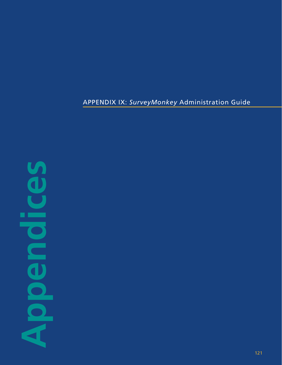# APPENDIX IX: *SurveyMonkey* Administration Guide

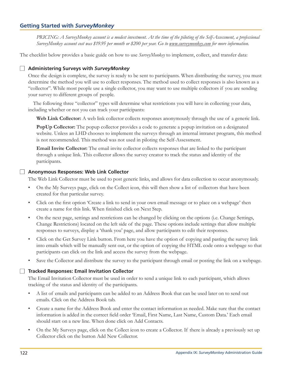# **Getting Started with SurveyMonkey**

PRICING: A SurveyMonkey account is a modest investment. At the time of the piloting of the Self-Assessment, a professional SurveyMonkey account cost was \$19.95 per month or \$200 per year. Go to www.surveymonkey.com for more information.

The checklist below provides a basic guide on how to use *SurveyMonkey* to implement, collect, and transfer data:

### Administering Surveys with SurveyMonkey

Once the design is complete, the survey is ready to be sent to participants. When distributing the survey, you must determine the method you will use to collect responses. The method used to collect responses is also known as a "collector". While most people use a single collector, you may want to use multiple collectors if you are sending your survey to different groups of people.

The following three "collector" types will determine what restrictions you will have in collecting your data, including whether or not you can track your participants:

Web Link Collector: A web link collector collects responses anonymously through the use of a generic link.

**PopUp Collector:** The popup collector provides a code to generate a popup invitation on a designated website. Unless an LHD chooses to implement the surveys through an internal intranet program, this method is not recommended. This method was not used in piloting the Self-Assessment.

Email Invite Collector: The email invite collector collects responses that are linked to the participant through a unique link. This collector allows the survey creator to track the status and identity of the participants.

### Anonymous Responses: Web Link Collector

The Web Link Collector must be used to post generic links, and allows for data collection to occur anonymously.

- On the My Surveys page, click on the Collect icon, this will then show a list of collectors that have been  $\bullet$ created for that particular survey.
- Click on the first option 'Create a link to send in your own email message or to place on a webpage' then  $\bullet$ create a name for this link. When finished click on Next Step.
- On the next page, settings and restrictions can be changed by clicking on the options (i.e. Change Settings,  $\bullet$ Change Restrictions) located on the left side of the page. These options include settings that allow multiple responses to surveys, display a 'thank you' page, and allow participants to edit their responses.
- Click on the Get Survey Link button. From here you have the option of copying and pasting the survey link  $\bullet$ into emails which will be manually sent out, or the option of copying the HTML code onto a webpage so that participants can click on the link and access the survey from the webpage.
- $\bullet$ Save the Collector and distribute the survey to the participant through email or posting the link on a webpage.

### Tracked Responses: Email Invitation Collector

The Email Invitation Collector must be used in order to send a unique link to each participant, which allows tracking of the status and identity of the participants.

- A list of emails and participants can be added to an Address Book that can be used later on to send out  $\bullet$ emails. Click on the Address Book tab.
- Create a name for the Address Book and enter the contact information as needed. Make sure that the contact  $\bullet$ information is added in the correct field order 'Email, First Name, Last Name, Custom Data.' Each email should start on a new line. When done click on Add Contacts.
- $\bullet$ On the My Surveys page, click on the Collect icon to create a Collector. If there is already a previously set up Collector click on the button Add New Collector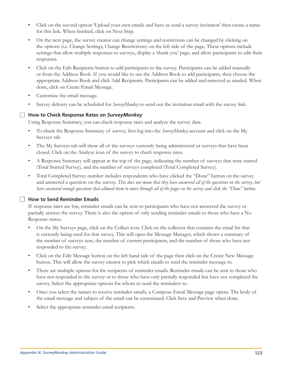- Click on the second option 'Upload your own emails and have us send a survey invitation' then create a name  $\bullet$ for this link. When finished, click on Next Step.
- On the next page, the survey creator can change settings and restrictions can be changed by clicking on  $\bullet$ the options (i.e. Change Settings, Change Restrictions) on the left side of the page. These options include settings that allow multiple responses to surveys, display a 'thank you' page, and allow participants to edit their responses.
- Click on the Edit Recipients button to add participants to the survey. Participants can be added manually  $\bullet$ or from the Address Book. If you would like to use the Address Book to add participants, then choose the appropriate Address Book and click Add Recipients. Participants can be added and removed as needed. When done, click on Create Email Message.
- $\bullet$ Customize the email message.
- Survey delivery can be scheduled for SurveyMonkey to send out the invitation email with the survey link.  $\bullet$

# How to Check Response Rates on SurveyMonkey

Using Response Summary, you can check response rates and analyze the survey data.

- To check the Response Summary of survey, first log into the SurveyMonkey account and click on the My Surveys tab.
- The My Surveys tab will show all of the surveys currently being administered or surveys that have been  $\bullet$ closed. Click on the Analyze icon of the survey to check response rates.
- A Response Summary will appear at the top of the page, indicating the number of surveys that were started  $\bullet$ (Total Started Survey), and the number of surveys completed (Total Completed Survey).
- $\bullet$ Total Completed Survey number includes respondents who have clicked the "Done" button on the survey and answered a question on the survey. This does not mean that they have answered all of the questions on the survey, but have answered enough questions that allowed them to move through all of the pages on the survey and click the "Done" button.

# How to Send Reminder Emails

If response rates are low, reminder emails can be sent to participants who have not answered the survey or partially answer the survey. There is also the option of only sending reminder emails to those who have a No Response status.

- $\bullet$ On the My Surveys page, click on the Collect icon. Click on the collector that contains the email list that is currently being used for that survey. This will open the Message Manager, which shows a summary of the number of surveys sent, the number of current participants, and the number of those who have not responded to the survey.
- $\bullet$  . Click on the Edit Message button on the left hand side of the page then click on the Create New Message button. This will allow the survey creator to pick which emails to send the reminder message to.
- $\bullet$ There are multiple options for the recipients of reminder emails. Reminder emails can be sent to those who have not responded to the survey or to those who have only partially responded but have not completed the survey. Select the appropriate options for whom to send the reminders to.
- Once you select the names to receive reminder emails, a Compose Email Message page opens. The body of the email message and subject of the email can be customized. Click Save and Preview when done.
- Select the appropriate reminder email recipients.  $\bullet$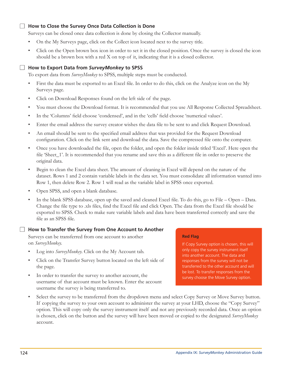## How to Close the Survey Once Data Collection is Done

Surveys can be closed once data collection is done by closing the Collector manually.

- On the My Surveys page, click on the Collect icon located next to the survey title.  $\bullet$
- $\bullet$ Click on the Open brown box icon in order to set it in the closed position. Once the survey is closed the icon should be a brown box with a red X on top of it, indicating that it is a closed collector.

## How to Export Data from SurveyMonkey to SPSS

To export data from SurveyMonkey to SPSS, multiple steps must be conducted.

- First the data must be exported to an Excel file. In order to do this, click on the Analyze icon on the My  $\bullet$ Surveys page.
- Click on Download Responses found on the left side of the page.  $\bullet$
- You must choose the Download format. It is recommended that you use All Response Collected Spreadsheet.  $\bullet$
- In the 'Columns' field choose 'condensed', and in the 'cells' field choose 'numerical values'.  $\bullet$
- $\bullet$ Enter the email address the survey creator wishes the data file to be sent to and click Request Download.
- An email should be sent to the specified email address that was provided for the Request Download  $\bullet$ configuration. Click on the link sent and download the data. Save the compressed file onto the computer.
- $\bullet$ Once you have downloaded the file, open the folder, and open the folder inside titled 'Excel'. Here open the file 'Sheet\_1'. It is recommended that you rename and save this as a different file in order to preserve the original data.
- Begin to clean the Excel data sheet. The amount of cleaning in Excel will depend on the nature of the  $\bullet$ dataset. Rows 1 and 2 contain variable labels in the data set. You must consolidate all information wanted into Row 1, then delete Row 2. Row 1 will read as the variable label in SPSS once exported.
- Open SPSS, and open a blank database.  $\bullet$
- $\bullet$ In the blank SPSS database, open up the saved and cleaned Excel file. To do this, go to File  $-$  Open  $-$  Data. Change the file type to .xls files, find the Excel file and click Open. The data from the Excel file should be exported to SPSS. Check to make sure variable labels and data have been transferred correctly and save the file as an SPSS file.

### $\Box$  How to Transfer the Survey from One Account to Another

Surveys can be transferred from one account to another on SurveyMonkey.

- $\bullet$ Log into *SurveyMonkey*. Click on the My Account tab.
- $\bullet$ Click on the Transfer Survey button located on the left side of the page.
- $\bullet$ In order to transfer the survey to another account, the username of that account must be known. Enter the account username the survey is being transferred to.

### **Red Flag**

If Copy Survey option is chosen, this will only copy the survey instrument itself into another account. The data and responses from the survey will not be transferred to the other account and will be lost. To transfer responses from the survey choose the Move Survey option.

 $\bullet$ Select the survey to be transferred from the dropdown menu and select Copy Survey or Move Survey button. If copying the survey to your own account to administer the survey at your LHD, choose the "Copy Survey" option. This will copy only the survey instrument itself and not any previously recorded data. Once an option is chosen, click on the button and the survey will have been moved or copied to the designated SurveyMonkey account.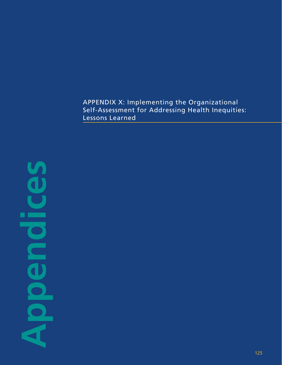APPENDIX X: Implementing the Organizational Self-Assessment for Addressing Health Inequities: Lessons Learned

**Appendices** ×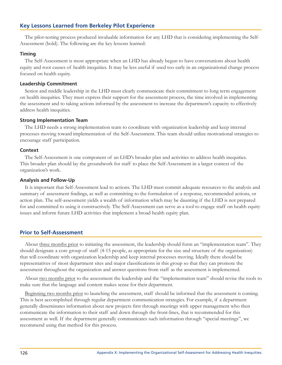# **Key Lessons Learned from Berkeley Pilot Experience**

The pilot-testing process produced invaluable information for any LHD that is considering implementing the Self-Assessment (bold). The following are the key lessons learned:

### **Timing**

The Self-Assessment is most appropriate when an LHD has already begun to have conversations about health equity and root causes of health inequities. It may be less useful if used too early in an organizational change process focused on health equity.

### **Leadership Commitment**

Senior and middle leadership in the LHD must clearly communicate their commitment to long term engagement on health inequities. They must express their support for the assessment process, the time involved in implementing the assessment and to taking actions informed by the assessment to increase the department's capacity to effectively address health inequities.

### **Strong Implementation Team**

The LHD needs a strong implementation team to coordinate with organization leadership and keep internal processes moving toward implementation of the Self-Assessment. This team should utilize motivational strategies to encourage staff participation.

### **Context**

The Self-Assessment is one component of an LHD's broader plan and activities to address health inequities. This broader plan should lay the groundwork for staff to place the Self-Assessment in a larger context of the organization's work.

### **Analysis and Follow-Up**

It is important that Self-Assessment lead to actions. The LHD must commit adequate resources to the analysis and summary of assessment findings, as well as committing to the formulation of a response, recommended actions, or action plan. The self-assessment yields a wealth of information which may be daunting if the LHD is not prepared for and committed to using it constructively. The Self-Assessment can serve as a tool to engage staff on health equity issues and inform future LHD activities that implement a broad health equity plan.

# **Prior to Self-Assessment**

About three months prior to initiating the assessment, the leadership should form an "implementation team". They should designate a core group of staff (4-15 people, as appropriate for the size and structure of the organization) that will coordinate with organization leadership and keep internal processes moving. Ideally there should be representatives of most department sites and major classifications in this group so that they can promote the assessment throughout the organization and answer questions from staff as the assessment is implemented.

About two months prior to the assessment the leadership and the "implementation team" should revise the tools to make sure that the language and content makes sense for their department.

Beginning two months prior to launching the assessment, staff should be informed that the assessment is coming. This is best accomplished through regular department communication strategies. For example, if a department generally disseminates information about new projects first through meetings with upper management who then communicate the information to their staff and down through the front-lines, that is recommended for this assessment as well. If the department generally communicates such information through "special meetings", we recommend using that method for this process.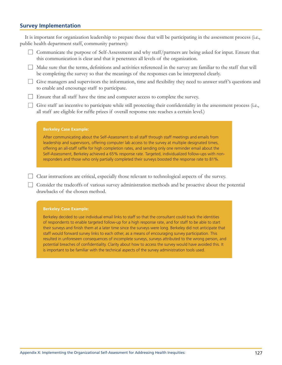# **Survey Implementation**

| public health department staff, community partners):                                                                                                                                                                                                                                                                                                                                                                                                                                                                             |
|----------------------------------------------------------------------------------------------------------------------------------------------------------------------------------------------------------------------------------------------------------------------------------------------------------------------------------------------------------------------------------------------------------------------------------------------------------------------------------------------------------------------------------|
| Communicate the purpose of Self-Assessment and why staff/partners are being asked for input. Ensure that<br>this communication is clear and that it penetrates all levels of the organization.                                                                                                                                                                                                                                                                                                                                   |
| Make sure that the terms, definitions and activities referenced in the survey are familiar to the staff that will<br>be completing the survey so that the meanings of the responses can be interpreted clearly.                                                                                                                                                                                                                                                                                                                  |
| Give managers and supervisors the information, time and flexibility they need to answer staff's questions and<br>to enable and encourage staff to participate.                                                                                                                                                                                                                                                                                                                                                                   |
| Ensure that all staff have the time and computer access to complete the survey.                                                                                                                                                                                                                                                                                                                                                                                                                                                  |
| Give staff an incentive to participate while still protecting their confidentiality in the assessment process (i.e.,<br>all staff are eligible for raffle prizes if overall response rate reaches a certain level.)                                                                                                                                                                                                                                                                                                              |
| <b>Berkeley Case Example:</b>                                                                                                                                                                                                                                                                                                                                                                                                                                                                                                    |
| After communicating about the Self-Assessment to all staff through staff meetings and emails from<br>leadership and supervisors, offering computer lab access to the survey at multiple designated times,<br>offering an all-staff raffle for high completion rates, and sending only one reminder email about the<br>Self-Assessment, Berkeley achieved a 65% response rate. Targeted, individualized follow-ups with non-<br>responders and those who only partially completed their surveys boosted the response rate to 81%. |
| Clear instructions are critical, especially those relevant to technological aspects of the survey.                                                                                                                                                                                                                                                                                                                                                                                                                               |
| Consider the tradeoffs of various survey administration methods and be proactive about the potential<br>drawbacks of the chosen method.                                                                                                                                                                                                                                                                                                                                                                                          |
|                                                                                                                                                                                                                                                                                                                                                                                                                                                                                                                                  |

It is important for organization leadership to prepare those that will be participating in the assessment process (i.e.,

### **Berkeley Case Example:**

Berkeley decided to use individual email links to staff so that the consultant could track the identities of respondents to enable targeted follow-up for a high response rate, and for staff to be able to start their surveys and finish them at a later time since the surveys were long. Berkeley did not anticipate that staff would forward survey links to each other, as a means of encouraging survey participation. This resulted in unforeseen consequences of incomplete surveys, surveys attributed to the wrong person, and potential breaches of confidentiality. Clarity about how to access the survey would have avoided this. It is important to be familiar with the technical aspects of the survey administration tools used.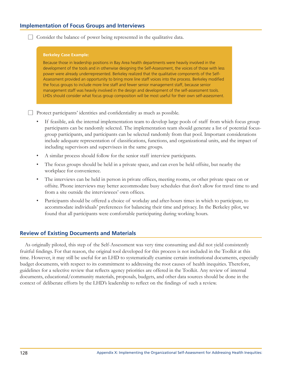# **Implementation of Focus Groups and Interviews**

 $\Box$  Consider the balance of power being represented in the qualitative data.

#### **Berkeley Case Example:**

Because those in leadership positions in Bay Area health departments were heavily involved in the development of the tools and in otherwise designing the Self-Assessment, the voices of those with less power were already underrepresented. Berkeley realized that the qualitative components of the Self-Assessment provided an opportunity to bring more line staff voices into the process. Berkeley modified the focus groups to include more line staff and fewer senior management staff, because senior management staff was heavily involved in the design and development of the self-assessment tools. LHDs should consider what focus group composition will be most useful for their own self-assessment.

 $\Box$  Protect participants' identities and confidentiality as much as possible.

- If feasible, ask the internal implementation team to develop large pools of staff from which focus group participants can be randomly selected. The implementation team should generate a list of potential focusgroup participants, and participants can be selected randomly from that pool. Important considerations include adequate representation of classifications, functions, and organizational units, and the impact of including supervisors and supervisees in the same groups.
- A similar process should follow for the senior staff interview participants.
- The focus groups should be held in a private space, and can even be held offsite, but nearby the  $\bullet$ workplace for convenience.
- $\bullet$ The interviews can be held in person in private offices, meeting rooms, or other private space on or offsite. Phone interviews may better accommodate busy schedules that don't allow for travel time to and from a site outside the interviewees' own offices.
- Participants should be offered a choice of workday and after-hours times in which to participate, to accommodate individuals' preferences for balancing their time and privacy. In the Berkeley pilot, we found that all participants were comfortable participating during working hours.

## **Review of Existing Documents and Materials**

As originally piloted, this step of the Self-Assessment was very time consuming and did not yield consistently fruitful findings. For that reason, the original tool developed for this process is not included in the Toolkit at this time. However, it may still be useful for an LHD to systematically examine certain institutional documents, especially budget documents, with respect to its commitment to addressing the root causes of health inequities. Therefore, guidelines for a selective review that reflects agency priorities are offered in the Toolkit. Any review of internal documents, educational/community materials, proposals, budgets, and other data sources should be done in the context of deliberate efforts by the LHD's leadership to reflect on the findings of such a review.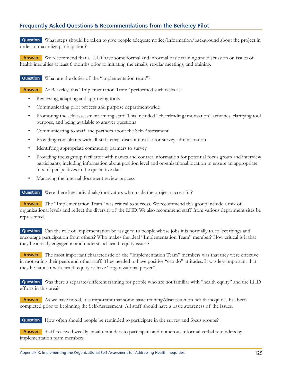# **Frequently Asked Questions & Recommendations from the Berkeley Pilot**

**Question** What steps should be taken to give people adequate notice/information/background about the project in order to maximize participation?

Answer We recommend that a LHD have some formal and informal basic training and discussion on issues of health inequities at least 6 months prior to initiating the emails, regular meetings, and training.

**Question** What are the duties of the "implementation team"?

**Answer** At Berkeley, this "Implementation Team" performed such tasks as:

- Reviewing, adapting and approving tools  $\bullet$
- Communicating pilot process and purpose department-wide  $\bullet$
- $\bullet$ Promoting the self-assessment among staff. This included "cheerleading/motivation" activities, clarifying tool purpose, and being available to answer questions
- $\bullet$ Communicating to staff and partners about the Self-Assessment
- Providing consultants with all-staff email distribution list for survey administration  $\bullet$
- $\bullet$ Identifying appropriate community partners to survey
- $\bullet$ Providing focus group facilitator with names and contact information for potential focus group and interview participants, including information about position level and organizational location to ensure an appropriate mix of perspectives in the qualitative data
- Managing the internal document review process  $\bullet$

Question Were there key individuals/motivators who made the project successful?

**Answer** The "Implementation Team" was critical to success. We recommend this group include a mix of organizational levels and reflect the diversity of the LHD. We also recommend staff from various department sites be represented.

**Question** Can the role of implementation be assigned to people whose jobs it is normally to collect things and encourage participation from others? Who makes the ideal "Implementation Team" member? How critical is it that they be already engaged in and understand health equity issues?

**Answer** The most important characteristic of the "Implementation Team" members was that they were effective in motivating their peers and other staff. They needed to have positive "can do" attitudes. It was less important that they be familiar with health equity or have "organizational power".

**Question** Was there a separate/different framing for people who are not familiar with "health equity" and the LHD efforts in this area?

Answer As we have noted, it is important that some basic training/discussion on health inequities has been completed prior to beginning the Self-Assessment. All staff should have a basic awareness of the issues.

How often should people be reminded to participate in the survey and focus groups? **Question** 

**Answer** Staff received weekly email reminders to participate and numerous informal verbal reminders by implementation team members.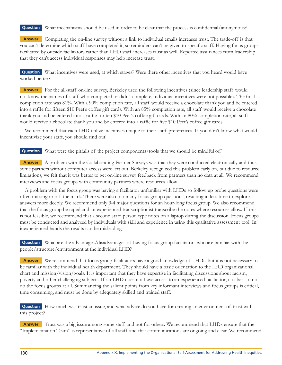**Question** What mechanisms should be used in order to be clear that the process is confidential/anonymous?

**Answer** Completing the on-line survey without a link to individual emails increases trust. The trade-off is that you can't determine which staff have completed it, so reminders can't be given to specific staff. Having focus groups facilitated by outside facilitators rather than LHD staff increases trust as well. Repeated assurances from leadership that they can't access individual responses may help increase trust.

**Question** What incentives were used, at which stages? Were there other incentives that you heard would have worked better?

**Answer** For the all-staff on-line survey, Berkeley used the following incentives (since leadership staff would not know the names of staff who completed or didn't complete, individual incentives were not possible). The final completion rate was 81%. With a 90% completion rate, all staff would receive a chocolate thank you and be entered into a raffle for fifteen \$10 Peet's coffee gift cards. With an 85% completion rate, all staff would receive a chocolate thank you and be entered into a raffle for ten \$10 Peet's coffee gift cards. With an 80% completion rate, all staff would receive a chocolate thank you and be entered into a raffle for five \$10 Peet's coffee gift cards.

We recommend that each LHD utilize incentives unique to their staff preferences. If you don't know what would incentivize your staff, you should find out!

**Question** What were the pitfalls of the project components/tools that we should be mindful of?

**Answer** A problem with the Collaborating Partner Surveys was that they were conducted electronically and thus some partners without computer access were left out. Berkeley recognized this problem early on, but due to resource limitations, we felt that it was better to get on-line survey feedback from partners than no data at all. We recommend interviews and focus groups with community partners where resources allow.

A problem with the focus group was having a facilitator unfamiliar with LHDs so follow up probe questions were often missing or off the mark. There were also too many focus group questions, resulting in less time to explore answers more deeply. We recommend only 3-4 major questions for an hour-long focus group. We also recommend that the focus group be taped and an experienced transcriptionist transcribe the notes where resources allow. If this is not feasible, we recommend that a second staff person type notes on a laptop during the discussion. Focus groups must be conducted and analyzed by individuals with skill and experience in using this qualitative assessment tool. In inexperienced hands the results can be misleading.

**Question** What are the advantages/disadvantages of having focus group facilitators who are familiar with the people/structure/environment at the individual LHD?

**Answer** We recommend that focus group facilitators have a good knowledge of LHDs, but it is not necessary to be familiar with the individual health department. They should have a basic orientation to the LHD organizational chart and mission/vision/goals. It is important that they have expertise in facilitating discussions about racism, poverty and other challenging subjects. If an LHD does not have access to an experienced facilitator, it is best to not do the focus groups at all. Summarizing the salient points from key informant interviews and focus groups is critical, time consuming, and must be done by adequately skilled and trained staff.

**Question** How much was trust an issue, and what advice do you have for creating an environment of trust with this project?

**Answer** Trust was a big issue among some staff and not for others. We recommend that LHDs ensure that the "Implementation Team" is representative of all staff and that communications are ongoing and clear. We recommend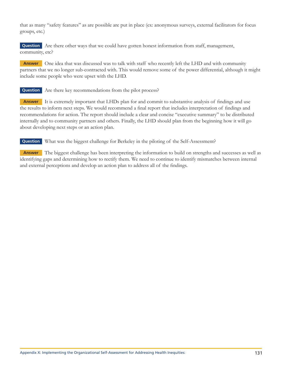that as many "safety features" as are possible are put in place (ex: anonymous surveys, external facilitators for focus groups, etc.)

**Question** Are there other ways that we could have gotten honest information from staff, management, community, etc?

**Answer** One idea that was discussed was to talk with staff who recently left the LHD and with community partners that we no longer sub-contracted with. This would remove some of the power differential, although it might include some people who were upset with the LHD.

**Question** Are there key recommendations from the pilot process?

**Answer** It is extremely important that LHDs plan for and commit to substantive analysis of findings and use the results to inform next steps. We would recommend a final report that includes interpretation of findings and recommendations for action. The report should include a clear and concise "executive summary" to be distributed internally and to community partners and others. Finally, the LHD should plan from the beginning how it will go about developing next steps or an action plan.

**Question** What was the biggest challenge for Berkeley in the piloting of the Self-Assessment?

**Answer** The biggest challenge has been interpreting the information to build on strengths and successes as well as identifying gaps and determining how to rectify them. We need to continue to identify mismatches between internal and external perceptions and develop an action plan to address all of the findings.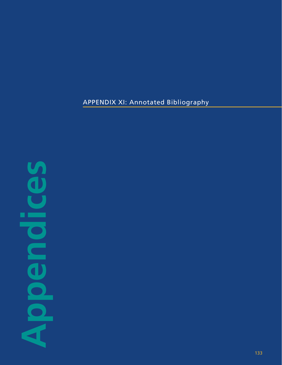APPENDIX XI: Annotated Bibliography

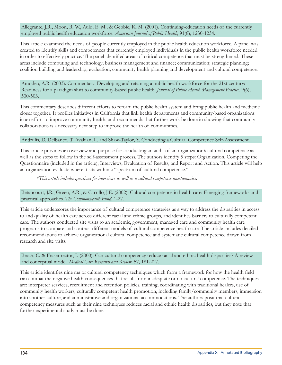Allegrante, J.R., Moon, R. W., Auld, E. M., & Gebbie, K. M. (2001). Continuing-education needs of the currently employed public health education workforce. American Journal of Public Health, 91(8), 1230-1234.

This article examined the needs of people currently employed in the public health education workforce. A panel was created to identify skills and competences that currently employed individuals in the public health workforce needed in order to effectively practice. The panel identified areas of critical competence that must be strengthened. These areas include computing and technology; business management and finance; communication; strategic planning; coalition building and leadership; evaluation; community health planning and development and cultural competence.

Amodeo, A.R. (2003). Commentary: Developing and retaining a public health workforce for the 21st century: Readiness for a paradigm shift to community-based public health. Journal of Public Health Management Practice. 9(6),  $500 - 503$ .

This commentary describes different efforts to reform the public health system and bring public health and medicine closer together. It profiles initiatives in California that link health departments and community-based organizations in an effort to improve community health, and recommends that further work be done in showing that community collaborations is a necessary next step to improve the health of communities.

## Andrulis, D. Delbanco, T. Avakian, L. and Shaw-Taylor, Y. Conducting a Cultural Competence Self-Assessment.

This article provides an overview and purpose for conducting an audit of an organization's cultural competence as well as the steps to follow in the self-assessment process. The authors identify 5 steps: Organization, Competing the Questionnaire (included in the article), Interviews, Evaluation of Results, and Report and Action. This article will help an organization evaluate where it sits within a "spectrum of cultural competence."

\*This article includes questions for interviews as well as a cultural competence questionnaire.

Betancourt, J.R., Green, A.R., & Carrillo, J.E. (2002). Cultural competence in health care: Emerging frameworks and practical approaches. The Commonwealth Fund, 1-27.

This article underscores the importance of cultural competence strategies as a way to address the disparities in access to and quality of health care across different racial and ethnic groups, and identifies barriers to culturally competent care. The authors conducted site visits to an academic, government, managed care and community health care programs to compare and contrast different models of cultural competence health care. The article includes detailed recommendations to achieve organizational cultural competence and systematic cultural competence drawn from research and site visits.

Brach, C. & Fraserirector, I. (2000). Can cultural competency reduce racial and ethnic health disparities? A review and conceptual model. Medical Care Research and Review. 57, 181-217.

This article identifies nine major cultural competency techniques which form a framework for how the health field can combat the negative health consequences that result from inadequate or no cultural competence. The techniques are: interpreter services, recruitment and retention policies, training, coordinating with traditional healers, use of community health workers, culturally competent health promotion, including family/community members, immersion into another culture, and administrative and organizational accommodations. The authors posit that cultural competency measures such as their nine techniques reduces racial and ethnic health disparities, but they note that further experimental study must be done.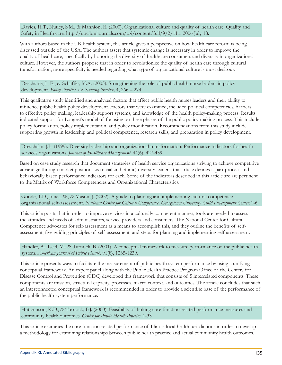Davies, H.T., Nutley, S.M., & Mannion, R. (2000). Organizational culture and quality of health care. Quality and Safety in Health care. http://qhc.bmjjournals.com/cgi/content/full/9/2/111. 2006 July 18.

With authors based in the UK health system, this article gives a perspective on how health care reform is being discussed outside of the USA. The authors assert that systemic change is necessary in order to improve the quality of healthcare, specifically by honoring the diversity of healthcare consumers and diversity in organizational culture. However, the authors propose that in order to revolutionize the quality of health care through cultural transformation, more specificity is needed regarding what type of organizational culture is most desirous.

Deschaine, J., E., & Schaffer, M.A. (2003). Strengthening the role of public health nurse leaders in policy development. Policy, Politics, & Nursing Practice, 4, 266 - 274.

This qualitative study identified and analyzed factors that affect public health nurses leaders and their ability to influence public health policy development. Factors that were examined, included political competencies, barriers to effective policy making, leadership support systems, and knowledge of the health policy-making process. Results indicated support for Longest's model of focusing on three phases of the public policy-making process. This includes policy formulation, policy implementation, and policy modification. Recommendations from this study include supporting growth in leadership and political competence, research skills, and preparation in policy development.

Dreachslin, J.L. (1999). Diversity leadership and organizational transformation: Performance indicators for health services organizations. Journal of Healthcare Management, 44(6), 427-439.

Based on case study research that document strategies of health service organizations striving to achieve competitive advantage through market positions as (racial and ethnic) diversity leaders, this article defines 5-part process and behaviorally based performance indicators for each. Some of the indicators described in this article are are pertinent to the Matrix of Workforce Competencies and Organizational Characteristics.

Goode, T.D., Jones, W., & Mason, J. (2002). A guide to planning and implementing cultural competence organizational self-assessment. National Center for Cultural Competence, Georgetown University Child Development Center, 1-6.

This article posits that in order to improve services in a culturally competent manner, tools are needed to assess the attitudes and needs of administrators, service providers and consumers. The National Center for Cultural Competence advocates for self-assessment as a means to accomplish this, and they outline the benefits of selfassessment, five guiding principles of self assessment, and steps for planning and implementing self-assessment.

Handler, A., Iseel, M., & Turnock, B. (2001). A conceptual framework to measure performance of the public health system. American Journal of Public Health, 91(8), 1235-1239.

This article presents ways to facilitate the measurement of public health system performance by using a unifying conceptual framework. An expert panel along with the Public Health Practice Program Office of the Centers for Disease Control and Prevention (CDC) developed this framework that consists of 5 interrelated components. These components are mission, structural capacity, processes, macro context, and outcomes. The article concludes that such an interconnected conceptual framework is recommended in order to provide a scientific base of the performance of the public health system performance.

Hutchinson, K.D., & Turnock, B.J. (2000). Feasibility of linking core function-related performance measures and community health outcomes. Center for Public Health Practice, 1-33.

This article examines the core function-related performance of Illinois local health jurisdictions in order to develop a methodology for examining relationships between public health practice and actual community health outcomes.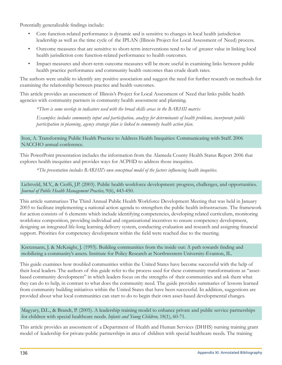Potentially generalizable findings include:

- Core function-related performance is dynamic and is sensitive to changes in local health jurisdiction leadership as well as the time cycle of the IPLAN (Illinois Project for Local Assessment of Need) process.
- Outcome measures that are sensitive to short-term interventions tend to be of greater value in linking local health jurisdiction core function-related performance to health outcomes.
- Impact measures and short-term outcome measures will be more useful in examining links between public  $\bullet$ health practice performance and community health outcomes than crude death rates.

The authors were unable to identify any positive association and suggest the need for further research on methods for examining the relationship between practice and health outcomes.

This article provides an assessment of Illinois's Project for Local Assessment of Need that links public health agencies with community partners in community health assessment and planning.

\*There is some overlap in indicators used with the broad skills areas in the BARHII matrix

Examples: includes community input and participation, analyze for determinants of health problems, incorporate public participation in planning, agency strategic plan is linked to community health action plan.

Iton, A. Transforming Public Health Practice to Address Health Inequities: Communicating with Staff. 2006 NACCHO annual conference.

This PowerPoint presentation includes the information from the Alameda County Health Status Report 2006 that explores health inequities and provides ways for ACPHD to address those inequities.

\*The presentation includes BARHII's own conceptual model of the factors influencing health inequities.

Lichtveld, M.Y., & Cioffi, J.P. (2003). Public health workforce development: progress, challenges, and opportunities. Journal of Public Health Management Practice, 9(6), 443-450.

This article summarizes The Third Annual Public Health Workforce Development Meeting that was held in January 2003 to facilitate implementing a national action agenda to strengthen the public health infrastructure. The framework for action consists of 6 elements which include identifying competencies, developing related curriculum, monitoring workforce composition, providing individual and organizational incentives to ensure competency development, designing an integrated life-long learning delivery system, conducting evaluation and research and assigning financial support. Priorities for competency development within the field were reached due to the meeting.

Kretzmann, J. & McKnight, J. (1993). Building communities from the inside out: A path towards finding and mobilizing a community's assets. Institute for Policy Research at Northwestern University-Evanton, IL.

This guide examines how troubled communities within the United States have become successful with the help of their local leaders. The authors of this guide refer to the process used for these community transformations as "assetbased community development" in which leaders focus on the strengths of their communities and ask them what they can do to help, in contrast to what does the community need. The guide provides summaries of lessons learned from community building initiatives within the United States that have been successful. In addition, suggestions are provided about what local communities can start to do to begin their own asset-based developmental changes.

Magyary, D.L., & Brandt, P. (2005). A leadership training model to enhance private and public service partnerships for children with special healthcare needs. Infants and Young Children, 18(1), 60-71.

This article provides an assessment of a Department of Health and Human Services (DHHS) nursing training grant model of leadership for private-public partnerships in area of children with special healthcare needs. The training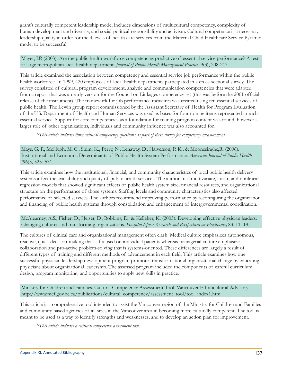grant's culturally competent leadership model includes dimensions of multicultural competency, complexity of human development and diversity, and social-political responsibility and activism. Cultural competence is a necessary leadership quality in order for the 4 levels of health care services from the Maternal Child Healthcare Service Pyramid model to be successful.

Mayer, J.P. (2003). Are the public health workforce competencies predictive of essential service performance? A test at large metropolitan local health department. Journal of Public Health Management Practice, 9(3), 208-213.

This article examined the association between competency and essential service job performance within the public health workforce. In 1999, 420 employees of local health departments participated in a cross-sectional survey. The survey consisted of cultural, program development, analytic and communication competencies that were adapted from a report that was an early version for the Council on Linkages competency set (this was before the 2001 official release of the instrument). The framework for job performance measures was created using ten essential services of public health. The Lewin group report commissioned by the Assistant Secretary of Health for Program Evaluation of the U.S. Department of Health and Human Services was used as bases for four to nine items represented in each essential service. Support for core competencies as a foundation for training program content was found, however a larger role of other organizations, individuals and community influence was also accounted for.

\*This article includes three cultural competency questions as part of their survey for competency measurement.

Mays, G. P., McHugh, M. C., Shim, K., Perry, N., Lenaway, D., Halverson, P. K., & Moonesinghe, R. (2006). Institutional and Economic Determinants of Public Health System Performance. American Journal of Public Health,  $(96)3, 523 - 531.$ 

This article examines how the institutional, financial, and community characteristics of local public health delivery systems affect the availability and quality of public health services. The authors use multivariate, linear, and nonlinear regression models that showed significant effects of public health system size, financial resources, and organizational structure on the performance of those systems. Staffing levels and community characteristics also affected performance of selected services. The authors recommend improving performance by reconfiguring the organization and financing of public health systems through consolidation and enhancement of intergovernmental coordination.

McAlearney, A.S., Fisher, D., Heiser, D., Robbins, D., & Kelleher, K. (2005). Developing effective physician leaders: Changing cultures and transforming organizations. Hospital topics: Research and Perspectives on Healthcare, 83, 11–18.

The cultures of clinical care and organizational management often clash. Medical culture emphasizes autonomous, reactive, quick decision-making that is focused on individual patients whereas managerial culture emphasizes collaboration and pro-active problem-solving that is systems-oriented. These differences are largely a result of different types of training and different methods of advancement in each field. This article examines how one successful physician leadership development program promotes transformational organizational change by educating physicians about organizational leadership. The assessed program included the components of careful curriculum design, program monitoring, and opportunities to apply new skills in practice.

Ministry for Children and Families. Cultural Competency Assessment Tool. Vancouver Ethnocultural Advisory http://www.mcf.gov.bc.ca/publications/cultural\_competency/assessment\_tool/tool\_index1.htm

This article is a comprehensive tool intended to assist the Vancouver region of the Ministry for Children and Families and community based agencies of all sizes in the Vancouver area in becoming more culturally competent. The tool is meant to be used as a way to identify strengths and weaknesses, and to develop an action plan for improvement.

\*This article includes a cultural competence assessment tool.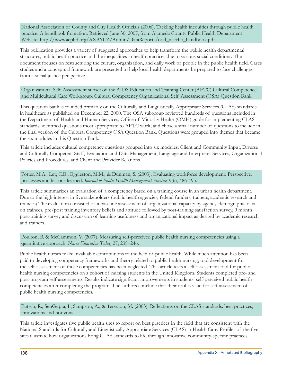National Association of County and City Health Officials (2006). Tackling health inequities through public health practice: A handbook for action. Retrieved June 30, 2007, from Alameda County Public Health Department Website: http://www.acphd.org/AXBYCZ/Admin/DataReports/ood\_naccho\_handbook.pdf

This publication provides a variety of suggested approaches to help transform the public health departmental structures, public health practice and the inequalities in health practices due to various social conditions. The document focuses on restructuring the culture, organization, and daily work of people in the public health field. Cases studies and a conceptual framework are presented to help local health departments be prepared to face challenges from a social justice perspective.

Organizational Self Assessment subset of the AIDS Education and Training Center (AETC) Cultural Competence and Multicultural Care Workgroup. Cultural Competency Organizational Self Assessment (OSA) Question Bank.

This question bank is founded primarily on the Culturally and Linguistically Appropriate Services (CLAS) standards in healthcare as published on December 22, 2000. The OSA subgroup reviewed hundreds of questions included in the Department of Health and Human Services, Office of Minority Health (OMH) guide for implementing CLAS standards, identified questions most appropriate to AETC work, and chose a small number of questions to include in the final version of the Cultural Competency OSA Question Bank. Questions were grouped into themes that became the six modules in this Question Bank.

This article includes cultural competency questions grouped into six modules: Client and Community Input, Diverse and Culturally Competent Staff, Evaluation and Data Management, Language and Interpreter Services, Organizational Policies and Procedures, and Client and Provider Relations.

Potter, M.A., Ley, C.E., Eggleston, M.M., & Dunman, S. (2003). Evaluating workforce development: Perspective, processes and lessons learned. Journal of Public Health Management Practice, 9(6), 486-495.

This article summarizes an evaluation of a competency based on a training course in an urban health department. Due to the high interest in five stakeholders (public health agencies, federal funders, trainers, academic research and trainees) The evaluation consisted of a baseline assessment of organizational capacity by agency, demographic data on trainees, pre/post training inventory beliefs and attitude followed by post-training satisfaction survey, 9 month post-training survey and discussion of learning usefulness and organizational impact as desired by academic research and trainers.

Poulton, B. & McCammon, V. (2007). Measuring self-perceived public health nursing competencies using a quantitative approach. Nurse Education Today, 27, 238-246.

Public health nurses make invaluable contributions to the field of public health. While much attention has been paid to developing competency frameworks and theory related to public health nursing, tool development for the self-assessment of those competencies has been neglected. This article tests a self-assessment tool for public health nursing competencies on a cohort of nursing students in the United Kingdom. Students completed pre- and post-program self-assessments. Results indicate significant improvements in students' self-perceived public health competencies after completing the program. The authors conclude that their tool is valid for self-assessment of public health nursing competencies.

Putsch, R., SenGupta, I., Sampson, A., & Tervalon, M. (2003). Reflections on the CLAS standards: best practices, innovations and horizons.

This article investigates five public health sites to report on best practices in the field that are consistent with the National Standards for Culturally and Linguistically Appropriate Services (CLAS) in Health Care. Profiles of the five sites illustrate how organizations bring CLAS standards to life through innovative community-specific practices.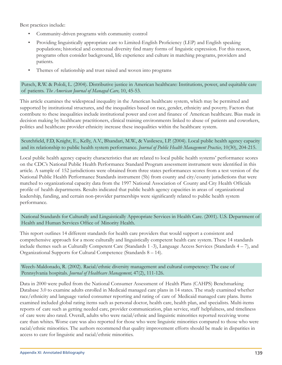Best practices include:

- Community-driven programs with community control
- Providing linguistically appropriate care to Limited-English Proficiency (LEP) and English speaking  $\bullet$ populations; historical and contextual diversity find many forms of linguistic expression. For this reason, programs often consider background, life experience and culture in matching programs, providers and patients.
- Themes of relationship and trust raised and woven into programs  $\bullet$

Putsch, R.W. & Pololi, L. (2004). Distributive justice in American healthcare: Institutions, power, and equitable care of patients. The American Journal of Managed Care, 10, 45-53.

This article examines the widespread inequality in the American healthcare system, which may be permitted and supported by institutional structures, and the inequalities based on race, gender, ethnicity and poverty. Factors that contribute to these inequalities include institutional power and cost and finance of American healthcare. Bias made in decision making by healthcare practitioners, clinical training environments linked to abuse of patients and coworkers, politics and healthcare provider ethnicity increase these inequalities within the healthcare system.

Scutchfield, F.D, Knight, E., Kelly, A.V., Bhandari, M.W., & Vasilescu, I.P. (2004). Local public health agency capacity and its relationship to public health system performance. Journal of Public Health Management Practice, 10(30), 204-215.

Local public health agency capacity characteristics that are related to local public health systems' performance scores on the CDC's National Public Health Performance Standard Program assessment instrument were identified in this article. A sample of 152 jurisdictions were obtained from three states performances scores from a test version of the National Public Health Performance Standards instrument (5b) from county and city/county jurisdictions that were matched to organizational capacity data from the 1997 National Association of County and City Health Officials profile of health departments. Results indicated that public health agency capacities in areas of organizational leadership, funding, and certain non-provider partnerships were significantly related to public health system performance.

National Standards for Culturally and Linguistically Appropriate Services in Health Care. (2001). U.S. Department of Health and Human Services Office of Minority Health.

This report outlines 14 different standards for health care providers that would support a consistent and comprehensive approach for a more culturally and linguistically competent health care system. These 14 standards include themes such as Culturally Competent Care (Standards 1 -3), Language Access Services (Standards 4 – 7), and Organizational Supports for Cultural Competence (Standards 8 – 14).

Weech-Maldonado, R. (2002). Racial/ethnic diversity management and cultural competency: The case of Pennsylvania hospitals. Journal of Healthcare Management, 47(2), 111-126.

Data in 2000 were pulled from the National Consumer Assessment of Health Plans (CAHPS) Benchmarking Database 3.0 to examine adults enrolled in Medicaid managed care plans in 14 states. The study examined whether race/ethnicity and language varied consumer reporting and rating of care of Medicaid managed care plans. Items examined included global rating items such as personal doctor, health care, health plan, and specialists. Multi-items reports of care such as getting needed care, provider communication, plan service, staff helpfulness, and timeliness of care were also rated. Overall, adults who were racial/ethnic and linguistic minorities reported receiving worse care than whites. Worse care was also reported for those who were linguistic minorities compared to those who were racial/ethnic minorities. The authors recommend that quality improvement efforts should be made in disparities in access to care for linguistic and racial/ethnic minorities.